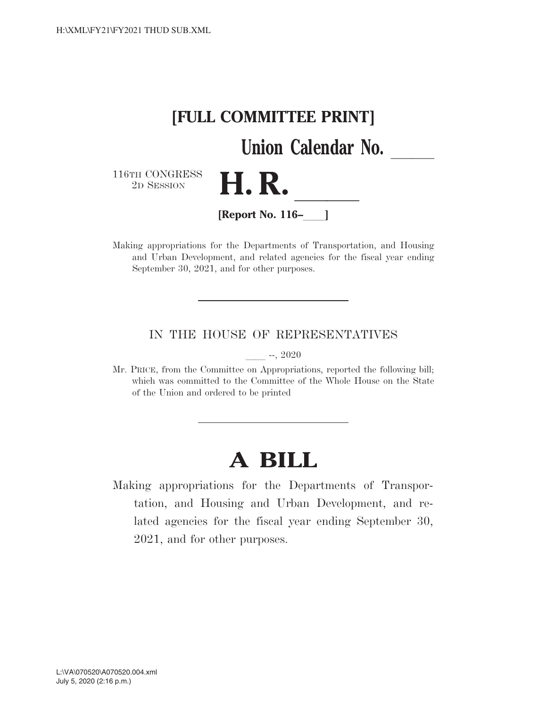

**[Report No. 116–\_\_\_]**<br>
r the Departments of Trans<br>
nent, and related agencies f<br>
and for other purposes. Making appropriations for the Departments of Transportation, and Housing and Urban Development, and related agencies for the fiscal year ending September 30, 2021, and for other purposes.

## IN THE HOUSE OF REPRESENTATIVES

--, 2020<br>
on Appropriat<br>
e Committee of<br>
be printed<br>
on the printed Mr. PRICE, from the Committee on Appropriations, reported the following bill; which was committed to the Committee of the Whole House on the State of the Union and ordered to be printed

## **A BILL**

Making appropriations for the Departments of Transportation, and Housing and Urban Development, and related agencies for the fiscal year ending September 30, 2021, and for other purposes.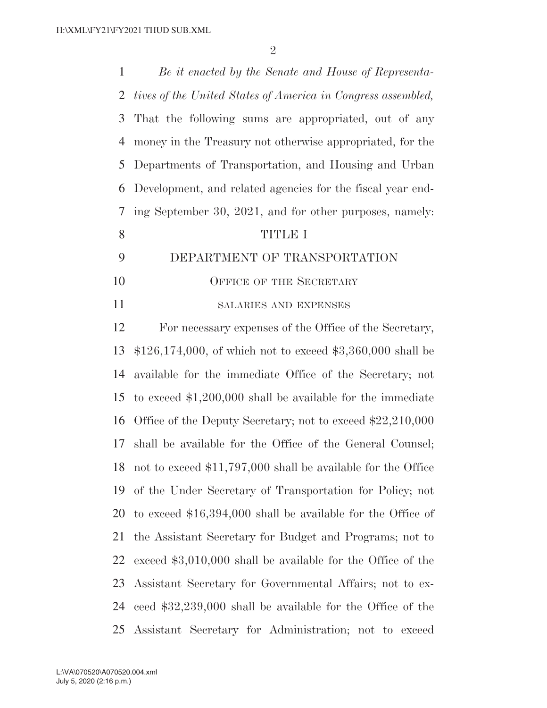*Be it enacted by the Senate and House of Representa- tives of the United States of America in Congress assembled,*  That the following sums are appropriated, out of any money in the Treasury not otherwise appropriated, for the Departments of Transportation, and Housing and Urban Development, and related agencies for the fiscal year end- ing September 30, 2021, and for other purposes, namely: TITLE I DEPARTMENT OF TRANSPORTATION 10 OFFICE OF THE SECRETARY SALARIES AND EXPENSES For necessary expenses of the Office of the Secretary, \$126,174,000, of which not to exceed \$3,360,000 shall be available for the immediate Office of the Secretary; not to exceed \$1,200,000 shall be available for the immediate Office of the Deputy Secretary; not to exceed \$22,210,000 shall be available for the Office of the General Counsel; not to exceed \$11,797,000 shall be available for the Office of the Under Secretary of Transportation for Policy; not to exceed \$16,394,000 shall be available for the Office of the Assistant Secretary for Budget and Programs; not to exceed \$3,010,000 shall be available for the Office of the Assistant Secretary for Governmental Affairs; not to ex- ceed \$32,239,000 shall be available for the Office of the Assistant Secretary for Administration; not to exceed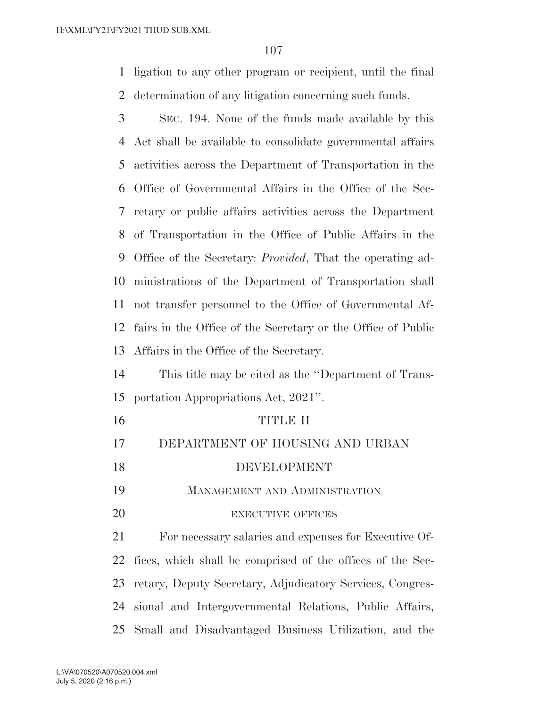ligation to any other program or recipient, until the final determination of any litigation concerning such funds.

 SEC. 194. None of the funds made available by this Act shall be available to consolidate governmental affairs activities across the Department of Transportation in the Office of Governmental Affairs in the Office of the Sec- retary or public affairs activities across the Department of Transportation in the Office of Public Affairs in the Office of the Secretary: *Provided*, That the operating ad- ministrations of the Department of Transportation shall not transfer personnel to the Office of Governmental Af- fairs in the Office of the Secretary or the Office of Public Affairs in the Office of the Secretary. This title may be cited as the ''Department of Trans- portation Appropriations Act, 2021''. TITLE II DEPARTMENT OF HOUSING AND URBAN DEVELOPMENT MANAGEMENT AND ADMINISTRATION 20 EXECUTIVE OFFICES For necessary salaries and expenses for Executive Of-fices, which shall be comprised of the offices of the Sec-

retary, Deputy Secretary, Adjudicatory Services, Congres-

sional and Intergovernmental Relations, Public Affairs,

Small and Disadvantaged Business Utilization, and the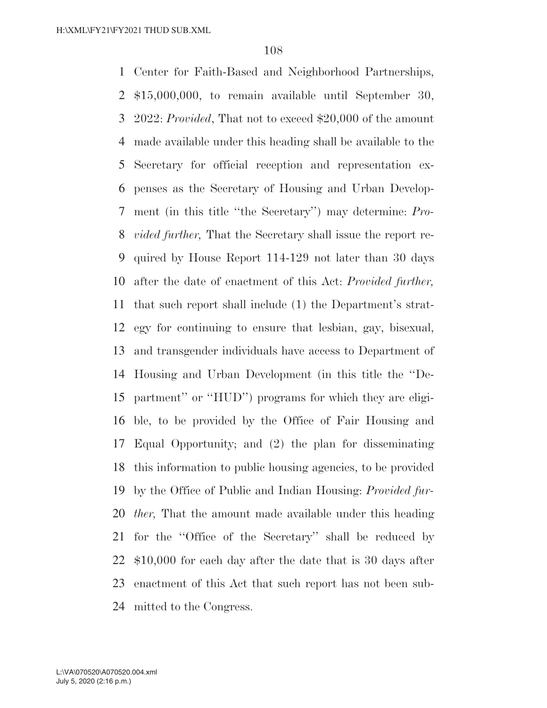Center for Faith-Based and Neighborhood Partnerships, \$15,000,000, to remain available until September 30, 2022: *Provided*, That not to exceed \$20,000 of the amount made available under this heading shall be available to the Secretary for official reception and representation ex- penses as the Secretary of Housing and Urban Develop- ment (in this title ''the Secretary'') may determine: *Pro- vided further,* That the Secretary shall issue the report re- quired by House Report 114-129 not later than 30 days after the date of enactment of this Act: *Provided further,*  that such report shall include (1) the Department's strat- egy for continuing to ensure that lesbian, gay, bisexual, and transgender individuals have access to Department of Housing and Urban Development (in this title the ''De- partment'' or ''HUD'') programs for which they are eligi- ble, to be provided by the Office of Fair Housing and Equal Opportunity; and (2) the plan for disseminating this information to public housing agencies, to be provided by the Office of Public and Indian Housing: *Provided fur- ther,* That the amount made available under this heading for the ''Office of the Secretary'' shall be reduced by \$10,000 for each day after the date that is 30 days after enactment of this Act that such report has not been sub-mitted to the Congress.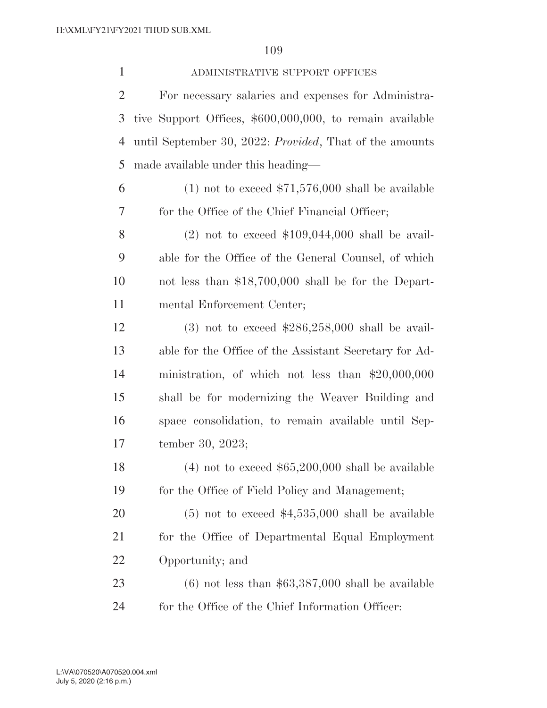| $\mathbf{1}$   | ADMINISTRATIVE SUPPORT OFFICES                                  |
|----------------|-----------------------------------------------------------------|
| $\overline{2}$ | For necessary salaries and expenses for Administra-             |
| 3              | tive Support Offices, \$600,000,000, to remain available        |
| 4              | until September 30, 2022: <i>Provided</i> , That of the amounts |
| 5              | made available under this heading—                              |
| 6              | $(1)$ not to exceed \$71,576,000 shall be available             |
| 7              | for the Office of the Chief Financial Officer;                  |
| 8              | $(2)$ not to exceed \$109,044,000 shall be avail-               |
| 9              | able for the Office of the General Counsel, of which            |
| 10             | not less than $$18,700,000$ shall be for the Depart-            |
| 11             | mental Enforcement Center;                                      |
| 12             | $(3)$ not to exceed \$286,258,000 shall be avail-               |
| 13             | able for the Office of the Assistant Secretary for Ad-          |
| 14             | ministration, of which not less than $$20,000,000$              |
| 15             | shall be for modernizing the Weaver Building and                |
| 16             | space consolidation, to remain available until Sep-             |
| 17             | tember 30, 2023;                                                |
| 18             | $(4)$ not to exceed \$65,200,000 shall be available             |
| 19             | for the Office of Field Policy and Management;                  |
| 20             | $(5)$ not to exceed \$4,535,000 shall be available              |
| 21             | for the Office of Departmental Equal Employment                 |
| 22             | Opportunity; and                                                |
| 23             | $(6)$ not less than \$63,387,000 shall be available             |
| 24             | for the Office of the Chief Information Officer:                |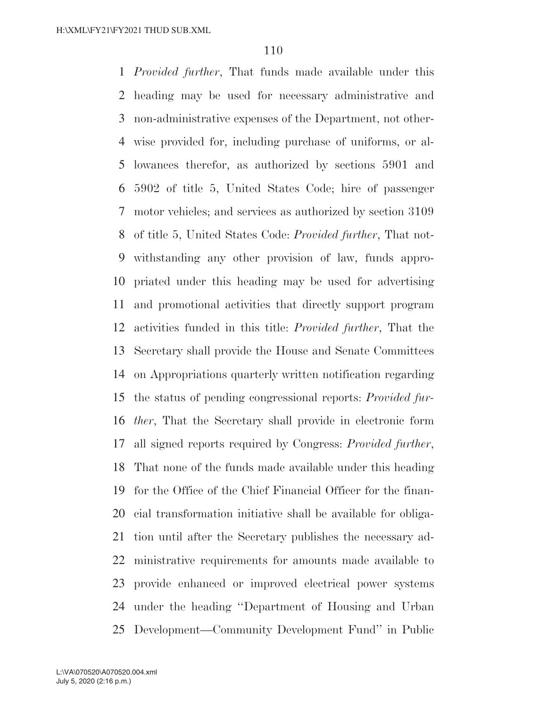*Provided further*, That funds made available under this heading may be used for necessary administrative and non-administrative expenses of the Department, not other- wise provided for, including purchase of uniforms, or al- lowances therefor, as authorized by sections 5901 and 5902 of title 5, United States Code; hire of passenger motor vehicles; and services as authorized by section 3109 of title 5, United States Code: *Provided further*, That not- withstanding any other provision of law, funds appro- priated under this heading may be used for advertising and promotional activities that directly support program activities funded in this title: *Provided further*, That the Secretary shall provide the House and Senate Committees on Appropriations quarterly written notification regarding the status of pending congressional reports: *Provided fur- ther*, That the Secretary shall provide in electronic form all signed reports required by Congress: *Provided further*, That none of the funds made available under this heading for the Office of the Chief Financial Officer for the finan- cial transformation initiative shall be available for obliga- tion until after the Secretary publishes the necessary ad- ministrative requirements for amounts made available to provide enhanced or improved electrical power systems under the heading ''Department of Housing and Urban Development—Community Development Fund'' in Public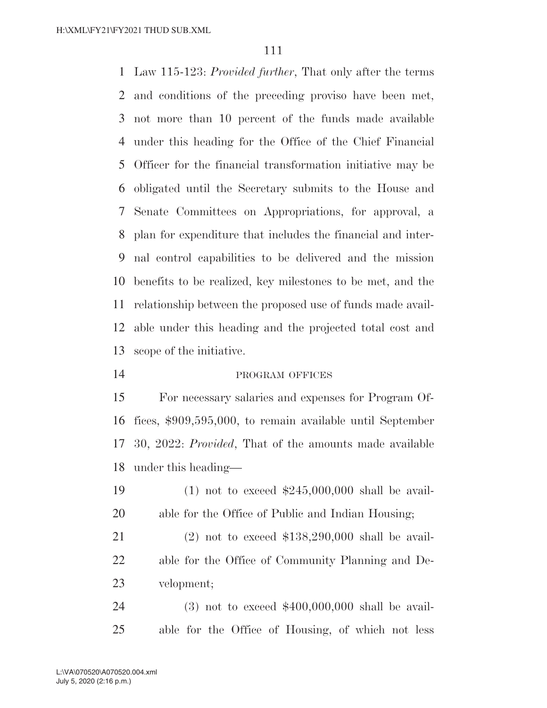Law 115-123: *Provided further*, That only after the terms and conditions of the preceding proviso have been met, not more than 10 percent of the funds made available under this heading for the Office of the Chief Financial Officer for the financial transformation initiative may be obligated until the Secretary submits to the House and Senate Committees on Appropriations, for approval, a plan for expenditure that includes the financial and inter- nal control capabilities to be delivered and the mission benefits to be realized, key milestones to be met, and the relationship between the proposed use of funds made avail- able under this heading and the projected total cost and scope of the initiative.

PROGRAM OFFICES

 For necessary salaries and expenses for Program Of- fices, \$909,595,000, to remain available until September 30, 2022: *Provided*, That of the amounts made available under this heading—

 (1) not to exceed \$245,000,000 shall be avail-able for the Office of Public and Indian Housing;

 (2) not to exceed \$138,290,000 shall be avail- able for the Office of Community Planning and De-velopment;

 (3) not to exceed \$400,000,000 shall be avail-able for the Office of Housing, of which not less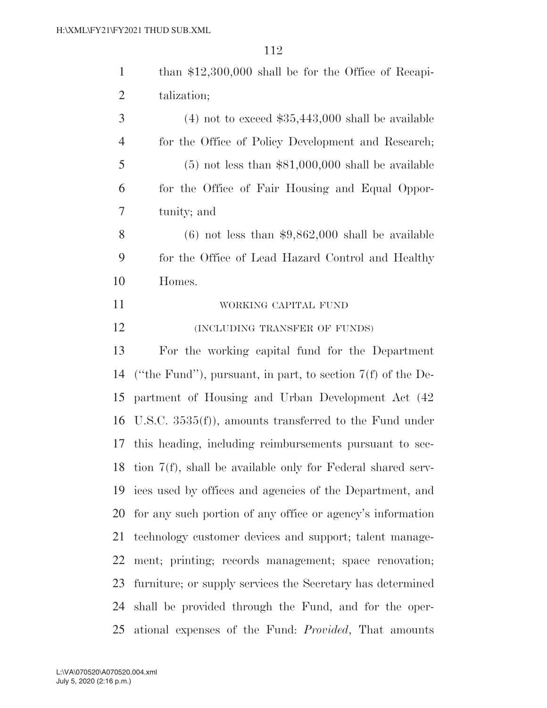| $\mathbf{1}$   | than $$12,300,000$ shall be for the Office of Recapi-             |
|----------------|-------------------------------------------------------------------|
| $\overline{2}$ | talization;                                                       |
| 3              | $(4)$ not to exceed \$35,443,000 shall be available               |
| $\overline{4}$ | for the Office of Policy Development and Research;                |
| 5              | $(5)$ not less than \$81,000,000 shall be available               |
| 6              | for the Office of Fair Housing and Equal Oppor-                   |
| 7              | tunity; and                                                       |
| $8\,$          | $(6)$ not less than \$9,862,000 shall be available                |
| 9              | for the Office of Lead Hazard Control and Healthy                 |
| 10             | Homes.                                                            |
| 11             | WORKING CAPITAL FUND                                              |
| 12             | (INCLUDING TRANSFER OF FUNDS)                                     |
| 13             | For the working capital fund for the Department                   |
| 14             | ("the Fund"), pursuant, in part, to section $7(f)$ of the De-     |
| 15             | partment of Housing and Urban Development Act (42                 |
| 16             | U.S.C. $3535(f)$ , amounts transferred to the Fund under          |
| 17             | this heading, including reimbursements pursuant to sec-           |
|                | 18 tion $7(f)$ , shall be available only for Federal shared serv- |
| 19             | ices used by offices and agencies of the Department, and          |
| 20             | for any such portion of any office or agency's information        |
| 21             | technology customer devices and support; talent manage-           |
| 22             | ment; printing; records management; space renovation;             |
| 23             | furniture; or supply services the Secretary has determined        |
| 24             | shall be provided through the Fund, and for the oper-             |
| 25             | ational expenses of the Fund: <i>Provided</i> , That amounts      |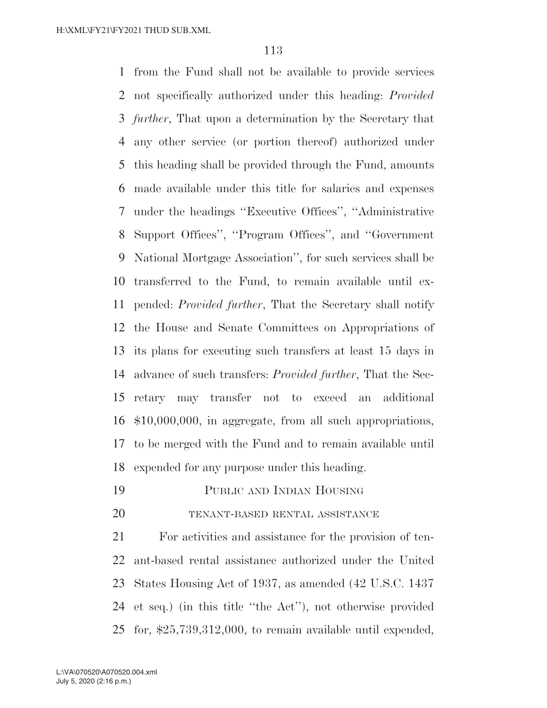from the Fund shall not be available to provide services not specifically authorized under this heading: *Provided further*, That upon a determination by the Secretary that any other service (or portion thereof) authorized under this heading shall be provided through the Fund, amounts made available under this title for salaries and expenses under the headings ''Executive Offices'', ''Administrative Support Offices'', ''Program Offices'', and ''Government National Mortgage Association'', for such services shall be transferred to the Fund, to remain available until ex- pended: *Provided further*, That the Secretary shall notify the House and Senate Committees on Appropriations of its plans for executing such transfers at least 15 days in advance of such transfers: *Provided further*, That the Sec- retary may transfer not to exceed an additional \$10,000,000, in aggregate, from all such appropriations, to be merged with the Fund and to remain available until expended for any purpose under this heading.

- PUBLIC AND INDIAN HOUSING
- TENANT-BASED RENTAL ASSISTANCE

 For activities and assistance for the provision of ten- ant-based rental assistance authorized under the United States Housing Act of 1937, as amended (42 U.S.C. 1437 et seq.) (in this title ''the Act''), not otherwise provided for, \$25,739,312,000, to remain available until expended,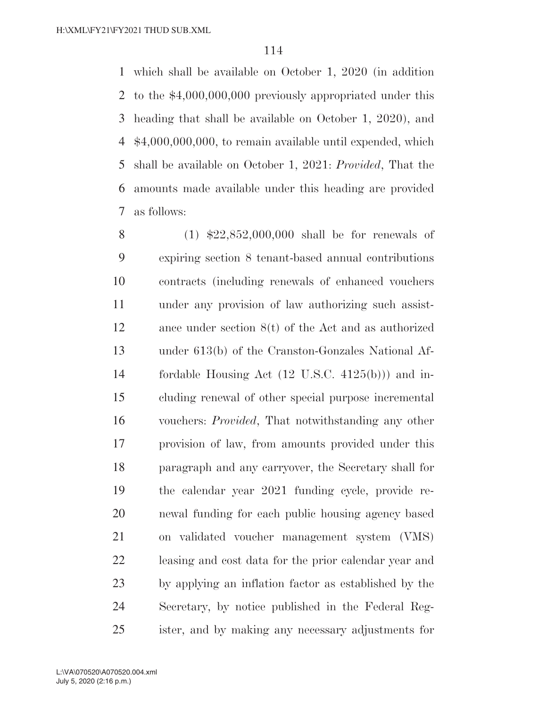which shall be available on October 1, 2020 (in addition to the \$4,000,000,000 previously appropriated under this heading that shall be available on October 1, 2020), and \$4,000,000,000, to remain available until expended, which shall be available on October 1, 2021: *Provided*, That the amounts made available under this heading are provided as follows:

 (1) \$22,852,000,000 shall be for renewals of expiring section 8 tenant-based annual contributions contracts (including renewals of enhanced vouchers under any provision of law authorizing such assist- ance under section 8(t) of the Act and as authorized under 613(b) of the Cranston-Gonzales National Af- fordable Housing Act (12 U.S.C. 4125(b))) and in- cluding renewal of other special purpose incremental vouchers: *Provided*, That notwithstanding any other provision of law, from amounts provided under this paragraph and any carryover, the Secretary shall for the calendar year 2021 funding cycle, provide re- newal funding for each public housing agency based on validated voucher management system (VMS) leasing and cost data for the prior calendar year and by applying an inflation factor as established by the Secretary, by notice published in the Federal Reg-ister, and by making any necessary adjustments for

July 5, 2020 (2:16 p.m.) L:\VA\070520\A070520.004.xml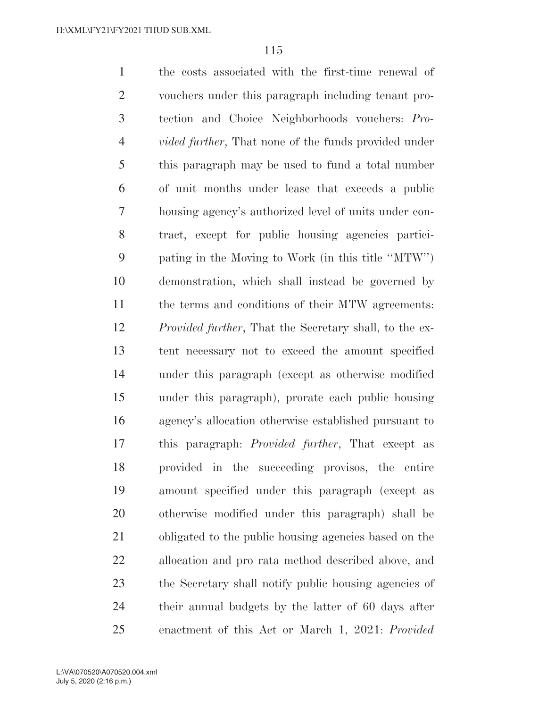the costs associated with the first-time renewal of vouchers under this paragraph including tenant pro- tection and Choice Neighborhoods vouchers: *Pro- vided further*, That none of the funds provided under this paragraph may be used to fund a total number of unit months under lease that exceeds a public housing agency's authorized level of units under con- tract, except for public housing agencies partici- pating in the Moving to Work (in this title ''MTW'') demonstration, which shall instead be governed by the terms and conditions of their MTW agreements: *Provided further*, That the Secretary shall, to the ex- tent necessary not to exceed the amount specified under this paragraph (except as otherwise modified under this paragraph), prorate each public housing agency's allocation otherwise established pursuant to this paragraph: *Provided further*, That except as provided in the succeeding provisos, the entire amount specified under this paragraph (except as otherwise modified under this paragraph) shall be obligated to the public housing agencies based on the allocation and pro rata method described above, and the Secretary shall notify public housing agencies of their annual budgets by the latter of 60 days after enactment of this Act or March 1, 2021: *Provided*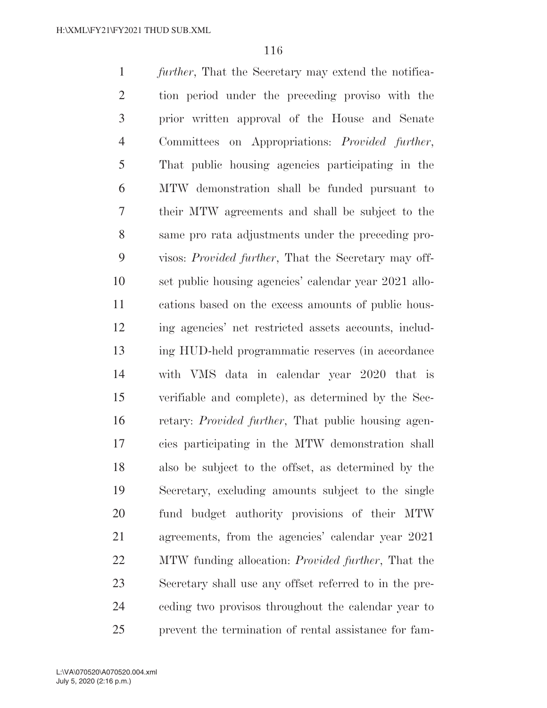*further*, That the Secretary may extend the notifica- tion period under the preceding proviso with the prior written approval of the House and Senate Committees on Appropriations: *Provided further*, That public housing agencies participating in the MTW demonstration shall be funded pursuant to their MTW agreements and shall be subject to the same pro rata adjustments under the preceding pro- visos: *Provided further*, That the Secretary may off- set public housing agencies' calendar year 2021 allo- cations based on the excess amounts of public hous- ing agencies' net restricted assets accounts, includ- ing HUD-held programmatic reserves (in accordance with VMS data in calendar year 2020 that is verifiable and complete), as determined by the Sec- retary: *Provided further*, That public housing agen- cies participating in the MTW demonstration shall also be subject to the offset, as determined by the Secretary, excluding amounts subject to the single fund budget authority provisions of their MTW agreements, from the agencies' calendar year 2021 MTW funding allocation: *Provided further*, That the Secretary shall use any offset referred to in the pre- ceding two provisos throughout the calendar year to prevent the termination of rental assistance for fam-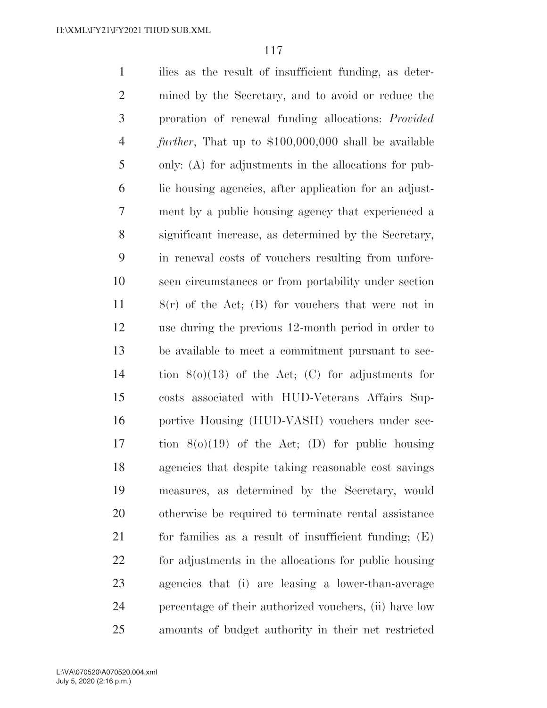1 ilies as the result of insufficient funding, as deter- mined by the Secretary, and to avoid or reduce the proration of renewal funding allocations: *Provided further*, That up to \$100,000,000 shall be available only: (A) for adjustments in the allocations for pub- lic housing agencies, after application for an adjust- ment by a public housing agency that experienced a significant increase, as determined by the Secretary, in renewal costs of vouchers resulting from unfore- seen circumstances or from portability under section 8(r) of the Act; (B) for vouchers that were not in use during the previous 12-month period in order to be available to meet a commitment pursuant to sec- tion 8(o)(13) of the Act; (C) for adjustments for costs associated with HUD-Veterans Affairs Sup- portive Housing (HUD-VASH) vouchers under sec-17 tion  $8(0)(19)$  of the Act; (D) for public housing agencies that despite taking reasonable cost savings measures, as determined by the Secretary, would otherwise be required to terminate rental assistance for families as a result of insufficient funding; (E) for adjustments in the allocations for public housing agencies that (i) are leasing a lower-than-average percentage of their authorized vouchers, (ii) have low amounts of budget authority in their net restricted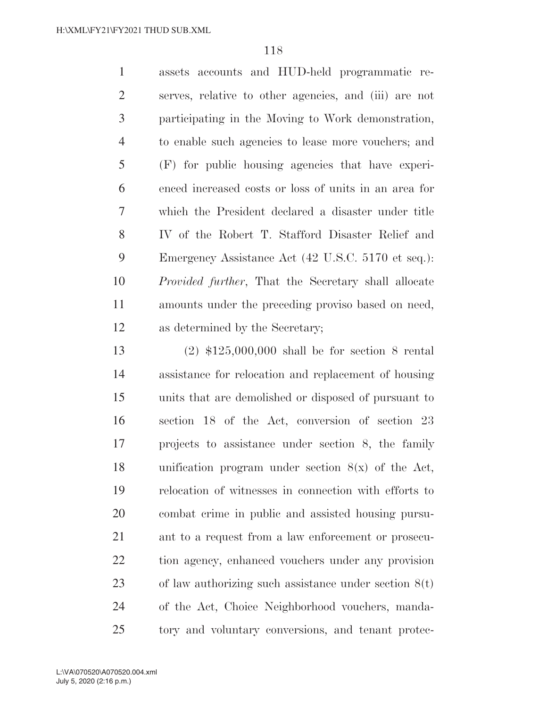assets accounts and HUD-held programmatic re- serves, relative to other agencies, and (iii) are not participating in the Moving to Work demonstration, to enable such agencies to lease more vouchers; and (F) for public housing agencies that have experi- enced increased costs or loss of units in an area for which the President declared a disaster under title IV of the Robert T. Stafford Disaster Relief and Emergency Assistance Act (42 U.S.C. 5170 et seq.): *Provided further*, That the Secretary shall allocate amounts under the preceding proviso based on need, as determined by the Secretary;

 (2) \$125,000,000 shall be for section 8 rental assistance for relocation and replacement of housing units that are demolished or disposed of pursuant to section 18 of the Act, conversion of section 23 projects to assistance under section 8, the family unification program under section 8(x) of the Act, relocation of witnesses in connection with efforts to combat crime in public and assisted housing pursu- ant to a request from a law enforcement or prosecu- tion agency, enhanced vouchers under any provision of law authorizing such assistance under section 8(t) of the Act, Choice Neighborhood vouchers, manda-tory and voluntary conversions, and tenant protec-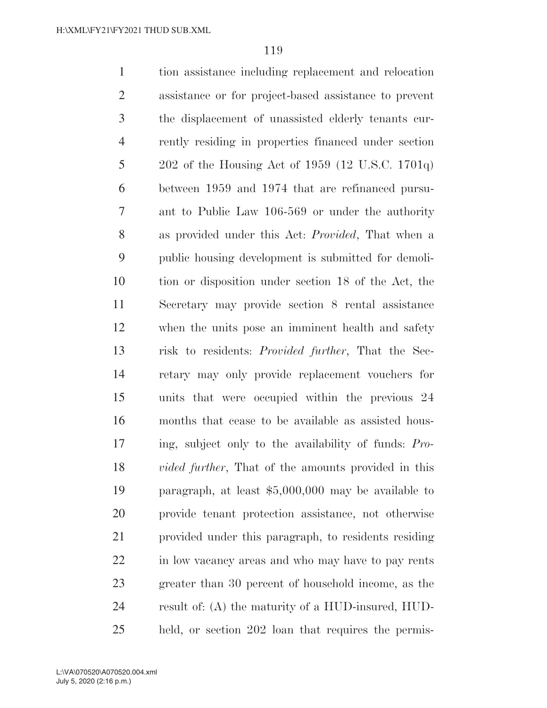tion assistance including replacement and relocation assistance or for project-based assistance to prevent the displacement of unassisted elderly tenants cur- rently residing in properties financed under section 202 of the Housing Act of 1959 (12 U.S.C. 1701q) between 1959 and 1974 that are refinanced pursu- ant to Public Law 106-569 or under the authority as provided under this Act: *Provided*, That when a public housing development is submitted for demoli- tion or disposition under section 18 of the Act, the Secretary may provide section 8 rental assistance when the units pose an imminent health and safety risk to residents: *Provided further*, That the Sec- retary may only provide replacement vouchers for units that were occupied within the previous 24 months that cease to be available as assisted hous- ing, subject only to the availability of funds: *Pro- vided further*, That of the amounts provided in this paragraph, at least \$5,000,000 may be available to provide tenant protection assistance, not otherwise provided under this paragraph, to residents residing in low vacancy areas and who may have to pay rents greater than 30 percent of household income, as the result of: (A) the maturity of a HUD-insured, HUD-held, or section 202 loan that requires the permis-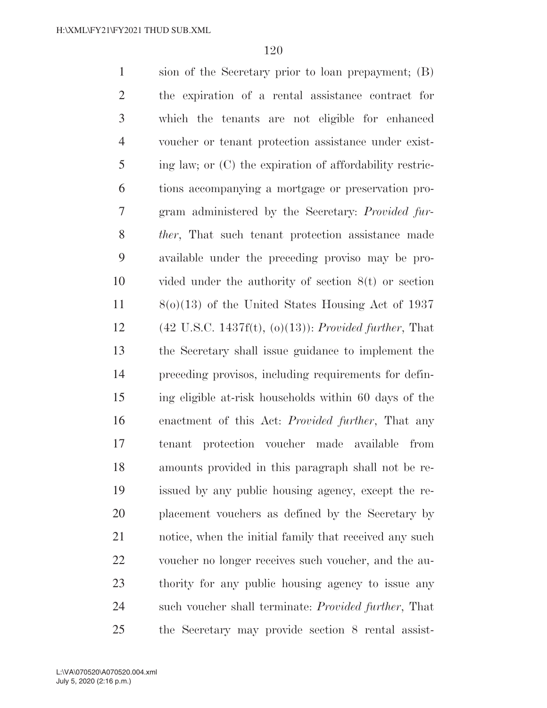sion of the Secretary prior to loan prepayment; (B) the expiration of a rental assistance contract for which the tenants are not eligible for enhanced voucher or tenant protection assistance under exist- ing law; or (C) the expiration of affordability restric- tions accompanying a mortgage or preservation pro- gram administered by the Secretary: *Provided fur- ther*, That such tenant protection assistance made available under the preceding proviso may be pro- vided under the authority of section 8(t) or section 8(o)(13) of the United States Housing Act of 1937 (42 U.S.C. 1437f(t), (o)(13)): *Provided further*, That the Secretary shall issue guidance to implement the preceding provisos, including requirements for defin- ing eligible at-risk households within 60 days of the enactment of this Act: *Provided further*, That any tenant protection voucher made available from amounts provided in this paragraph shall not be re- issued by any public housing agency, except the re- placement vouchers as defined by the Secretary by notice, when the initial family that received any such voucher no longer receives such voucher, and the au- thority for any public housing agency to issue any such voucher shall terminate: *Provided further*, That the Secretary may provide section 8 rental assist-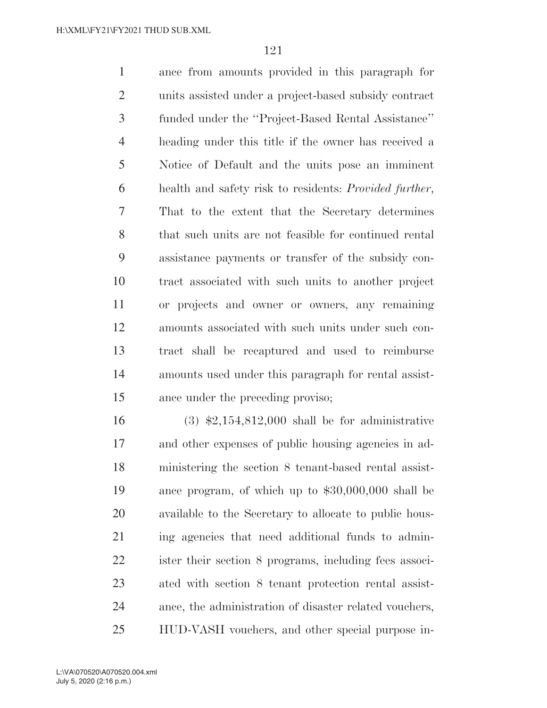ance from amounts provided in this paragraph for units assisted under a project-based subsidy contract funded under the ''Project-Based Rental Assistance'' heading under this title if the owner has received a Notice of Default and the units pose an imminent health and safety risk to residents: *Provided further*, That to the extent that the Secretary determines that such units are not feasible for continued rental assistance payments or transfer of the subsidy con- tract associated with such units to another project or projects and owner or owners, any remaining amounts associated with such units under such con- tract shall be recaptured and used to reimburse amounts used under this paragraph for rental assist-ance under the preceding proviso;

 (3) \$2,154,812,000 shall be for administrative and other expenses of public housing agencies in ad- ministering the section 8 tenant-based rental assist- ance program, of which up to \$30,000,000 shall be available to the Secretary to allocate to public hous- ing agencies that need additional funds to admin- ister their section 8 programs, including fees associ- ated with section 8 tenant protection rental assist- ance, the administration of disaster related vouchers, HUD-VASH vouchers, and other special purpose in-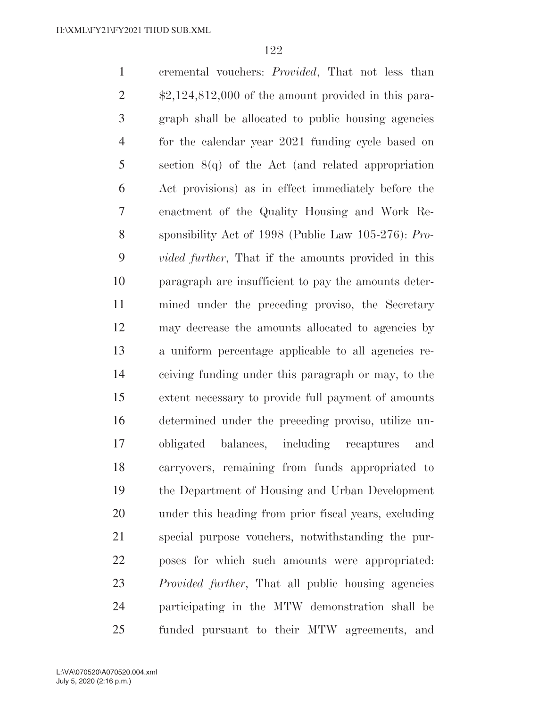cremental vouchers: *Provided*, That not less than 2 \$2,124,812,000 of the amount provided in this para- graph shall be allocated to public housing agencies for the calendar year 2021 funding cycle based on section 8(q) of the Act (and related appropriation Act provisions) as in effect immediately before the enactment of the Quality Housing and Work Re- sponsibility Act of 1998 (Public Law 105-276): *Pro- vided further*, That if the amounts provided in this paragraph are insufficient to pay the amounts deter- mined under the preceding proviso, the Secretary may decrease the amounts allocated to agencies by a uniform percentage applicable to all agencies re- ceiving funding under this paragraph or may, to the extent necessary to provide full payment of amounts determined under the preceding proviso, utilize un- obligated balances, including recaptures and carryovers, remaining from funds appropriated to the Department of Housing and Urban Development under this heading from prior fiscal years, excluding special purpose vouchers, notwithstanding the pur- poses for which such amounts were appropriated: *Provided further*, That all public housing agencies participating in the MTW demonstration shall be funded pursuant to their MTW agreements, and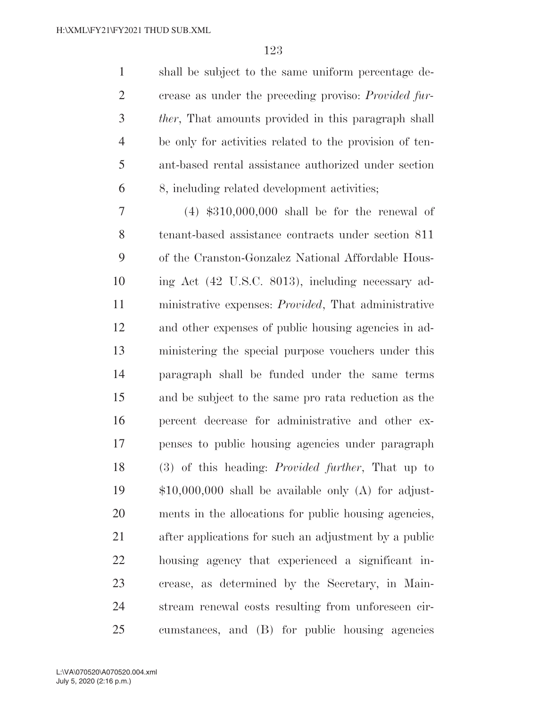shall be subject to the same uniform percentage de- crease as under the preceding proviso: *Provided fur- ther*, That amounts provided in this paragraph shall be only for activities related to the provision of ten- ant-based rental assistance authorized under section 8, including related development activities;

 (4) \$310,000,000 shall be for the renewal of tenant-based assistance contracts under section 811 of the Cranston-Gonzalez National Affordable Hous- ing Act (42 U.S.C. 8013), including necessary ad- ministrative expenses: *Provided*, That administrative and other expenses of public housing agencies in ad- ministering the special purpose vouchers under this paragraph shall be funded under the same terms and be subject to the same pro rata reduction as the percent decrease for administrative and other ex- penses to public housing agencies under paragraph (3) of this heading: *Provided further*, That up to \$10,000,000 shall be available only (A) for adjust- ments in the allocations for public housing agencies, after applications for such an adjustment by a public housing agency that experienced a significant in- crease, as determined by the Secretary, in Main- stream renewal costs resulting from unforeseen cir-cumstances, and (B) for public housing agencies

July 5, 2020 (2:16 p.m.) L:\VA\070520\A070520.004.xml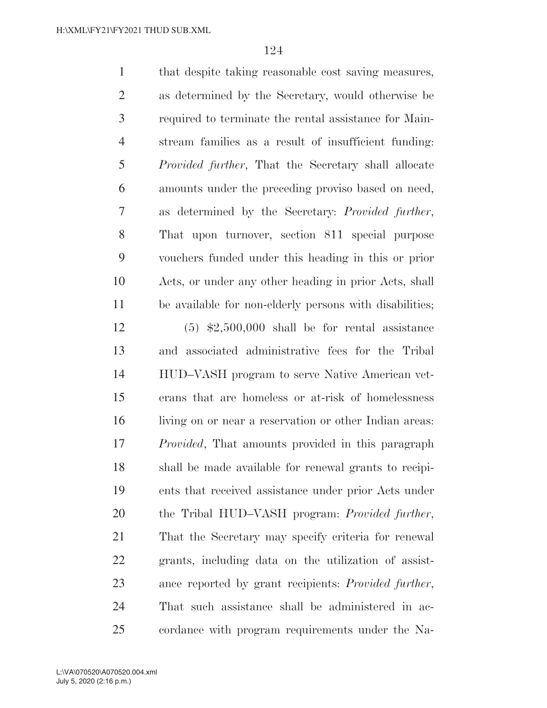| $\mathbf{1}$   | that despite taking reasonable cost saving measures,         |
|----------------|--------------------------------------------------------------|
| $\overline{2}$ | as determined by the Secretary, would otherwise be           |
| 3              | required to terminate the rental assistance for Main-        |
| $\overline{4}$ | stream families as a result of insufficient funding:         |
| 5              | <i>Provided further</i> , That the Secretary shall allocate  |
| 6              | amounts under the preceding proviso based on need,           |
| 7              | as determined by the Secretary: Provided further,            |
| 8              | That upon turnover, section 811 special purpose              |
| 9              | vouchers funded under this heading in this or prior          |
| 10             | Acts, or under any other heading in prior Acts, shall        |
| 11             | be available for non-elderly persons with disabilities;      |
| 12             | $(5)$ \$2,500,000 shall be for rental assistance             |
| 13             | and associated administrative fees for the Tribal            |
| 14             | HUD-VASH program to serve Native American vet-               |
| 15             | erans that are homeless or at-risk of homelessness           |
| 16             | living on or near a reservation or other Indian areas.       |
| 17             | <i>Provided</i> , That amounts provided in this paragraph    |
| 18             | shall be made available for renewal grants to recipi-        |
| 19             | ents that received assistance under prior Acts under         |
| 20             | the Tribal HUD-VASH program: Provided further,               |
| 21             | That the Secretary may specify criteria for renewal          |
| 22             | grants, including data on the utilization of assist-         |
| 23             | ance reported by grant recipients: <i>Provided further</i> , |
| 24             | That such assistance shall be administered in ac-            |
| 25             | cordance with program requirements under the Na-             |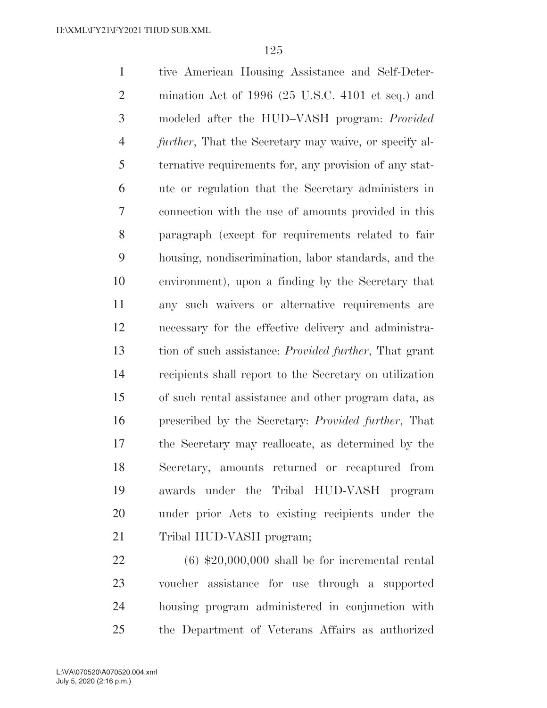tive American Housing Assistance and Self-Deter- mination Act of 1996 (25 U.S.C. 4101 et seq.) and modeled after the HUD–VASH program: *Provided further*, That the Secretary may waive, or specify al- ternative requirements for, any provision of any stat- ute or regulation that the Secretary administers in connection with the use of amounts provided in this paragraph (except for requirements related to fair housing, nondiscrimination, labor standards, and the environment), upon a finding by the Secretary that any such waivers or alternative requirements are necessary for the effective delivery and administra- tion of such assistance: *Provided further*, That grant recipients shall report to the Secretary on utilization of such rental assistance and other program data, as prescribed by the Secretary: *Provided further*, That the Secretary may reallocate, as determined by the Secretary, amounts returned or recaptured from awards under the Tribal HUD-VASH program under prior Acts to existing recipients under the Tribal HUD-VASH program;

 (6) \$20,000,000 shall be for incremental rental voucher assistance for use through a supported housing program administered in conjunction with the Department of Veterans Affairs as authorized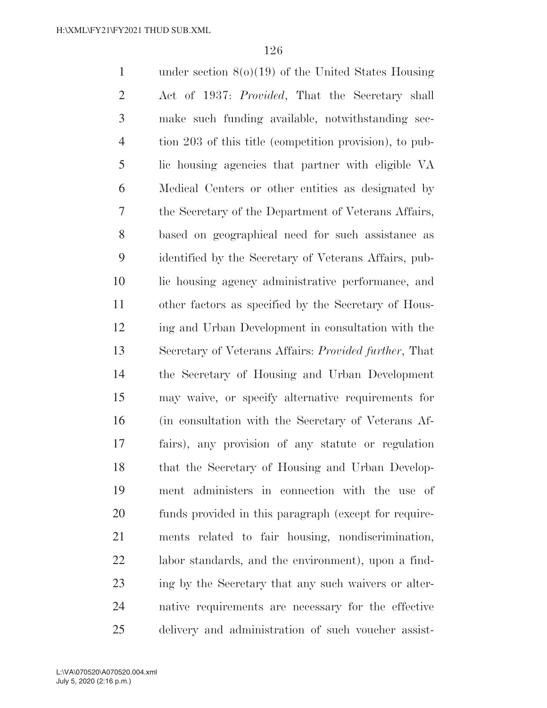under section 8(o)(19) of the United States Housing Act of 1937: *Provided*, That the Secretary shall make such funding available, notwithstanding sec- tion 203 of this title (competition provision), to pub- lic housing agencies that partner with eligible VA Medical Centers or other entities as designated by the Secretary of the Department of Veterans Affairs, based on geographical need for such assistance as identified by the Secretary of Veterans Affairs, pub- lic housing agency administrative performance, and other factors as specified by the Secretary of Hous- ing and Urban Development in consultation with the Secretary of Veterans Affairs: *Provided further*, That the Secretary of Housing and Urban Development may waive, or specify alternative requirements for (in consultation with the Secretary of Veterans Af- fairs), any provision of any statute or regulation that the Secretary of Housing and Urban Develop- ment administers in connection with the use of funds provided in this paragraph (except for require- ments related to fair housing, nondiscrimination, labor standards, and the environment), upon a find- ing by the Secretary that any such waivers or alter- native requirements are necessary for the effective delivery and administration of such voucher assist-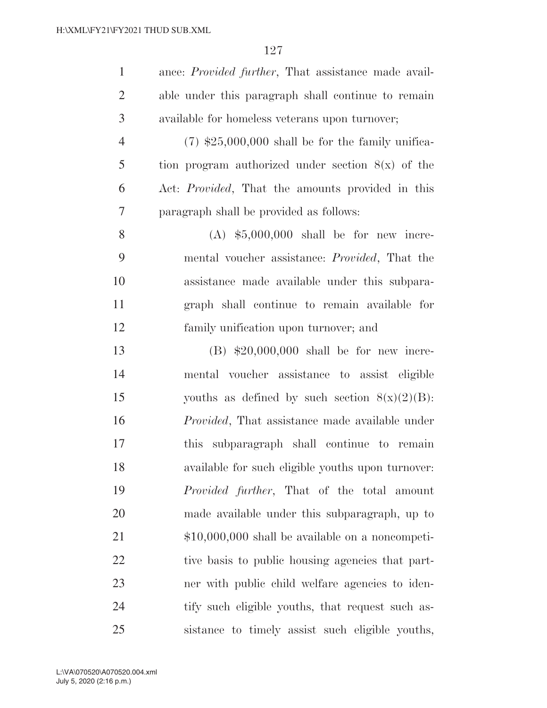| $\mathbf{1}$   | ance: <i>Provided further</i> , That assistance made avail- |
|----------------|-------------------------------------------------------------|
| $\overline{2}$ | able under this paragraph shall continue to remain          |
| 3              | available for homeless veterans upon turnover;              |
| $\overline{4}$ | $(7)$ \$25,000,000 shall be for the family unifica-         |
| 5              | tion program authorized under section $8(x)$ of the         |
| 6              | Act: <i>Provided</i> , That the amounts provided in this    |
| $\overline{7}$ | paragraph shall be provided as follows:                     |
| 8              | $(A)$ \$5,000,000 shall be for new incre-                   |
| 9              | mental voucher assistance: <i>Provided</i> , That the       |
| 10             | assistance made available under this subpara-               |
| 11             | graph shall continue to remain available for                |
| 12             | family unification upon turnover; and                       |
| 13             | $(B)$ \$20,000,000 shall be for new incre-                  |
| 14             | mental voucher assistance to assist eligible                |
| 15             | youths as defined by such section $8(x)(2)(B)$ :            |
| 16             | <i>Provided</i> , That assistance made available under      |
| 17             | this subparagraph shall continue to remain                  |
| 18             | available for such eligible youths upon turnover:           |
| 19             | <i>Provided further</i> , That of the total amount          |
| 20             | made available under this subparagraph, up to               |
| 21             | $$10,000,000$ shall be available on a noncompeti-           |
| 22             | tive basis to public housing agencies that part-            |
| 23             | ner with public child welfare agencies to iden-             |
| 24             | tify such eligible youths, that request such as-            |
| 25             | sistance to timely assist such eligible youths,             |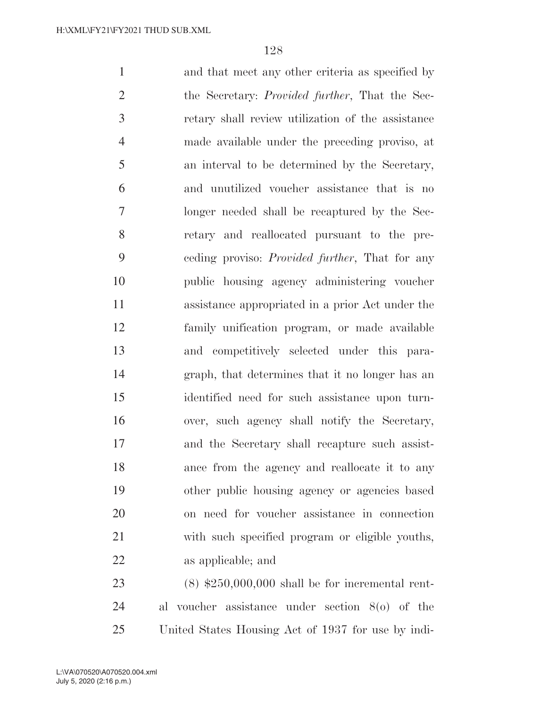and that meet any other criteria as specified by the Secretary: *Provided further*, That the Sec- retary shall review utilization of the assistance made available under the preceding proviso, at an interval to be determined by the Secretary, and unutilized voucher assistance that is no longer needed shall be recaptured by the Sec- retary and reallocated pursuant to the pre- ceding proviso: *Provided further*, That for any public housing agency administering voucher assistance appropriated in a prior Act under the family unification program, or made available and competitively selected under this para- graph, that determines that it no longer has an identified need for such assistance upon turn- over, such agency shall notify the Secretary, and the Secretary shall recapture such assist- ance from the agency and reallocate it to any other public housing agency or agencies based on need for voucher assistance in connection with such specified program or eligible youths, as applicable; and (8) \$250,000,000 shall be for incremental rent-

 al voucher assistance under section 8(o) of the United States Housing Act of 1937 for use by indi-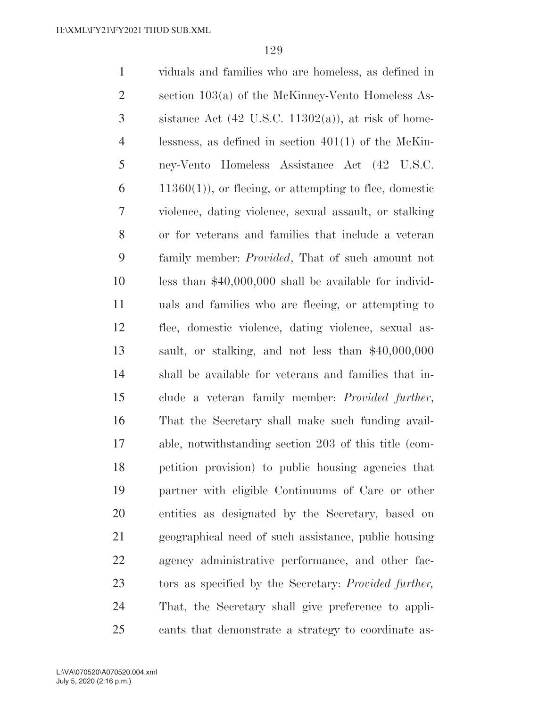viduals and families who are homeless, as defined in section 103(a) of the McKinney-Vento Homeless As- $\beta$  sistance Act (42 U.S.C. 11302(a)), at risk of home- lessness, as defined in section 401(1) of the McKin- ney-Vento Homeless Assistance Act (42 U.S.C.  $6 \qquad 11360(1)$ , or fleeing, or attempting to flee, domestic violence, dating violence, sexual assault, or stalking or for veterans and families that include a veteran family member: *Provided*, That of such amount not less than \$40,000,000 shall be available for individ- uals and families who are fleeing, or attempting to flee, domestic violence, dating violence, sexual as- sault, or stalking, and not less than \$40,000,000 shall be available for veterans and families that in- clude a veteran family member: *Provided further*, That the Secretary shall make such funding avail- able, notwithstanding section 203 of this title (com- petition provision) to public housing agencies that partner with eligible Continuums of Care or other entities as designated by the Secretary, based on geographical need of such assistance, public housing agency administrative performance, and other fac- tors as specified by the Secretary: *Provided further,*  That, the Secretary shall give preference to appli-cants that demonstrate a strategy to coordinate as-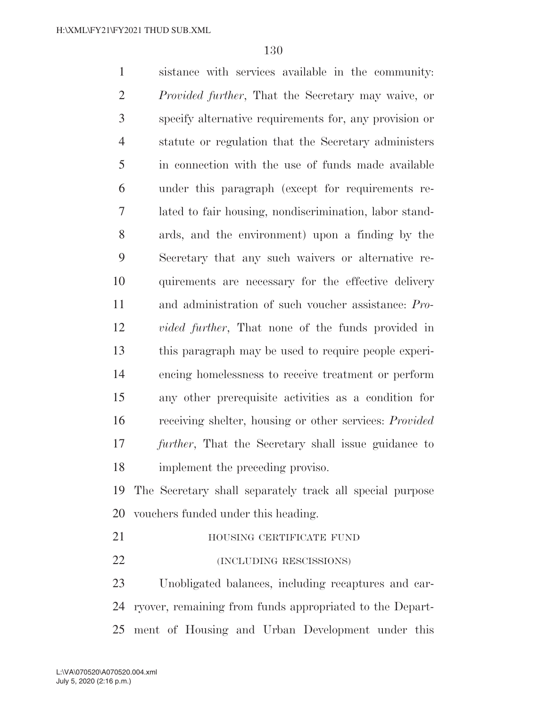sistance with services available in the community: *Provided further*, That the Secretary may waive, or specify alternative requirements for, any provision or statute or regulation that the Secretary administers in connection with the use of funds made available under this paragraph (except for requirements re- lated to fair housing, nondiscrimination, labor stand- ards, and the environment) upon a finding by the Secretary that any such waivers or alternative re- quirements are necessary for the effective delivery and administration of such voucher assistance: *Pro- vided further*, That none of the funds provided in this paragraph may be used to require people experi- encing homelessness to receive treatment or perform any other prerequisite activities as a condition for receiving shelter, housing or other services: *Provided further*, That the Secretary shall issue guidance to implement the preceding proviso.

 The Secretary shall separately track all special purpose vouchers funded under this heading.

- **HOUSING CERTIFICATE FUND**
- **INCLUDING RESCISSIONS**

 Unobligated balances, including recaptures and car- ryover, remaining from funds appropriated to the Depart-ment of Housing and Urban Development under this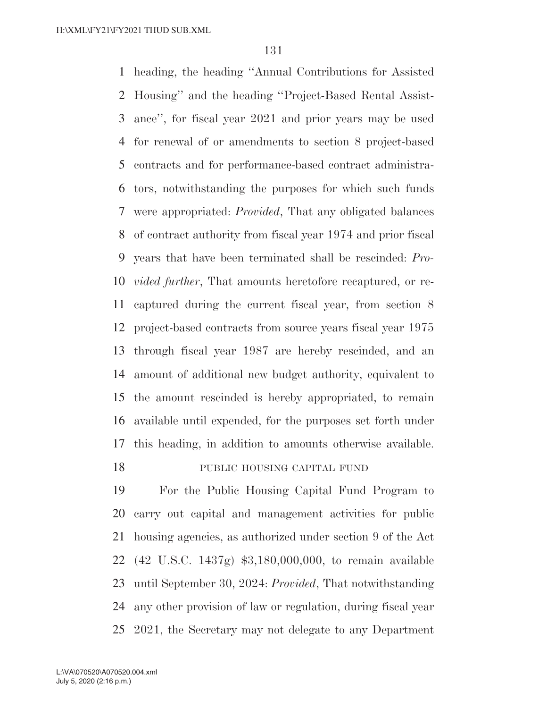heading, the heading ''Annual Contributions for Assisted Housing'' and the heading ''Project-Based Rental Assist- ance'', for fiscal year 2021 and prior years may be used for renewal of or amendments to section 8 project-based contracts and for performance-based contract administra- tors, notwithstanding the purposes for which such funds were appropriated: *Provided*, That any obligated balances of contract authority from fiscal year 1974 and prior fiscal years that have been terminated shall be rescinded: *Pro- vided further*, That amounts heretofore recaptured, or re- captured during the current fiscal year, from section 8 project-based contracts from source years fiscal year 1975 through fiscal year 1987 are hereby rescinded, and an amount of additional new budget authority, equivalent to the amount rescinded is hereby appropriated, to remain available until expended, for the purposes set forth under this heading, in addition to amounts otherwise available.

PUBLIC HOUSING CAPITAL FUND

 For the Public Housing Capital Fund Program to carry out capital and management activities for public housing agencies, as authorized under section 9 of the Act (42 U.S.C. 1437g) \$3,180,000,000, to remain available until September 30, 2024: *Provided*, That notwithstanding any other provision of law or regulation, during fiscal year 2021, the Secretary may not delegate to any Department

July 5, 2020 (2:16 p.m.) L:\VA\070520\A070520.004.xml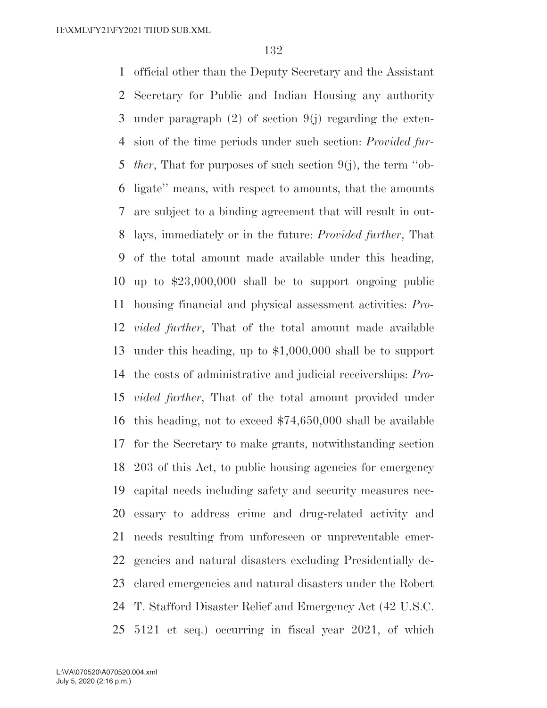official other than the Deputy Secretary and the Assistant Secretary for Public and Indian Housing any authority under paragraph (2) of section 9(j) regarding the exten- sion of the time periods under such section: *Provided fur- ther*, That for purposes of such section 9(j), the term ''ob- ligate'' means, with respect to amounts, that the amounts are subject to a binding agreement that will result in out- lays, immediately or in the future: *Provided further*, That of the total amount made available under this heading, up to \$23,000,000 shall be to support ongoing public housing financial and physical assessment activities: *Pro- vided further*, That of the total amount made available under this heading, up to \$1,000,000 shall be to support the costs of administrative and judicial receiverships: *Pro- vided further*, That of the total amount provided under this heading, not to exceed \$74,650,000 shall be available for the Secretary to make grants, notwithstanding section 203 of this Act, to public housing agencies for emergency capital needs including safety and security measures nec- essary to address crime and drug-related activity and needs resulting from unforeseen or unpreventable emer- gencies and natural disasters excluding Presidentially de- clared emergencies and natural disasters under the Robert T. Stafford Disaster Relief and Emergency Act (42 U.S.C. 5121 et seq.) occurring in fiscal year 2021, of which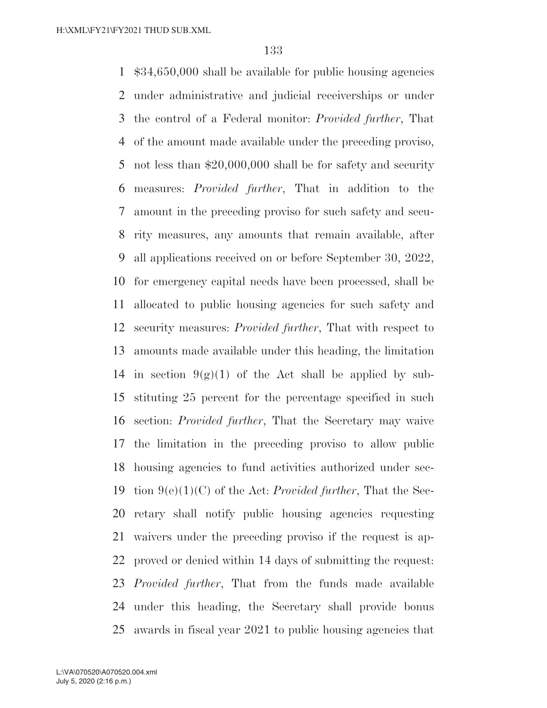\$34,650,000 shall be available for public housing agencies under administrative and judicial receiverships or under the control of a Federal monitor: *Provided further*, That of the amount made available under the preceding proviso, not less than \$20,000,000 shall be for safety and security measures: *Provided further*, That in addition to the amount in the preceding proviso for such safety and secu- rity measures, any amounts that remain available, after all applications received on or before September 30, 2022, for emergency capital needs have been processed, shall be allocated to public housing agencies for such safety and security measures: *Provided further*, That with respect to amounts made available under this heading, the limitation 14 in section  $9(g)(1)$  of the Act shall be applied by sub- stituting 25 percent for the percentage specified in such section: *Provided further*, That the Secretary may waive the limitation in the preceding proviso to allow public housing agencies to fund activities authorized under sec- tion 9(e)(1)(C) of the Act: *Provided further*, That the Sec- retary shall notify public housing agencies requesting waivers under the preceding proviso if the request is ap- proved or denied within 14 days of submitting the request: *Provided further*, That from the funds made available under this heading, the Secretary shall provide bonus awards in fiscal year 2021 to public housing agencies that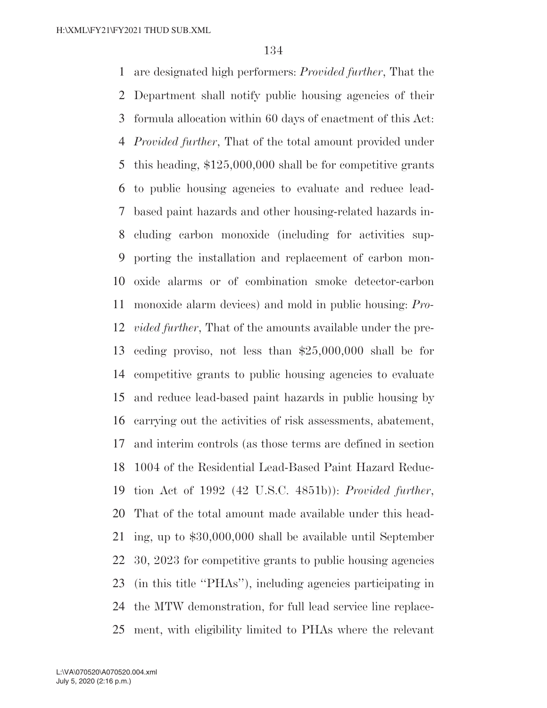are designated high performers: *Provided further*, That the Department shall notify public housing agencies of their formula allocation within 60 days of enactment of this Act: *Provided further*, That of the total amount provided under this heading, \$125,000,000 shall be for competitive grants to public housing agencies to evaluate and reduce lead- based paint hazards and other housing-related hazards in- cluding carbon monoxide (including for activities sup- porting the installation and replacement of carbon mon- oxide alarms or of combination smoke detector-carbon monoxide alarm devices) and mold in public housing: *Pro- vided further*, That of the amounts available under the pre- ceding proviso, not less than \$25,000,000 shall be for competitive grants to public housing agencies to evaluate and reduce lead-based paint hazards in public housing by carrying out the activities of risk assessments, abatement, and interim controls (as those terms are defined in section 1004 of the Residential Lead-Based Paint Hazard Reduc- tion Act of 1992 (42 U.S.C. 4851b)): *Provided further*, That of the total amount made available under this head- ing, up to \$30,000,000 shall be available until September 30, 2023 for competitive grants to public housing agencies (in this title ''PHAs''), including agencies participating in the MTW demonstration, for full lead service line replace-ment, with eligibility limited to PHAs where the relevant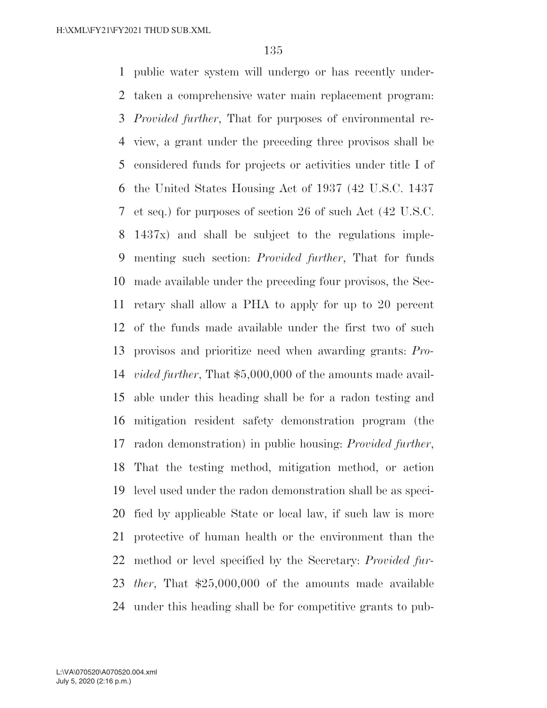public water system will undergo or has recently under- taken a comprehensive water main replacement program: *Provided further*, That for purposes of environmental re- view, a grant under the preceding three provisos shall be considered funds for projects or activities under title I of the United States Housing Act of 1937 (42 U.S.C. 1437 et seq.) for purposes of section 26 of such Act (42 U.S.C. 1437x) and shall be subject to the regulations imple- menting such section: *Provided further*, That for funds made available under the preceding four provisos, the Sec- retary shall allow a PHA to apply for up to 20 percent of the funds made available under the first two of such provisos and prioritize need when awarding grants: *Pro- vided further*, That \$5,000,000 of the amounts made avail- able under this heading shall be for a radon testing and mitigation resident safety demonstration program (the radon demonstration) in public housing: *Provided further*, That the testing method, mitigation method, or action level used under the radon demonstration shall be as speci- fied by applicable State or local law, if such law is more protective of human health or the environment than the method or level specified by the Secretary: *Provided fur- ther*, That \$25,000,000 of the amounts made available under this heading shall be for competitive grants to pub-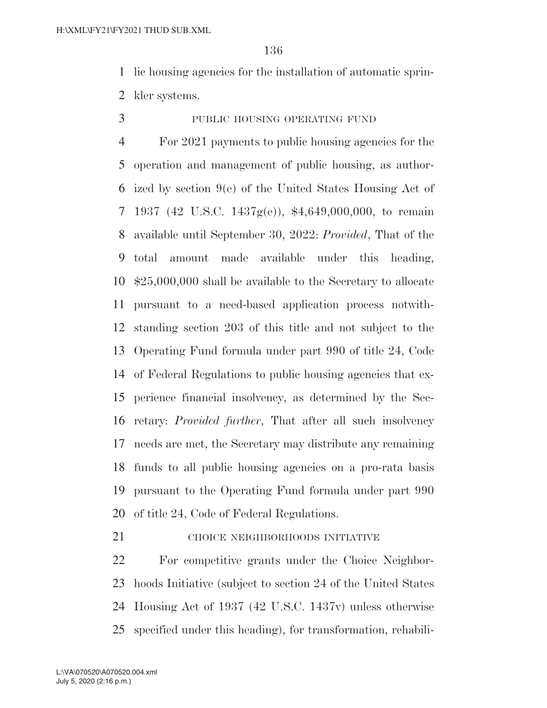lic housing agencies for the installation of automatic sprin-kler systems.

## PUBLIC HOUSING OPERATING FUND

 For 2021 payments to public housing agencies for the operation and management of public housing, as author- ized by section 9(e) of the United States Housing Act of 1937 (42 U.S.C. 1437g(e)), \$4,649,000,000, to remain available until September 30, 2022: *Provided*, That of the total amount made available under this heading, \$25,000,000 shall be available to the Secretary to allocate pursuant to a need-based application process notwith- standing section 203 of this title and not subject to the Operating Fund formula under part 990 of title 24, Code of Federal Regulations to public housing agencies that ex- perience financial insolvency, as determined by the Sec- retary: *Provided further*, That after all such insolvency needs are met, the Secretary may distribute any remaining funds to all public housing agencies on a pro-rata basis pursuant to the Operating Fund formula under part 990 of title 24, Code of Federal Regulations.

CHOICE NEIGHBORHOODS INITIATIVE

 For competitive grants under the Choice Neighbor- hoods Initiative (subject to section 24 of the United States Housing Act of 1937 (42 U.S.C. 1437v) unless otherwise specified under this heading), for transformation, rehabili-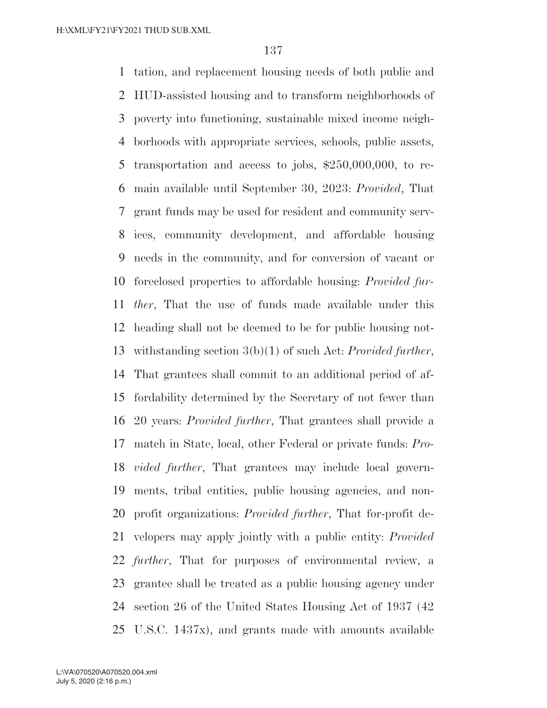tation, and replacement housing needs of both public and HUD-assisted housing and to transform neighborhoods of poverty into functioning, sustainable mixed income neigh- borhoods with appropriate services, schools, public assets, transportation and access to jobs, \$250,000,000, to re- main available until September 30, 2023: *Provided*, That grant funds may be used for resident and community serv- ices, community development, and affordable housing needs in the community, and for conversion of vacant or foreclosed properties to affordable housing: *Provided fur- ther*, That the use of funds made available under this heading shall not be deemed to be for public housing not- withstanding section 3(b)(1) of such Act: *Provided further*, That grantees shall commit to an additional period of af- fordability determined by the Secretary of not fewer than 20 years: *Provided further*, That grantees shall provide a match in State, local, other Federal or private funds: *Pro- vided further*, That grantees may include local govern- ments, tribal entities, public housing agencies, and non- profit organizations: *Provided further*, That for-profit de- velopers may apply jointly with a public entity: *Provided further*, That for purposes of environmental review, a grantee shall be treated as a public housing agency under section 26 of the United States Housing Act of 1937 (42 U.S.C. 1437x), and grants made with amounts available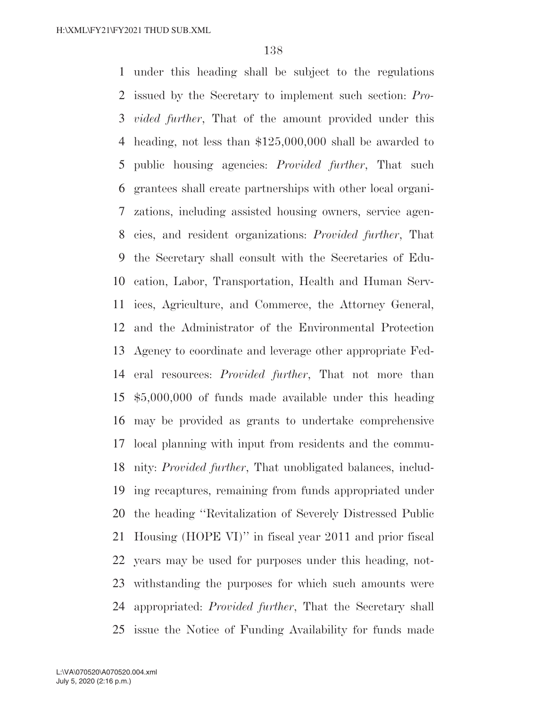under this heading shall be subject to the regulations issued by the Secretary to implement such section: *Pro- vided further*, That of the amount provided under this heading, not less than \$125,000,000 shall be awarded to public housing agencies: *Provided further*, That such grantees shall create partnerships with other local organi- zations, including assisted housing owners, service agen- cies, and resident organizations: *Provided further*, That the Secretary shall consult with the Secretaries of Edu- cation, Labor, Transportation, Health and Human Serv- ices, Agriculture, and Commerce, the Attorney General, and the Administrator of the Environmental Protection Agency to coordinate and leverage other appropriate Fed- eral resources: *Provided further*, That not more than \$5,000,000 of funds made available under this heading may be provided as grants to undertake comprehensive local planning with input from residents and the commu- nity: *Provided further*, That unobligated balances, includ- ing recaptures, remaining from funds appropriated under the heading ''Revitalization of Severely Distressed Public Housing (HOPE VI)'' in fiscal year 2011 and prior fiscal years may be used for purposes under this heading, not- withstanding the purposes for which such amounts were appropriated: *Provided further*, That the Secretary shall issue the Notice of Funding Availability for funds made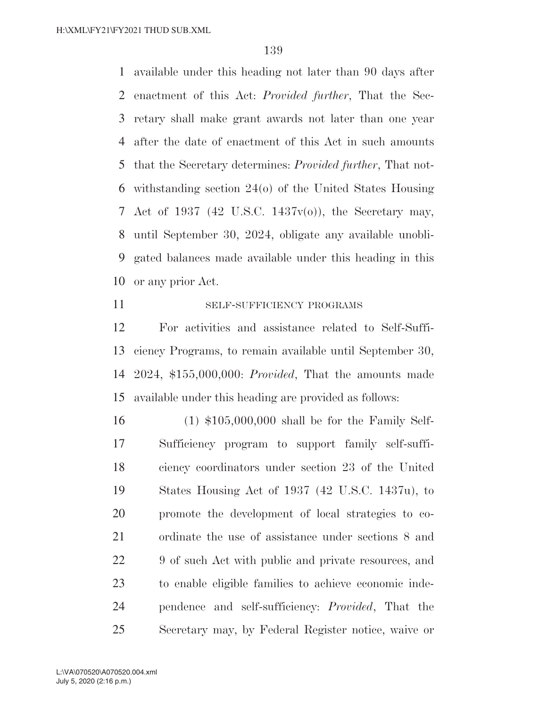available under this heading not later than 90 days after enactment of this Act: *Provided further*, That the Sec- retary shall make grant awards not later than one year after the date of enactment of this Act in such amounts that the Secretary determines: *Provided further*, That not- withstanding section 24(o) of the United States Housing Act of 1937 (42 U.S.C. 1437v(o)), the Secretary may, until September 30, 2024, obligate any available unobli- gated balances made available under this heading in this or any prior Act.

## 11 SELF-SUFFICIENCY PROGRAMS

 For activities and assistance related to Self-Suffi- ciency Programs, to remain available until September 30, 2024, \$155,000,000: *Provided*, That the amounts made available under this heading are provided as follows:

 (1) \$105,000,000 shall be for the Family Self- Sufficiency program to support family self-suffi- ciency coordinators under section 23 of the United States Housing Act of 1937 (42 U.S.C. 1437u), to promote the development of local strategies to co- ordinate the use of assistance under sections 8 and 22 9 of such Act with public and private resources, and to enable eligible families to achieve economic inde- pendence and self-sufficiency: *Provided*, That the Secretary may, by Federal Register notice, waive or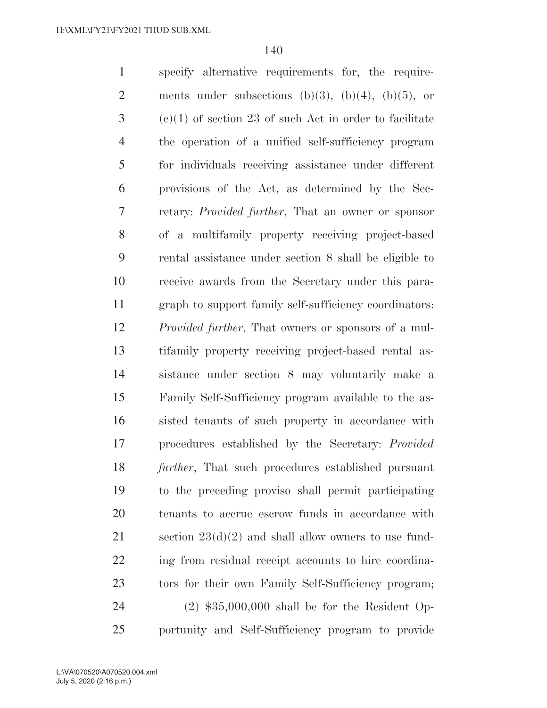specify alternative requirements for, the require-2 ments under subsections  $(b)(3)$ ,  $(b)(4)$ ,  $(b)(5)$ , or  $3 \quad (e)(1)$  of section 23 of such Act in order to facilitate the operation of a unified self-sufficiency program for individuals receiving assistance under different provisions of the Act, as determined by the Sec- retary: *Provided further*, That an owner or sponsor of a multifamily property receiving project-based rental assistance under section 8 shall be eligible to receive awards from the Secretary under this para- graph to support family self-sufficiency coordinators: *Provided further*, That owners or sponsors of a mul- tifamily property receiving project-based rental as- sistance under section 8 may voluntarily make a Family Self-Sufficiency program available to the as- sisted tenants of such property in accordance with procedures established by the Secretary: *Provided further*, That such procedures established pursuant to the preceding proviso shall permit participating tenants to accrue escrow funds in accordance with 21 section  $23(d)(2)$  and shall allow owners to use fund- ing from residual receipt accounts to hire coordina- tors for their own Family Self-Sufficiency program; (2) \$35,000,000 shall be for the Resident Op-portunity and Self-Sufficiency program to provide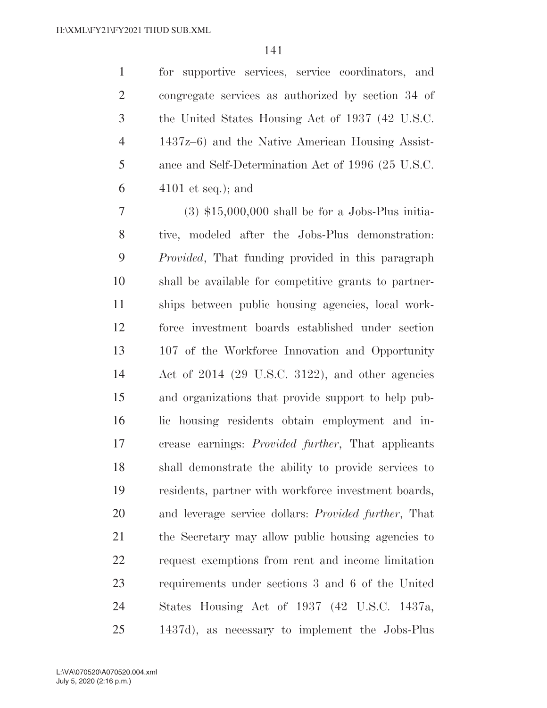for supportive services, service coordinators, and congregate services as authorized by section 34 of the United States Housing Act of 1937 (42 U.S.C. 1437z–6) and the Native American Housing Assist- ance and Self-Determination Act of 1996 (25 U.S.C. 4101 et seq.); and

 (3) \$15,000,000 shall be for a Jobs-Plus initia- tive, modeled after the Jobs-Plus demonstration: *Provided*, That funding provided in this paragraph shall be available for competitive grants to partner- ships between public housing agencies, local work- force investment boards established under section 107 of the Workforce Innovation and Opportunity Act of 2014 (29 U.S.C. 3122), and other agencies and organizations that provide support to help pub- lic housing residents obtain employment and in- crease earnings: *Provided further*, That applicants shall demonstrate the ability to provide services to residents, partner with workforce investment boards, and leverage service dollars: *Provided further*, That the Secretary may allow public housing agencies to request exemptions from rent and income limitation requirements under sections 3 and 6 of the United States Housing Act of 1937 (42 U.S.C. 1437a, 1437d), as necessary to implement the Jobs-Plus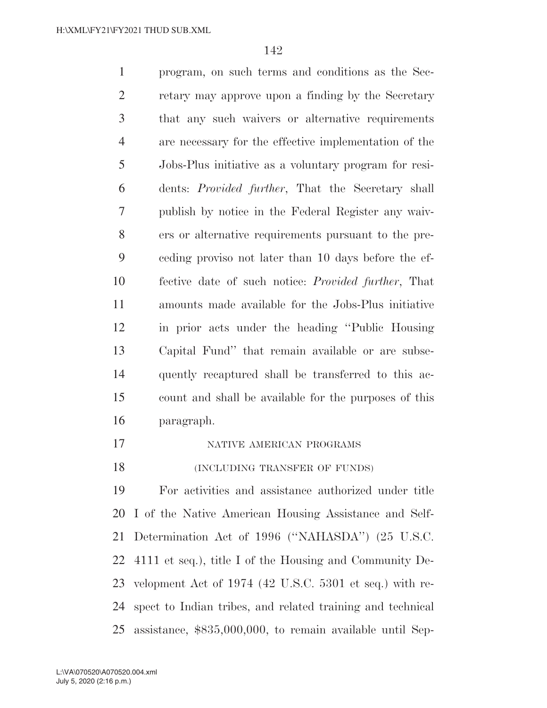program, on such terms and conditions as the Sec- retary may approve upon a finding by the Secretary that any such waivers or alternative requirements are necessary for the effective implementation of the Jobs-Plus initiative as a voluntary program for resi- dents: *Provided further*, That the Secretary shall publish by notice in the Federal Register any waiv- ers or alternative requirements pursuant to the pre- ceding proviso not later than 10 days before the ef- fective date of such notice: *Provided further*, That amounts made available for the Jobs-Plus initiative in prior acts under the heading ''Public Housing Capital Fund'' that remain available or are subse- quently recaptured shall be transferred to this ac- count and shall be available for the purposes of this paragraph.

- 17 NATIVE AMERICAN PROGRAMS
- 18 (INCLUDING TRANSFER OF FUNDS)

 For activities and assistance authorized under title I of the Native American Housing Assistance and Self- Determination Act of 1996 (''NAHASDA'') (25 U.S.C. 4111 et seq.), title I of the Housing and Community De- velopment Act of 1974 (42 U.S.C. 5301 et seq.) with re- spect to Indian tribes, and related training and technical assistance, \$835,000,000, to remain available until Sep-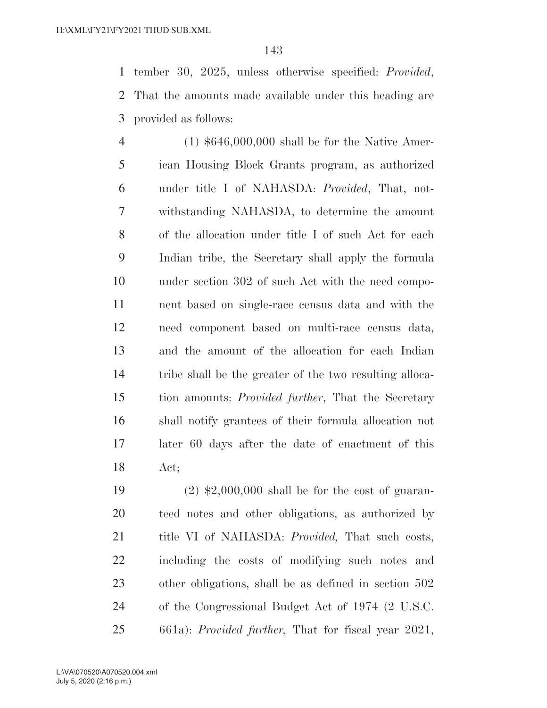tember 30, 2025, unless otherwise specified: *Provided*, That the amounts made available under this heading are provided as follows:

 (1) \$646,000,000 shall be for the Native Amer- ican Housing Block Grants program, as authorized under title I of NAHASDA: *Provided*, That, not- withstanding NAHASDA, to determine the amount of the allocation under title I of such Act for each Indian tribe, the Secretary shall apply the formula under section 302 of such Act with the need compo- nent based on single-race census data and with the need component based on multi-race census data, and the amount of the allocation for each Indian tribe shall be the greater of the two resulting alloca- tion amounts: *Provided further*, That the Secretary shall notify grantees of their formula allocation not later 60 days after the date of enactment of this Act;

 (2) \$2,000,000 shall be for the cost of guaran- teed notes and other obligations, as authorized by title VI of NAHASDA: *Provided,* That such costs, including the costs of modifying such notes and other obligations, shall be as defined in section 502 of the Congressional Budget Act of 1974 (2 U.S.C. 661a): *Provided further,* That for fiscal year 2021,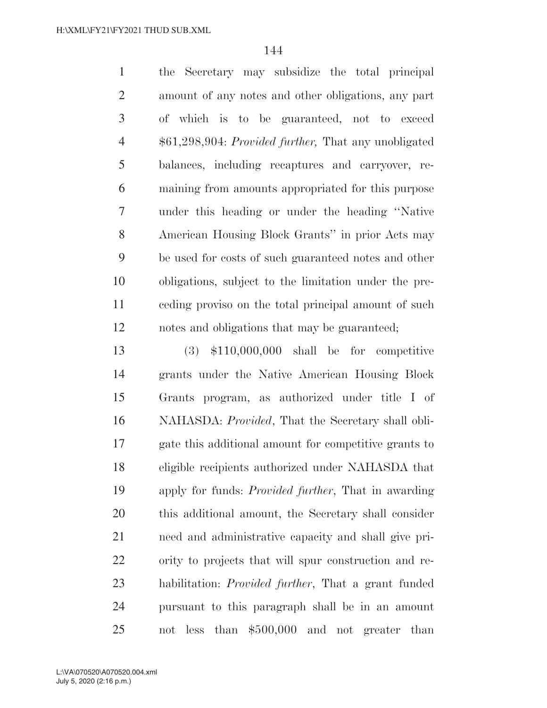the Secretary may subsidize the total principal amount of any notes and other obligations, any part of which is to be guaranteed, not to exceed \$61,298,904: *Provided further,* That any unobligated balances, including recaptures and carryover, re- maining from amounts appropriated for this purpose under this heading or under the heading ''Native American Housing Block Grants'' in prior Acts may be used for costs of such guaranteed notes and other obligations, subject to the limitation under the pre- ceding proviso on the total principal amount of such notes and obligations that may be guaranteed;

 (3) \$110,000,000 shall be for competitive grants under the Native American Housing Block Grants program, as authorized under title I of NAHASDA: *Provided*, That the Secretary shall obli- gate this additional amount for competitive grants to eligible recipients authorized under NAHASDA that apply for funds: *Provided further*, That in awarding this additional amount, the Secretary shall consider need and administrative capacity and shall give pri- ority to projects that will spur construction and re- habilitation: *Provided further*, That a grant funded pursuant to this paragraph shall be in an amount not less than \$500,000 and not greater than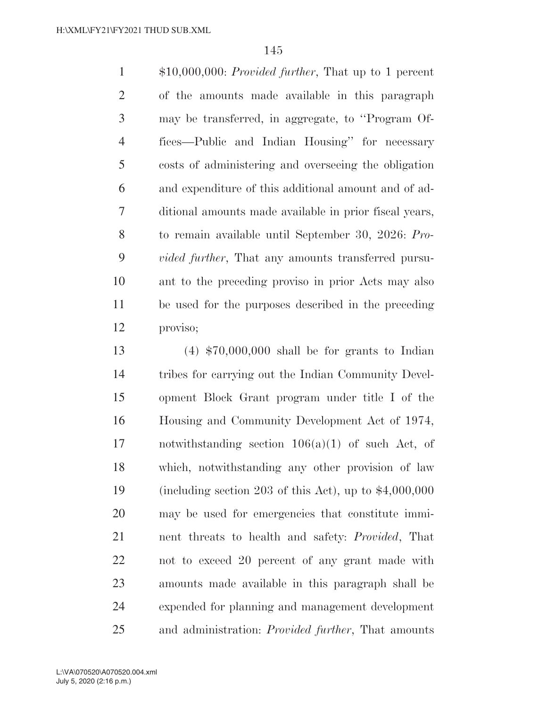\$10,000,000: *Provided further*, That up to 1 percent of the amounts made available in this paragraph may be transferred, in aggregate, to ''Program Of- fices—Public and Indian Housing'' for necessary costs of administering and overseeing the obligation and expenditure of this additional amount and of ad- ditional amounts made available in prior fiscal years, to remain available until September 30, 2026: *Pro- vided further*, That any amounts transferred pursu- ant to the preceding proviso in prior Acts may also be used for the purposes described in the preceding proviso;

 (4) \$70,000,000 shall be for grants to Indian tribes for carrying out the Indian Community Devel- opment Block Grant program under title I of the Housing and Community Development Act of 1974, notwithstanding section 106(a)(1) of such Act, of which, notwithstanding any other provision of law (including section 203 of this Act), up to \$4,000,000 may be used for emergencies that constitute immi- nent threats to health and safety: *Provided*, That not to exceed 20 percent of any grant made with amounts made available in this paragraph shall be expended for planning and management development and administration: *Provided further*, That amounts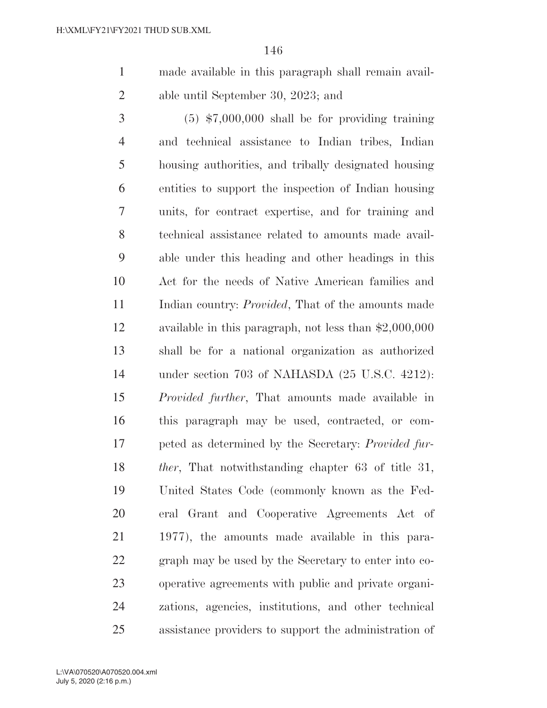made available in this paragraph shall remain avail-able until September 30, 2023; and

 (5) \$7,000,000 shall be for providing training and technical assistance to Indian tribes, Indian housing authorities, and tribally designated housing entities to support the inspection of Indian housing units, for contract expertise, and for training and technical assistance related to amounts made avail- able under this heading and other headings in this Act for the needs of Native American families and Indian country: *Provided*, That of the amounts made available in this paragraph, not less than \$2,000,000 shall be for a national organization as authorized under section 703 of NAHASDA (25 U.S.C. 4212): *Provided further*, That amounts made available in this paragraph may be used, contracted, or com- peted as determined by the Secretary: *Provided fur- ther*, That notwithstanding chapter 63 of title 31, United States Code (commonly known as the Fed- eral Grant and Cooperative Agreements Act of 1977), the amounts made available in this para- graph may be used by the Secretary to enter into co- operative agreements with public and private organi- zations, agencies, institutions, and other technical assistance providers to support the administration of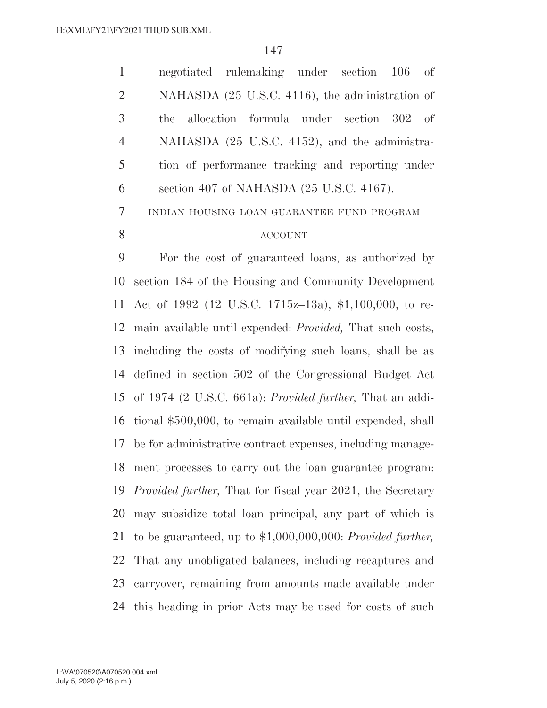negotiated rulemaking under section 106 of NAHASDA (25 U.S.C. 4116), the administration of the allocation formula under section 302 of NAHASDA (25 U.S.C. 4152), and the administra- tion of performance tracking and reporting under section 407 of NAHASDA (25 U.S.C. 4167). INDIAN HOUSING LOAN GUARANTEE FUND PROGRAM ACCOUNT

 For the cost of guaranteed loans, as authorized by section 184 of the Housing and Community Development Act of 1992 (12 U.S.C. 1715z–13a), \$1,100,000, to re- main available until expended: *Provided,* That such costs, including the costs of modifying such loans, shall be as defined in section 502 of the Congressional Budget Act of 1974 (2 U.S.C. 661a): *Provided further,* That an addi- tional \$500,000, to remain available until expended, shall be for administrative contract expenses, including manage- ment processes to carry out the loan guarantee program: *Provided further,* That for fiscal year 2021, the Secretary may subsidize total loan principal, any part of which is to be guaranteed, up to \$1,000,000,000: *Provided further,*  That any unobligated balances, including recaptures and carryover, remaining from amounts made available under this heading in prior Acts may be used for costs of such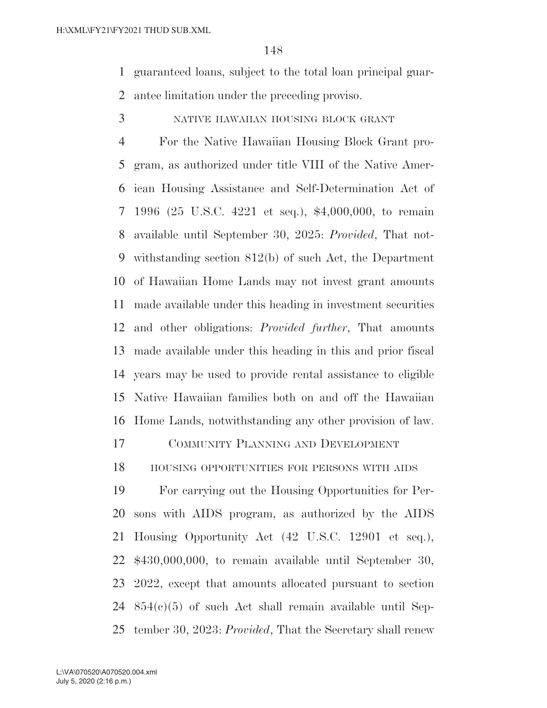guaranteed loans, subject to the total loan principal guar-antee limitation under the preceding proviso.

NATIVE HAWAIIAN HOUSING BLOCK GRANT

 For the Native Hawaiian Housing Block Grant pro- gram, as authorized under title VIII of the Native Amer- ican Housing Assistance and Self-Determination Act of 1996 (25 U.S.C. 4221 et seq.), \$4,000,000, to remain available until September 30, 2025: *Provided*, That not- withstanding section 812(b) of such Act, the Department of Hawaiian Home Lands may not invest grant amounts made available under this heading in investment securities and other obligations: *Provided further*, That amounts made available under this heading in this and prior fiscal years may be used to provide rental assistance to eligible Native Hawaiian families both on and off the Hawaiian Home Lands, notwithstanding any other provision of law.

COMMUNITY PLANNING AND DEVELOPMENT

HOUSING OPPORTUNITIES FOR PERSONS WITH AIDS

 For carrying out the Housing Opportunities for Per- sons with AIDS program, as authorized by the AIDS Housing Opportunity Act (42 U.S.C. 12901 et seq.), \$430,000,000, to remain available until September 30, 2022, except that amounts allocated pursuant to section 854(c)(5) of such Act shall remain available until Sep-tember 30, 2023: *Provided*, That the Secretary shall renew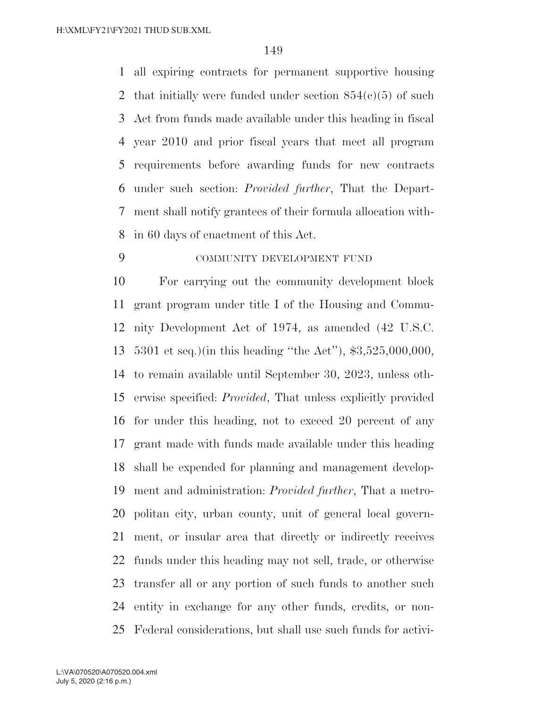all expiring contracts for permanent supportive housing 2 that initially were funded under section  $854(c)(5)$  of such Act from funds made available under this heading in fiscal year 2010 and prior fiscal years that meet all program requirements before awarding funds for new contracts under such section: *Provided further*, That the Depart- ment shall notify grantees of their formula allocation with-in 60 days of enactment of this Act.

## COMMUNITY DEVELOPMENT FUND

 For carrying out the community development block grant program under title I of the Housing and Commu- nity Development Act of 1974, as amended (42 U.S.C. 5301 et seq.)(in this heading ''the Act''), \$3,525,000,000, to remain available until September 30, 2023, unless oth- erwise specified: *Provided*, That unless explicitly provided for under this heading, not to exceed 20 percent of any grant made with funds made available under this heading shall be expended for planning and management develop- ment and administration: *Provided further*, That a metro- politan city, urban county, unit of general local govern- ment, or insular area that directly or indirectly receives funds under this heading may not sell, trade, or otherwise transfer all or any portion of such funds to another such entity in exchange for any other funds, credits, or non-Federal considerations, but shall use such funds for activi-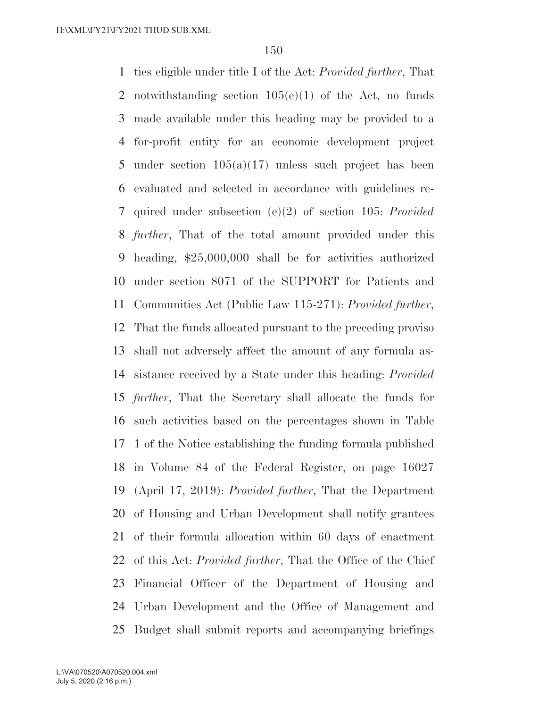ties eligible under title I of the Act: *Provided further*, That notwithstanding section 105(e)(1) of the Act, no funds made available under this heading may be provided to a for-profit entity for an economic development project under section 105(a)(17) unless such project has been evaluated and selected in accordance with guidelines re- quired under subsection (e)(2) of section 105: *Provided further*, That of the total amount provided under this heading, \$25,000,000 shall be for activities authorized under section 8071 of the SUPPORT for Patients and Communities Act (Public Law 115-271): *Provided further*, That the funds allocated pursuant to the preceding proviso shall not adversely affect the amount of any formula as- sistance received by a State under this heading: *Provided further*, That the Secretary shall allocate the funds for such activities based on the percentages shown in Table 1 of the Notice establishing the funding formula published in Volume 84 of the Federal Register, on page 16027 (April 17, 2019): *Provided further*, That the Department of Housing and Urban Development shall notify grantees of their formula allocation within 60 days of enactment of this Act: *Provided further*, That the Office of the Chief Financial Officer of the Department of Housing and Urban Development and the Office of Management and Budget shall submit reports and accompanying briefings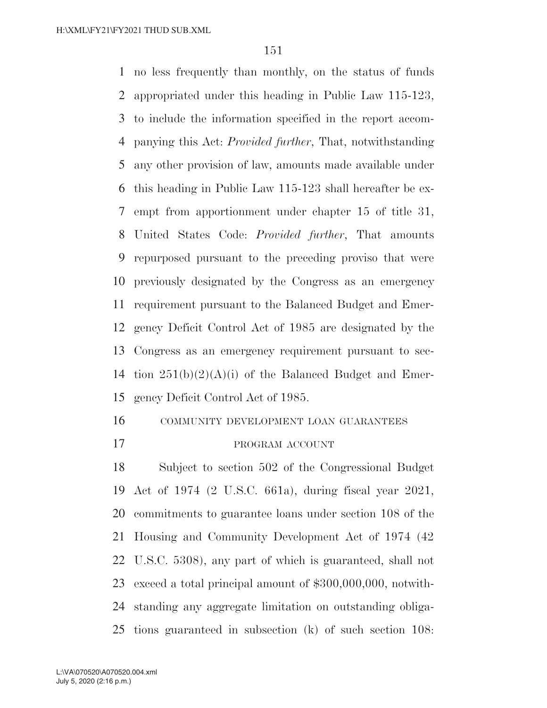no less frequently than monthly, on the status of funds appropriated under this heading in Public Law 115-123, to include the information specified in the report accom- panying this Act: *Provided further*, That, notwithstanding any other provision of law, amounts made available under this heading in Public Law 115-123 shall hereafter be ex- empt from apportionment under chapter 15 of title 31, United States Code: *Provided further*, That amounts repurposed pursuant to the preceding proviso that were previously designated by the Congress as an emergency requirement pursuant to the Balanced Budget and Emer- gency Deficit Control Act of 1985 are designated by the Congress as an emergency requirement pursuant to sec-14 tion  $251(b)(2)(A)(i)$  of the Balanced Budget and Emer-gency Deficit Control Act of 1985.

COMMUNITY DEVELOPMENT LOAN GUARANTEES

## 17 PROGRAM ACCOUNT

 Subject to section 502 of the Congressional Budget Act of 1974 (2 U.S.C. 661a), during fiscal year 2021, commitments to guarantee loans under section 108 of the Housing and Community Development Act of 1974 (42 U.S.C. 5308), any part of which is guaranteed, shall not exceed a total principal amount of \$300,000,000, notwith- standing any aggregate limitation on outstanding obliga-tions guaranteed in subsection (k) of such section 108: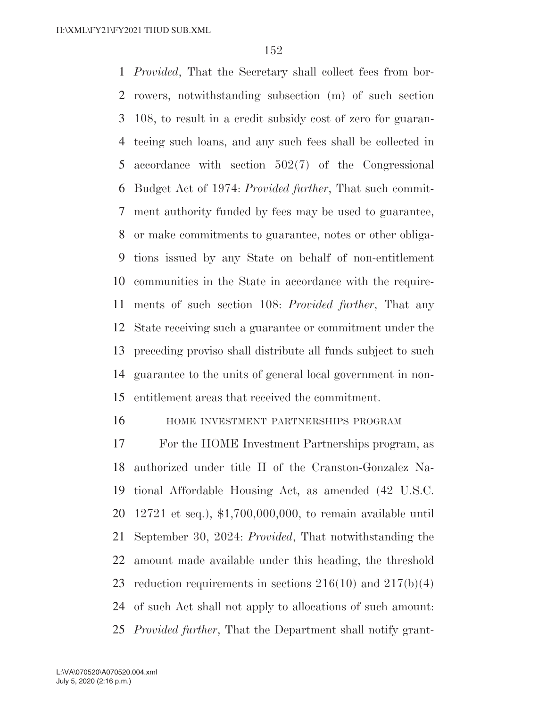*Provided*, That the Secretary shall collect fees from bor- rowers, notwithstanding subsection (m) of such section 108, to result in a credit subsidy cost of zero for guaran- teeing such loans, and any such fees shall be collected in accordance with section 502(7) of the Congressional Budget Act of 1974: *Provided further*, That such commit- ment authority funded by fees may be used to guarantee, or make commitments to guarantee, notes or other obliga- tions issued by any State on behalf of non-entitlement communities in the State in accordance with the require- ments of such section 108: *Provided further*, That any State receiving such a guarantee or commitment under the preceding proviso shall distribute all funds subject to such guarantee to the units of general local government in non-entitlement areas that received the commitment.

HOME INVESTMENT PARTNERSHIPS PROGRAM

 For the HOME Investment Partnerships program, as authorized under title II of the Cranston-Gonzalez Na- tional Affordable Housing Act, as amended (42 U.S.C. 12721 et seq.), \$1,700,000,000, to remain available until September 30, 2024: *Provided*, That notwithstanding the amount made available under this heading, the threshold reduction requirements in sections 216(10) and 217(b)(4) of such Act shall not apply to allocations of such amount: *Provided further*, That the Department shall notify grant-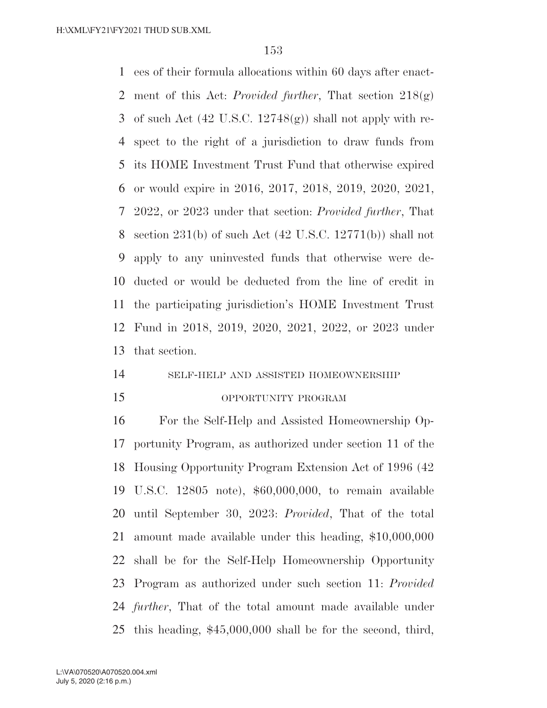ees of their formula allocations within 60 days after enact- ment of this Act: *Provided further*, That section 218(g) 3 of such Act  $(42 \text{ U.S.C. } 12748(g))$  shall not apply with re- spect to the right of a jurisdiction to draw funds from its HOME Investment Trust Fund that otherwise expired or would expire in 2016, 2017, 2018, 2019, 2020, 2021, 2022, or 2023 under that section: *Provided further*, That 8 section  $231(b)$  of such Act  $(42 \text{ U.S.C. } 12771(b))$  shall not apply to any uninvested funds that otherwise were de- ducted or would be deducted from the line of credit in the participating jurisdiction's HOME Investment Trust Fund in 2018, 2019, 2020, 2021, 2022, or 2023 under that section.

## SELF-HELP AND ASSISTED HOMEOWNERSHIP

## OPPORTUNITY PROGRAM

 For the Self-Help and Assisted Homeownership Op- portunity Program, as authorized under section 11 of the Housing Opportunity Program Extension Act of 1996 (42 U.S.C. 12805 note), \$60,000,000, to remain available until September 30, 2023: *Provided*, That of the total amount made available under this heading, \$10,000,000 shall be for the Self-Help Homeownership Opportunity Program as authorized under such section 11: *Provided further*, That of the total amount made available under this heading, \$45,000,000 shall be for the second, third,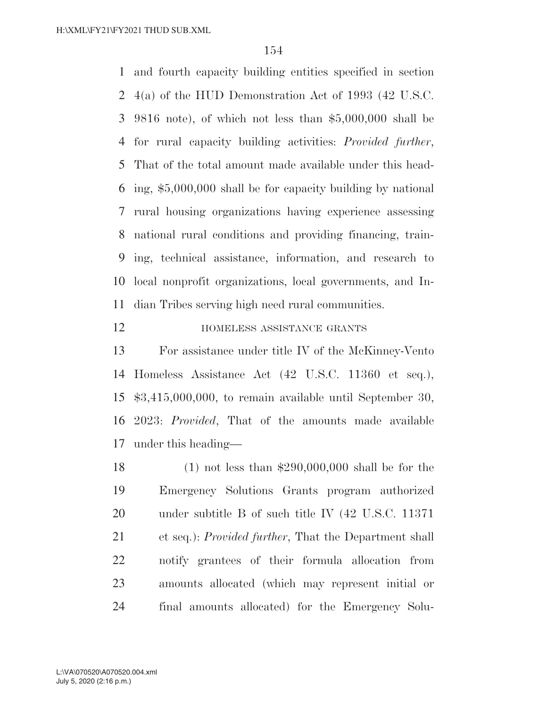and fourth capacity building entities specified in section 4(a) of the HUD Demonstration Act of 1993 (42 U.S.C. 9816 note), of which not less than \$5,000,000 shall be for rural capacity building activities: *Provided further*, That of the total amount made available under this head- ing, \$5,000,000 shall be for capacity building by national rural housing organizations having experience assessing national rural conditions and providing financing, train- ing, technical assistance, information, and research to local nonprofit organizations, local governments, and In-dian Tribes serving high need rural communities.

#### **HOMELESS ASSISTANCE GRANTS**

 For assistance under title IV of the McKinney-Vento Homeless Assistance Act (42 U.S.C. 11360 et seq.), \$3,415,000,000, to remain available until September 30, 2023: *Provided*, That of the amounts made available under this heading—

 (1) not less than \$290,000,000 shall be for the Emergency Solutions Grants program authorized under subtitle B of such title IV (42 U.S.C. 11371 et seq.): *Provided further*, That the Department shall notify grantees of their formula allocation from amounts allocated (which may represent initial or final amounts allocated) for the Emergency Solu-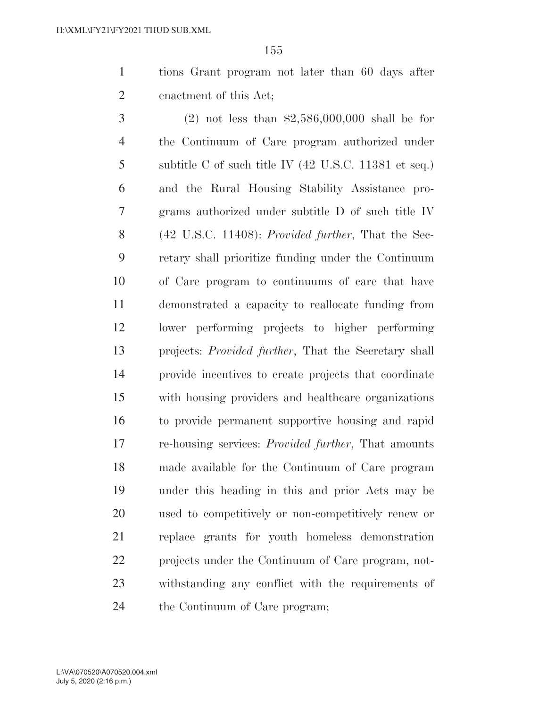tions Grant program not later than 60 days after enactment of this Act;

 (2) not less than \$2,586,000,000 shall be for the Continuum of Care program authorized under subtitle C of such title IV (42 U.S.C. 11381 et seq.) and the Rural Housing Stability Assistance pro- grams authorized under subtitle D of such title IV (42 U.S.C. 11408): *Provided further*, That the Sec- retary shall prioritize funding under the Continuum of Care program to continuums of care that have demonstrated a capacity to reallocate funding from lower performing projects to higher performing projects: *Provided further*, That the Secretary shall provide incentives to create projects that coordinate with housing providers and healthcare organizations to provide permanent supportive housing and rapid re-housing services: *Provided further*, That amounts made available for the Continuum of Care program under this heading in this and prior Acts may be used to competitively or non-competitively renew or replace grants for youth homeless demonstration projects under the Continuum of Care program, not- withstanding any conflict with the requirements of the Continuum of Care program;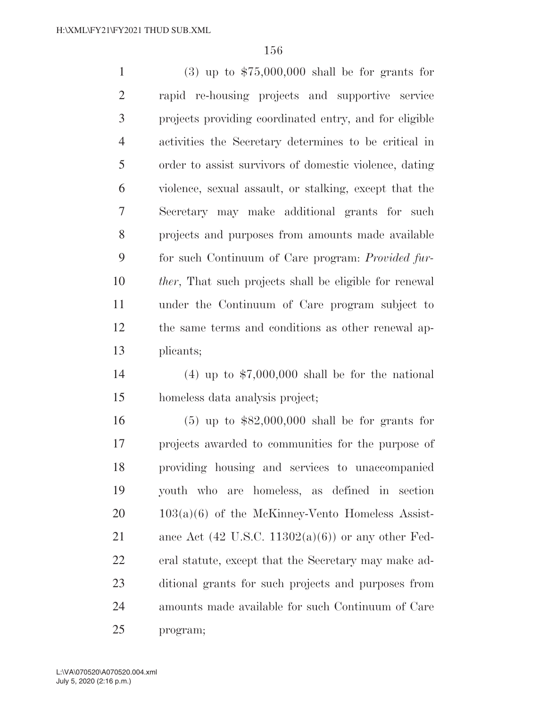(3) up to \$75,000,000 shall be for grants for rapid re-housing projects and supportive service projects providing coordinated entry, and for eligible activities the Secretary determines to be critical in order to assist survivors of domestic violence, dating violence, sexual assault, or stalking, except that the Secretary may make additional grants for such projects and purposes from amounts made available for such Continuum of Care program: *Provided fur- ther*, That such projects shall be eligible for renewal under the Continuum of Care program subject to the same terms and conditions as other renewal ap-plicants;

 (4) up to \$7,000,000 shall be for the national homeless data analysis project;

 (5) up to \$82,000,000 shall be for grants for projects awarded to communities for the purpose of providing housing and services to unaccompanied youth who are homeless, as defined in section  $20 \qquad 103(a)(6)$  of the McKinney-Vento Homeless Assist-21 ance Act  $(42 \text{ U.S.C. } 11302(a)(6))$  or any other Fed- eral statute, except that the Secretary may make ad- ditional grants for such projects and purposes from amounts made available for such Continuum of Care program;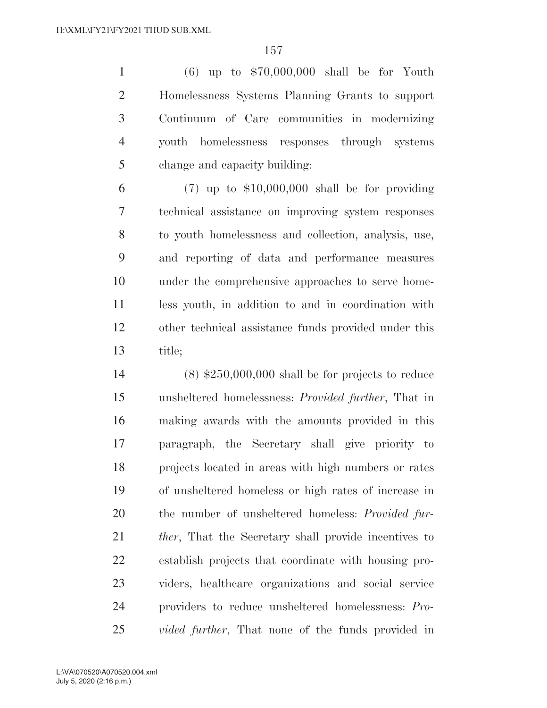(6) up to \$70,000,000 shall be for Youth Homelessness Systems Planning Grants to support Continuum of Care communities in modernizing youth homelessness responses through systems change and capacity building:

 (7) up to \$10,000,000 shall be for providing technical assistance on improving system responses to youth homelessness and collection, analysis, use, and reporting of data and performance measures under the comprehensive approaches to serve home- less youth, in addition to and in coordination with other technical assistance funds provided under this title;

 (8) \$250,000,000 shall be for projects to reduce unsheltered homelessness: *Provided further*, That in making awards with the amounts provided in this paragraph, the Secretary shall give priority to projects located in areas with high numbers or rates of unsheltered homeless or high rates of increase in the number of unsheltered homeless: *Provided fur- ther*, That the Secretary shall provide incentives to establish projects that coordinate with housing pro- viders, healthcare organizations and social service providers to reduce unsheltered homelessness: *Pro-vided further*, That none of the funds provided in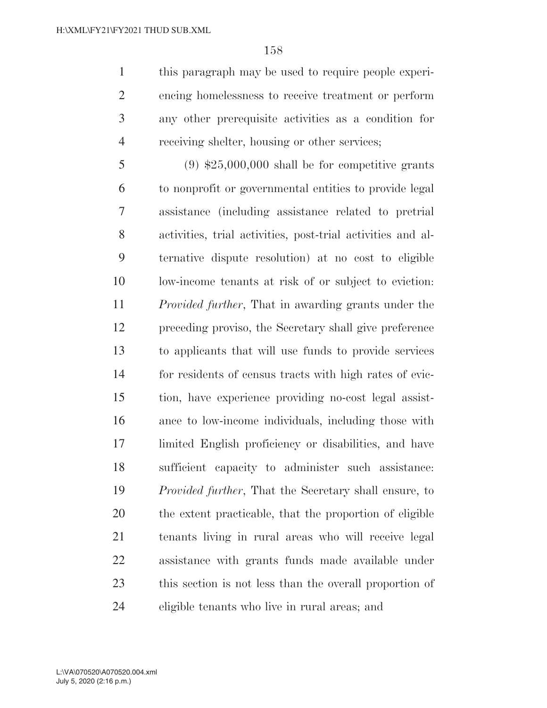this paragraph may be used to require people experi- encing homelessness to receive treatment or perform any other prerequisite activities as a condition for receiving shelter, housing or other services;

 (9) \$25,000,000 shall be for competitive grants to nonprofit or governmental entities to provide legal assistance (including assistance related to pretrial activities, trial activities, post-trial activities and al- ternative dispute resolution) at no cost to eligible low-income tenants at risk of or subject to eviction: *Provided further*, That in awarding grants under the preceding proviso, the Secretary shall give preference to applicants that will use funds to provide services for residents of census tracts with high rates of evic- tion, have experience providing no-cost legal assist- ance to low-income individuals, including those with limited English proficiency or disabilities, and have sufficient capacity to administer such assistance: *Provided further*, That the Secretary shall ensure, to the extent practicable, that the proportion of eligible tenants living in rural areas who will receive legal assistance with grants funds made available under this section is not less than the overall proportion of eligible tenants who live in rural areas; and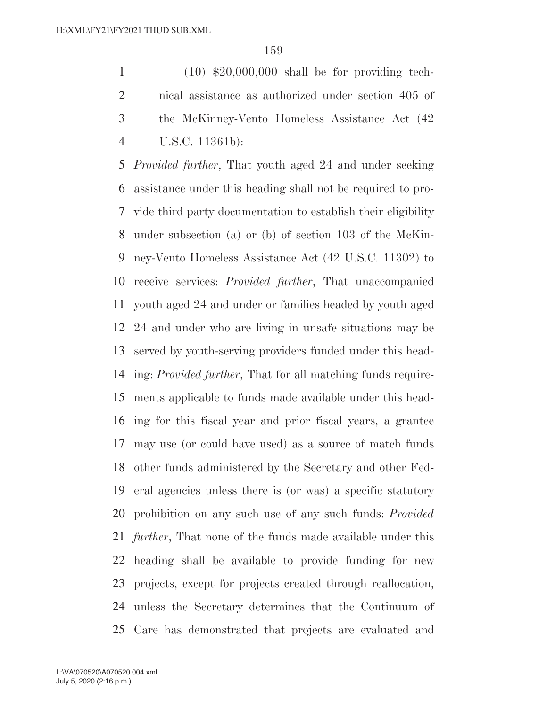(10) \$20,000,000 shall be for providing tech- nical assistance as authorized under section 405 of the McKinney-Vento Homeless Assistance Act (42 U.S.C. 11361b):

 *Provided further*, That youth aged 24 and under seeking assistance under this heading shall not be required to pro- vide third party documentation to establish their eligibility under subsection (a) or (b) of section 103 of the McKin- ney-Vento Homeless Assistance Act (42 U.S.C. 11302) to receive services: *Provided further*, That unaccompanied youth aged 24 and under or families headed by youth aged 24 and under who are living in unsafe situations may be served by youth-serving providers funded under this head- ing: *Provided further*, That for all matching funds require- ments applicable to funds made available under this head- ing for this fiscal year and prior fiscal years, a grantee may use (or could have used) as a source of match funds other funds administered by the Secretary and other Fed- eral agencies unless there is (or was) a specific statutory prohibition on any such use of any such funds: *Provided further*, That none of the funds made available under this heading shall be available to provide funding for new projects, except for projects created through reallocation, unless the Secretary determines that the Continuum of Care has demonstrated that projects are evaluated and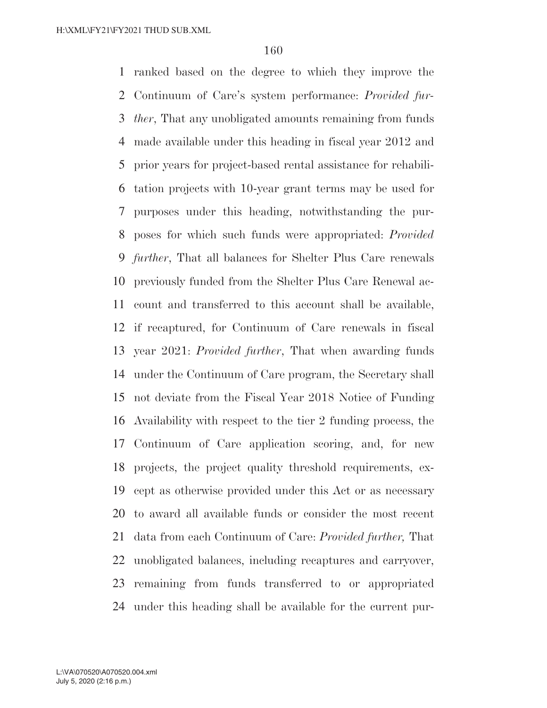ranked based on the degree to which they improve the Continuum of Care's system performance: *Provided fur- ther*, That any unobligated amounts remaining from funds made available under this heading in fiscal year 2012 and prior years for project-based rental assistance for rehabili- tation projects with 10-year grant terms may be used for purposes under this heading, notwithstanding the pur- poses for which such funds were appropriated: *Provided further*, That all balances for Shelter Plus Care renewals previously funded from the Shelter Plus Care Renewal ac- count and transferred to this account shall be available, if recaptured, for Continuum of Care renewals in fiscal year 2021: *Provided further*, That when awarding funds under the Continuum of Care program, the Secretary shall not deviate from the Fiscal Year 2018 Notice of Funding Availability with respect to the tier 2 funding process, the Continuum of Care application scoring, and, for new projects, the project quality threshold requirements, ex- cept as otherwise provided under this Act or as necessary to award all available funds or consider the most recent data from each Continuum of Care: *Provided further,* That unobligated balances, including recaptures and carryover, remaining from funds transferred to or appropriated under this heading shall be available for the current pur-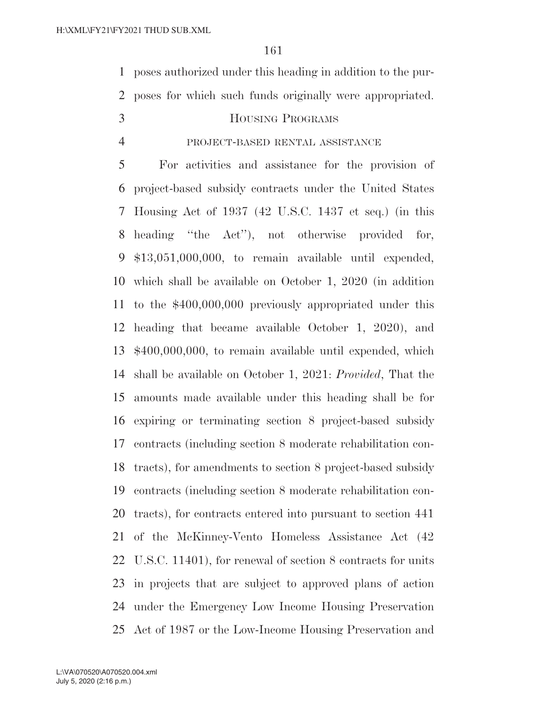poses authorized under this heading in addition to the pur-poses for which such funds originally were appropriated.

- HOUSING PROGRAMS
- 

#### PROJECT-BASED RENTAL ASSISTANCE

 For activities and assistance for the provision of project-based subsidy contracts under the United States Housing Act of 1937 (42 U.S.C. 1437 et seq.) (in this heading ''the Act''), not otherwise provided for, \$13,051,000,000, to remain available until expended, which shall be available on October 1, 2020 (in addition to the \$400,000,000 previously appropriated under this heading that became available October 1, 2020), and \$400,000,000, to remain available until expended, which shall be available on October 1, 2021: *Provided*, That the amounts made available under this heading shall be for expiring or terminating section 8 project-based subsidy contracts (including section 8 moderate rehabilitation con- tracts), for amendments to section 8 project-based subsidy contracts (including section 8 moderate rehabilitation con- tracts), for contracts entered into pursuant to section 441 of the McKinney-Vento Homeless Assistance Act (42 U.S.C. 11401), for renewal of section 8 contracts for units in projects that are subject to approved plans of action under the Emergency Low Income Housing Preservation Act of 1987 or the Low-Income Housing Preservation and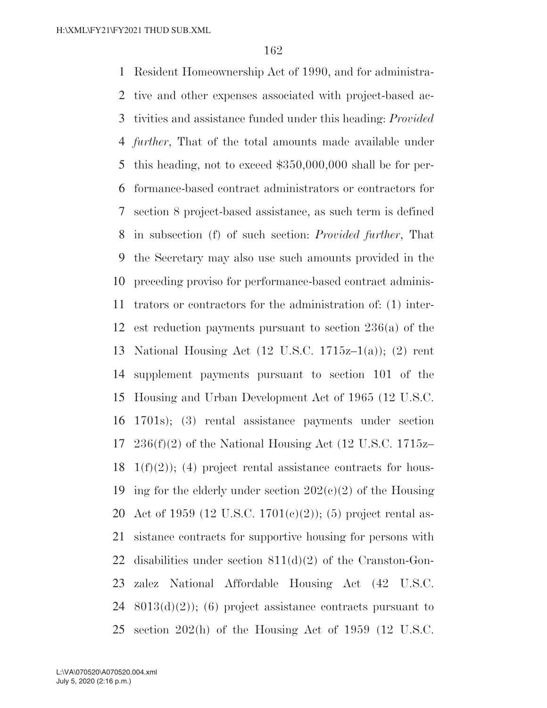Resident Homeownership Act of 1990, and for administra- tive and other expenses associated with project-based ac- tivities and assistance funded under this heading: *Provided further*, That of the total amounts made available under this heading, not to exceed \$350,000,000 shall be for per- formance-based contract administrators or contractors for section 8 project-based assistance, as such term is defined in subsection (f) of such section: *Provided further*, That the Secretary may also use such amounts provided in the preceding proviso for performance-based contract adminis- trators or contractors for the administration of: (1) inter- est reduction payments pursuant to section 236(a) of the National Housing Act (12 U.S.C. 1715z–1(a)); (2) rent supplement payments pursuant to section 101 of the Housing and Urban Development Act of 1965 (12 U.S.C. 1701s); (3) rental assistance payments under section 236(f)(2) of the National Housing Act (12 U.S.C. 1715z– 18 1(f)(2)); (4) project rental assistance contracts for hous-19 ing for the elderly under section  $202(c)(2)$  of the Housing 20 Act of 1959 (12 U.S.C. 1701(c)(2)); (5) project rental as- sistance contracts for supportive housing for persons with disabilities under section 811(d)(2) of the Cranston-Gon- zalez National Affordable Housing Act (42 U.S.C.  $8013(d)(2)$ ; (6) project assistance contracts pursuant to section 202(h) of the Housing Act of 1959 (12 U.S.C.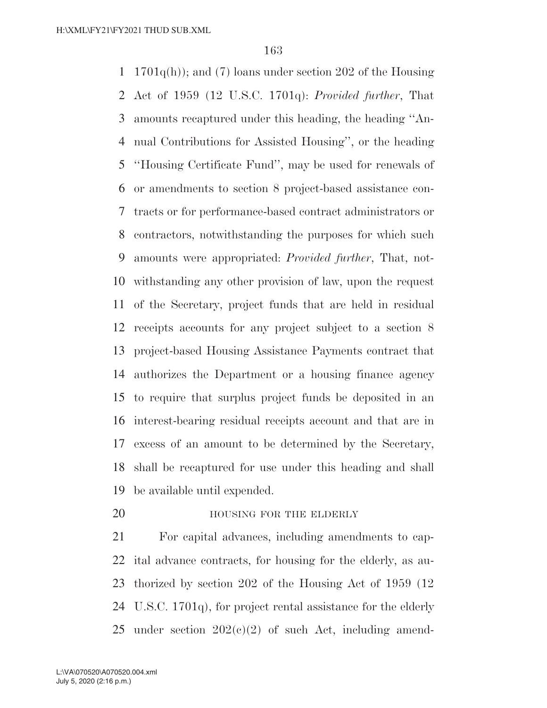1 1701 $q(h)$ ; and (7) loans under section 202 of the Housing Act of 1959 (12 U.S.C. 1701q): *Provided further*, That amounts recaptured under this heading, the heading ''An- nual Contributions for Assisted Housing'', or the heading ''Housing Certificate Fund'', may be used for renewals of or amendments to section 8 project-based assistance con- tracts or for performance-based contract administrators or contractors, notwithstanding the purposes for which such amounts were appropriated: *Provided further*, That, not- withstanding any other provision of law, upon the request of the Secretary, project funds that are held in residual receipts accounts for any project subject to a section 8 project-based Housing Assistance Payments contract that authorizes the Department or a housing finance agency to require that surplus project funds be deposited in an interest-bearing residual receipts account and that are in excess of an amount to be determined by the Secretary, shall be recaptured for use under this heading and shall be available until expended.

**HOUSING FOR THE ELDERLY** 

 For capital advances, including amendments to cap- ital advance contracts, for housing for the elderly, as au- thorized by section 202 of the Housing Act of 1959 (12 U.S.C. 1701q), for project rental assistance for the elderly 25 under section  $202(c)(2)$  of such Act, including amend-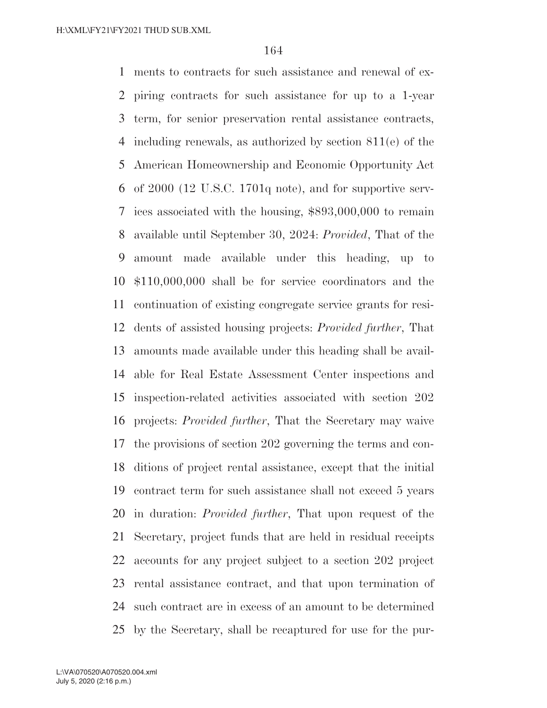ments to contracts for such assistance and renewal of ex- piring contracts for such assistance for up to a 1-year term, for senior preservation rental assistance contracts, including renewals, as authorized by section 811(e) of the American Homeownership and Economic Opportunity Act of 2000 (12 U.S.C. 1701q note), and for supportive serv- ices associated with the housing, \$893,000,000 to remain available until September 30, 2024: *Provided*, That of the amount made available under this heading, up to \$110,000,000 shall be for service coordinators and the continuation of existing congregate service grants for resi- dents of assisted housing projects: *Provided further*, That amounts made available under this heading shall be avail- able for Real Estate Assessment Center inspections and inspection-related activities associated with section 202 projects: *Provided further*, That the Secretary may waive the provisions of section 202 governing the terms and con- ditions of project rental assistance, except that the initial contract term for such assistance shall not exceed 5 years in duration: *Provided further*, That upon request of the Secretary, project funds that are held in residual receipts accounts for any project subject to a section 202 project rental assistance contract, and that upon termination of such contract are in excess of an amount to be determined by the Secretary, shall be recaptured for use for the pur-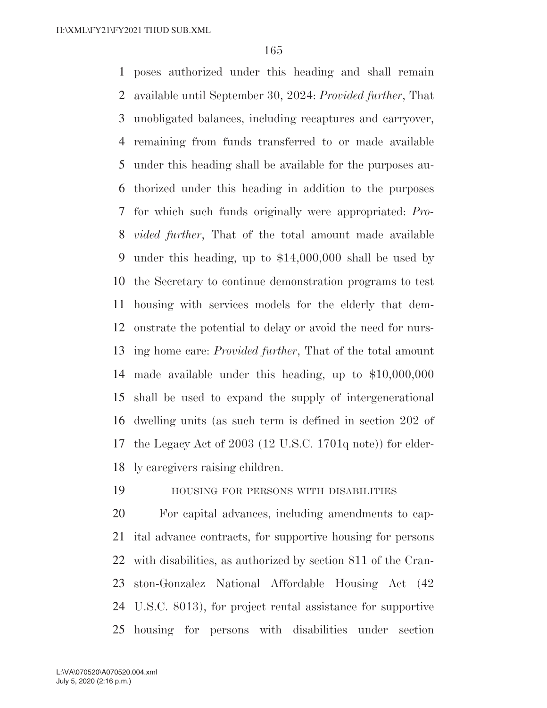poses authorized under this heading and shall remain available until September 30, 2024: *Provided further*, That unobligated balances, including recaptures and carryover, remaining from funds transferred to or made available under this heading shall be available for the purposes au- thorized under this heading in addition to the purposes for which such funds originally were appropriated: *Pro- vided further*, That of the total amount made available under this heading, up to \$14,000,000 shall be used by the Secretary to continue demonstration programs to test housing with services models for the elderly that dem- onstrate the potential to delay or avoid the need for nurs- ing home care: *Provided further*, That of the total amount made available under this heading, up to \$10,000,000 shall be used to expand the supply of intergenerational dwelling units (as such term is defined in section 202 of the Legacy Act of 2003 (12 U.S.C. 1701q note)) for elder-ly caregivers raising children.

## HOUSING FOR PERSONS WITH DISABILITIES

 For capital advances, including amendments to cap- ital advance contracts, for supportive housing for persons with disabilities, as authorized by section 811 of the Cran- ston-Gonzalez National Affordable Housing Act (42 U.S.C. 8013), for project rental assistance for supportive housing for persons with disabilities under section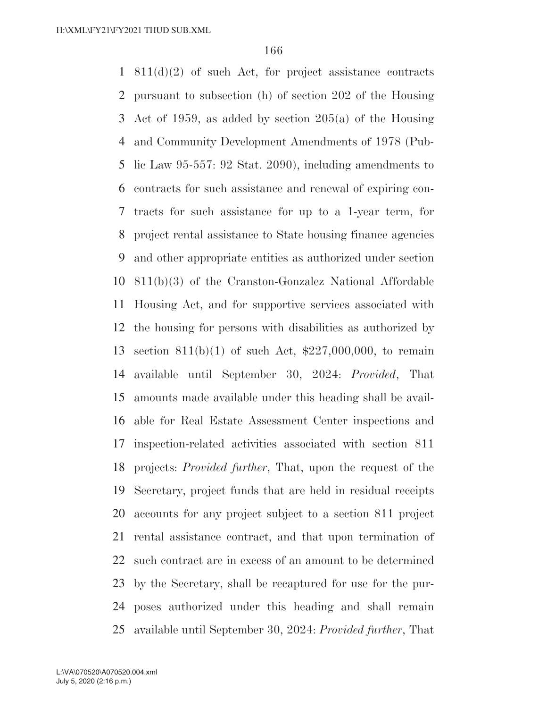811(d)(2) of such Act, for project assistance contracts pursuant to subsection (h) of section 202 of the Housing Act of 1959, as added by section 205(a) of the Housing and Community Development Amendments of 1978 (Pub- lic Law 95-557: 92 Stat. 2090), including amendments to contracts for such assistance and renewal of expiring con- tracts for such assistance for up to a 1-year term, for project rental assistance to State housing finance agencies and other appropriate entities as authorized under section 811(b)(3) of the Cranston-Gonzalez National Affordable Housing Act, and for supportive services associated with the housing for persons with disabilities as authorized by section 811(b)(1) of such Act, \$227,000,000, to remain available until September 30, 2024: *Provided*, That amounts made available under this heading shall be avail- able for Real Estate Assessment Center inspections and inspection-related activities associated with section 811 projects: *Provided further*, That, upon the request of the Secretary, project funds that are held in residual receipts accounts for any project subject to a section 811 project rental assistance contract, and that upon termination of such contract are in excess of an amount to be determined by the Secretary, shall be recaptured for use for the pur- poses authorized under this heading and shall remain available until September 30, 2024: *Provided further*, That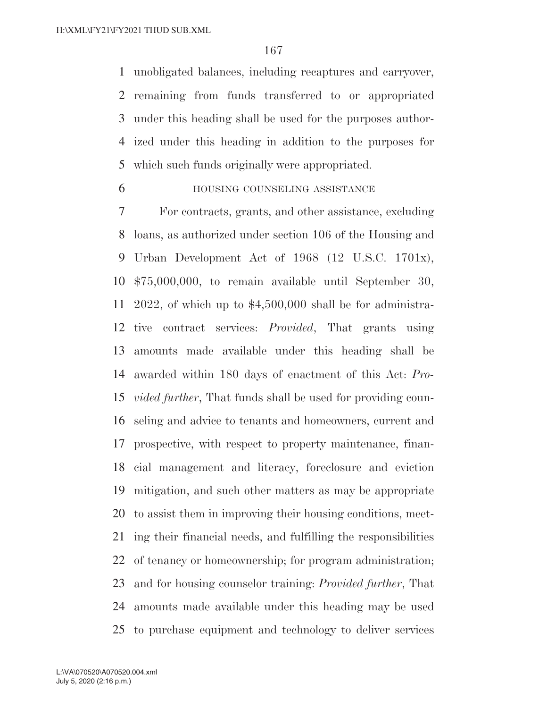unobligated balances, including recaptures and carryover, remaining from funds transferred to or appropriated under this heading shall be used for the purposes author- ized under this heading in addition to the purposes for which such funds originally were appropriated.

## **HOUSING COUNSELING ASSISTANCE**

 For contracts, grants, and other assistance, excluding loans, as authorized under section 106 of the Housing and Urban Development Act of 1968 (12 U.S.C. 1701x), \$75,000,000, to remain available until September 30, 2022, of which up to \$4,500,000 shall be for administra- tive contract services: *Provided*, That grants using amounts made available under this heading shall be awarded within 180 days of enactment of this Act: *Pro- vided further*, That funds shall be used for providing coun- seling and advice to tenants and homeowners, current and prospective, with respect to property maintenance, finan- cial management and literacy, foreclosure and eviction mitigation, and such other matters as may be appropriate to assist them in improving their housing conditions, meet- ing their financial needs, and fulfilling the responsibilities of tenancy or homeownership; for program administration; and for housing counselor training: *Provided further*, That amounts made available under this heading may be used to purchase equipment and technology to deliver services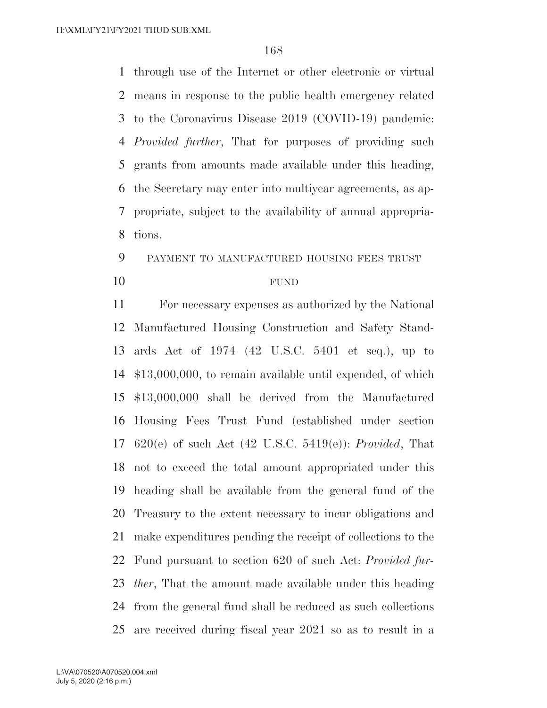through use of the Internet or other electronic or virtual means in response to the public health emergency related to the Coronavirus Disease 2019 (COVID-19) pandemic: *Provided further*, That for purposes of providing such grants from amounts made available under this heading, the Secretary may enter into multiyear agreements, as ap- propriate, subject to the availability of annual appropria-tions.

# PAYMENT TO MANUFACTURED HOUSING FEES TRUST

## FUND

 For necessary expenses as authorized by the National Manufactured Housing Construction and Safety Stand- ards Act of 1974 (42 U.S.C. 5401 et seq.), up to \$13,000,000, to remain available until expended, of which \$13,000,000 shall be derived from the Manufactured Housing Fees Trust Fund (established under section 620(e) of such Act (42 U.S.C. 5419(e)): *Provided*, That not to exceed the total amount appropriated under this heading shall be available from the general fund of the Treasury to the extent necessary to incur obligations and make expenditures pending the receipt of collections to the Fund pursuant to section 620 of such Act: *Provided fur- ther*, That the amount made available under this heading from the general fund shall be reduced as such collections are received during fiscal year 2021 so as to result in a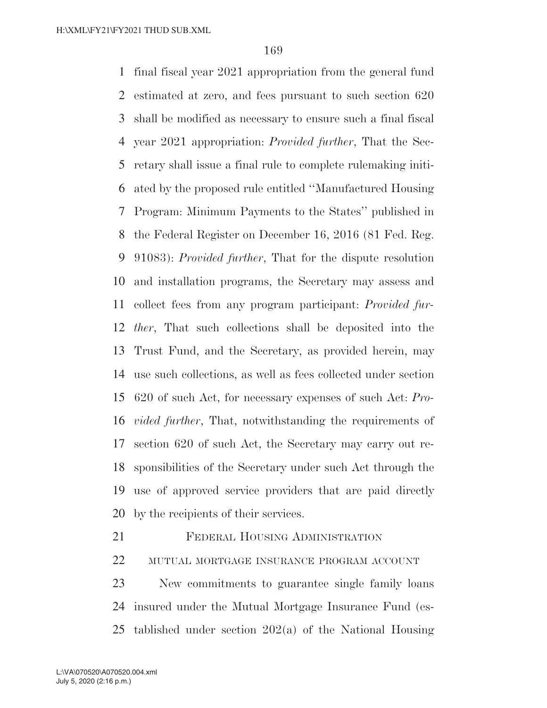final fiscal year 2021 appropriation from the general fund estimated at zero, and fees pursuant to such section 620 shall be modified as necessary to ensure such a final fiscal year 2021 appropriation: *Provided further*, That the Sec- retary shall issue a final rule to complete rulemaking initi- ated by the proposed rule entitled ''Manufactured Housing Program: Minimum Payments to the States'' published in the Federal Register on December 16, 2016 (81 Fed. Reg. 91083): *Provided further*, That for the dispute resolution and installation programs, the Secretary may assess and collect fees from any program participant: *Provided fur- ther*, That such collections shall be deposited into the Trust Fund, and the Secretary, as provided herein, may use such collections, as well as fees collected under section 620 of such Act, for necessary expenses of such Act: *Pro- vided further*, That, notwithstanding the requirements of section 620 of such Act, the Secretary may carry out re- sponsibilities of the Secretary under such Act through the use of approved service providers that are paid directly by the recipients of their services.

FEDERAL HOUSING ADMINISTRATION

MUTUAL MORTGAGE INSURANCE PROGRAM ACCOUNT

 New commitments to guarantee single family loans insured under the Mutual Mortgage Insurance Fund (es-tablished under section 202(a) of the National Housing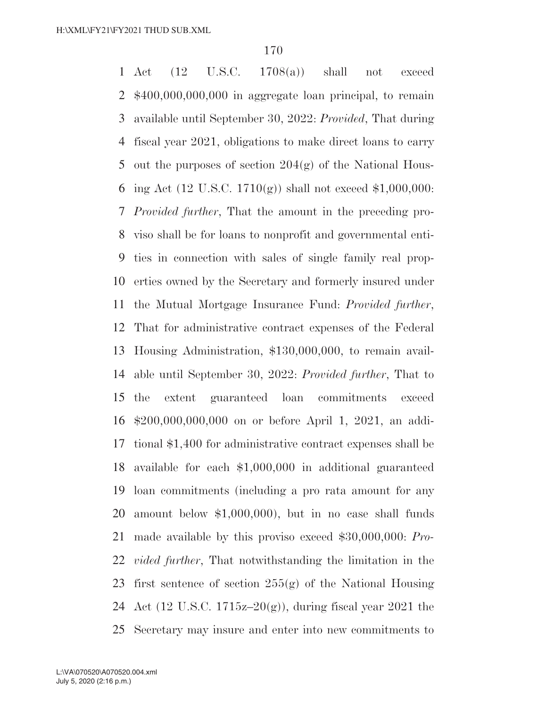Act (12 U.S.C. 1708(a)) shall not exceed \$400,000,000,000 in aggregate loan principal, to remain available until September 30, 2022: *Provided*, That during fiscal year 2021, obligations to make direct loans to carry out the purposes of section 204(g) of the National Hous-6 ing Act (12 U.S.C. 1710(g)) shall not exceed  $$1,000,000$ : *Provided further*, That the amount in the preceding pro- viso shall be for loans to nonprofit and governmental enti- ties in connection with sales of single family real prop- erties owned by the Secretary and formerly insured under the Mutual Mortgage Insurance Fund: *Provided further*, That for administrative contract expenses of the Federal Housing Administration, \$130,000,000, to remain avail- able until September 30, 2022: *Provided further*, That to the extent guaranteed loan commitments exceed \$200,000,000,000 on or before April 1, 2021, an addi- tional \$1,400 for administrative contract expenses shall be available for each \$1,000,000 in additional guaranteed loan commitments (including a pro rata amount for any amount below \$1,000,000), but in no case shall funds made available by this proviso exceed \$30,000,000: *Pro- vided further*, That notwithstanding the limitation in the 23 first sentence of section  $255(g)$  of the National Housing Act (12 U.S.C. 1715z–20(g)), during fiscal year 2021 the Secretary may insure and enter into new commitments to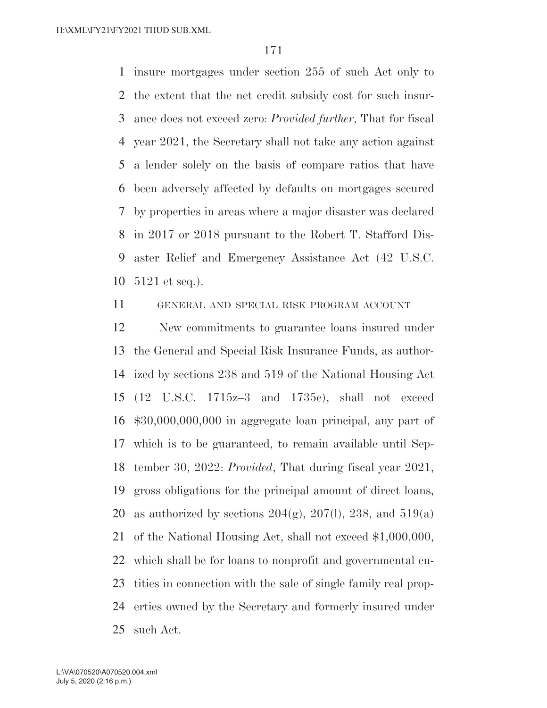insure mortgages under section 255 of such Act only to the extent that the net credit subsidy cost for such insur- ance does not exceed zero: *Provided further*, That for fiscal year 2021, the Secretary shall not take any action against a lender solely on the basis of compare ratios that have been adversely affected by defaults on mortgages secured by properties in areas where a major disaster was declared in 2017 or 2018 pursuant to the Robert T. Stafford Dis- aster Relief and Emergency Assistance Act (42 U.S.C. 5121 et seq.).

GENERAL AND SPECIAL RISK PROGRAM ACCOUNT

 New commitments to guarantee loans insured under the General and Special Risk Insurance Funds, as author- ized by sections 238 and 519 of the National Housing Act (12 U.S.C. 1715z–3 and 1735c), shall not exceed \$30,000,000,000 in aggregate loan principal, any part of which is to be guaranteed, to remain available until Sep- tember 30, 2022: *Provided*, That during fiscal year 2021, gross obligations for the principal amount of direct loans, 20 as authorized by sections  $204(g)$ ,  $207(l)$ , 238, and  $519(a)$  of the National Housing Act, shall not exceed \$1,000,000, which shall be for loans to nonprofit and governmental en- tities in connection with the sale of single family real prop- erties owned by the Secretary and formerly insured under such Act.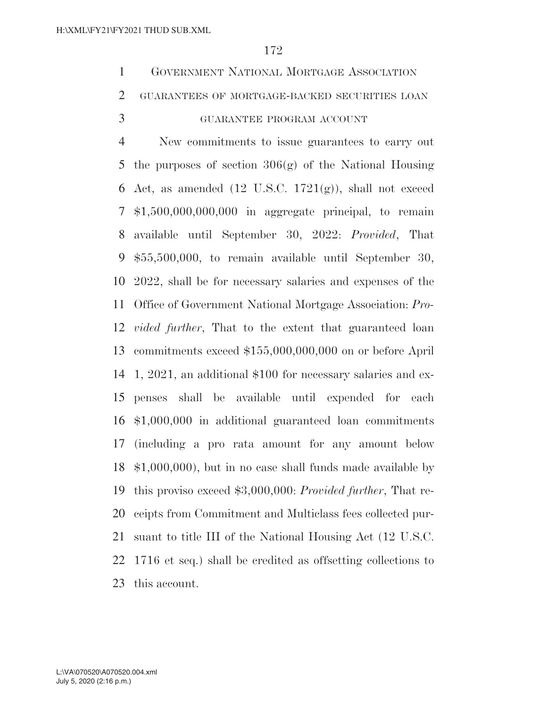GOVERNMENT NATIONAL MORTGAGE ASSOCIATION GUARANTEES OF MORTGAGE-BACKED SECURITIES LOAN GUARANTEE PROGRAM ACCOUNT

 New commitments to issue guarantees to carry out the purposes of section 306(g) of the National Housing 6 Act, as amended  $(12 \text{ U.S.C. } 1721(g))$ , shall not exceed \$1,500,000,000,000 in aggregate principal, to remain available until September 30, 2022: *Provided*, That \$55,500,000, to remain available until September 30, 2022, shall be for necessary salaries and expenses of the Office of Government National Mortgage Association: *Pro- vided further*, That to the extent that guaranteed loan commitments exceed \$155,000,000,000 on or before April 1, 2021, an additional \$100 for necessary salaries and ex- penses shall be available until expended for each \$1,000,000 in additional guaranteed loan commitments (including a pro rata amount for any amount below \$1,000,000), but in no case shall funds made available by this proviso exceed \$3,000,000: *Provided further*, That re- ceipts from Commitment and Multiclass fees collected pur- suant to title III of the National Housing Act (12 U.S.C. 1716 et seq.) shall be credited as offsetting collections to this account.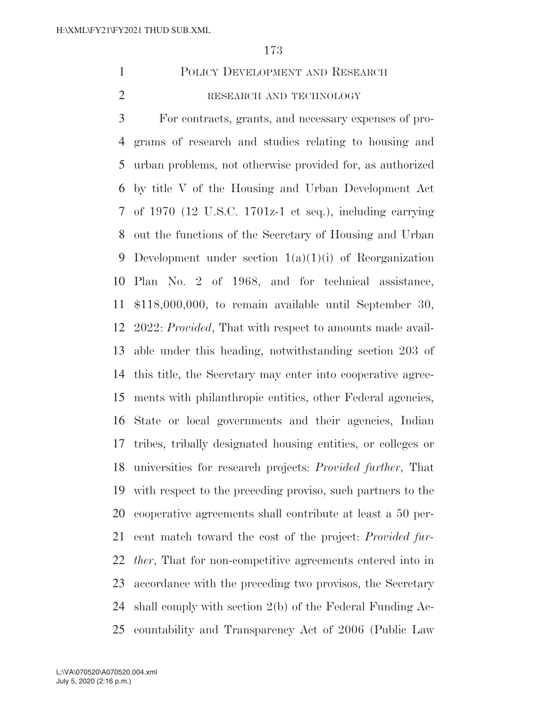# POLICY DEVELOPMENT AND RESEARCH

## 2 RESEARCH AND TECHNOLOGY

 For contracts, grants, and necessary expenses of pro- grams of research and studies relating to housing and urban problems, not otherwise provided for, as authorized by title V of the Housing and Urban Development Act of 1970 (12 U.S.C. 1701z-1 et seq.), including carrying out the functions of the Secretary of Housing and Urban 9 Development under section  $1(a)(1)(i)$  of Reorganization Plan No. 2 of 1968, and for technical assistance, \$118,000,000, to remain available until September 30, 2022: *Provided*, That with respect to amounts made avail- able under this heading, notwithstanding section 203 of this title, the Secretary may enter into cooperative agree- ments with philanthropic entities, other Federal agencies, State or local governments and their agencies, Indian tribes, tribally designated housing entities, or colleges or universities for research projects: *Provided further*, That with respect to the preceding proviso, such partners to the cooperative agreements shall contribute at least a 50 per- cent match toward the cost of the project: *Provided fur- ther*, That for non-competitive agreements entered into in accordance with the preceding two provisos, the Secretary shall comply with section 2(b) of the Federal Funding Ac-countability and Transparency Act of 2006 (Public Law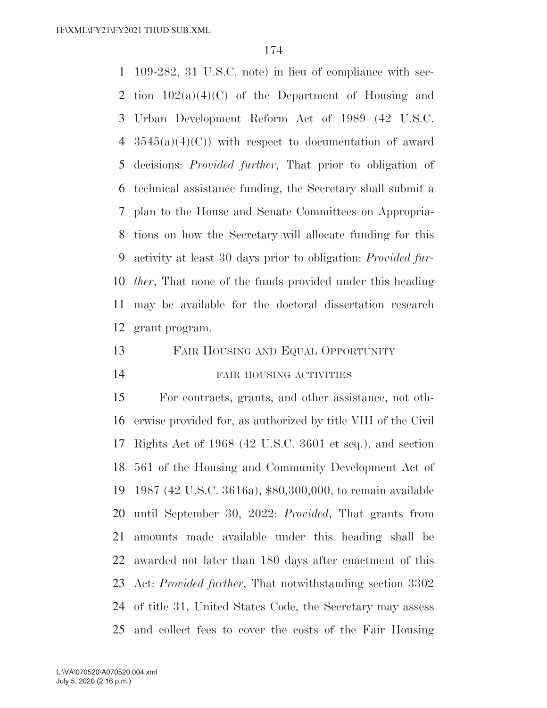109-282, 31 U.S.C. note) in lieu of compliance with sec-2 tion  $102(a)(4)(C)$  of the Department of Housing and Urban Development Reform Act of 1989 (42 U.S.C.  $3545(a)(4)(C)$  with respect to documentation of award decisions: *Provided further*, That prior to obligation of technical assistance funding, the Secretary shall submit a plan to the House and Senate Committees on Appropria- tions on how the Secretary will allocate funding for this activity at least 30 days prior to obligation: *Provided fur- ther*, That none of the funds provided under this heading may be available for the doctoral dissertation research grant program.

# FAIR HOUSING AND EQUAL OPPORTUNITY

## FAIR HOUSING ACTIVITIES

 For contracts, grants, and other assistance, not oth- erwise provided for, as authorized by title VIII of the Civil Rights Act of 1968 (42 U.S.C. 3601 et seq.), and section 561 of the Housing and Community Development Act of 1987 (42 U.S.C. 3616a), \$80,300,000, to remain available until September 30, 2022: *Provided*, That grants from amounts made available under this heading shall be awarded not later than 180 days after enactment of this Act: *Provided further*, That notwithstanding section 3302 of title 31, United States Code, the Secretary may assess and collect fees to cover the costs of the Fair Housing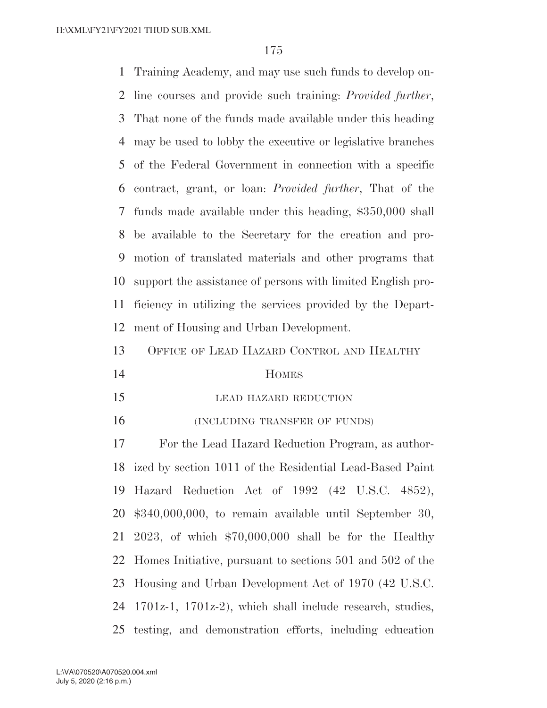Training Academy, and may use such funds to develop on- line courses and provide such training: *Provided further*, That none of the funds made available under this heading may be used to lobby the executive or legislative branches of the Federal Government in connection with a specific contract, grant, or loan: *Provided further*, That of the funds made available under this heading, \$350,000 shall be available to the Secretary for the creation and pro- motion of translated materials and other programs that support the assistance of persons with limited English pro- ficiency in utilizing the services provided by the Depart-ment of Housing and Urban Development.

OFFICE OF LEAD HAZARD CONTROL AND HEALTHY

### HOMES

- 15 LEAD HAZARD REDUCTION
- 16 (INCLUDING TRANSFER OF FUNDS)

 For the Lead Hazard Reduction Program, as author- ized by section 1011 of the Residential Lead-Based Paint Hazard Reduction Act of 1992 (42 U.S.C. 4852), \$340,000,000, to remain available until September 30, 2023, of which \$70,000,000 shall be for the Healthy Homes Initiative, pursuant to sections 501 and 502 of the Housing and Urban Development Act of 1970 (42 U.S.C. 1701z-1, 1701z-2), which shall include research, studies, testing, and demonstration efforts, including education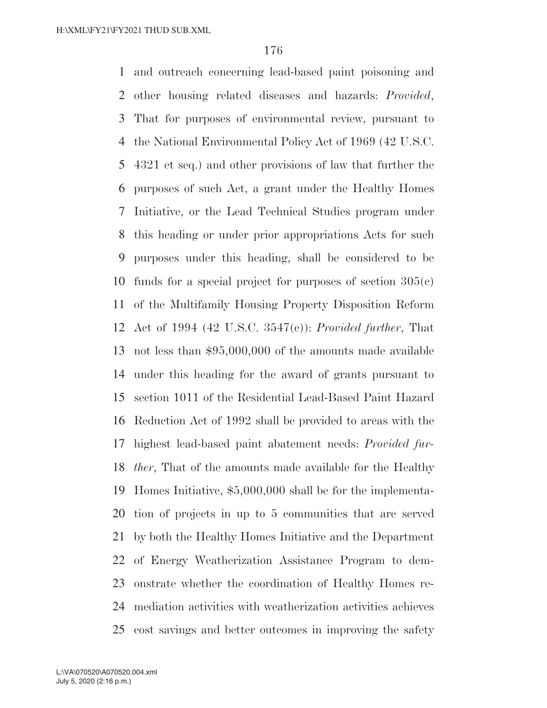and outreach concerning lead-based paint poisoning and other housing related diseases and hazards: *Provided*, That for purposes of environmental review, pursuant to the National Environmental Policy Act of 1969 (42 U.S.C. 4321 et seq.) and other provisions of law that further the purposes of such Act, a grant under the Healthy Homes Initiative, or the Lead Technical Studies program under this heading or under prior appropriations Acts for such purposes under this heading, shall be considered to be 10 funds for a special project for purposes of section  $305(c)$  of the Multifamily Housing Property Disposition Reform Act of 1994 (42 U.S.C. 3547(c)): *Provided further*, That not less than \$95,000,000 of the amounts made available under this heading for the award of grants pursuant to section 1011 of the Residential Lead-Based Paint Hazard Reduction Act of 1992 shall be provided to areas with the highest lead-based paint abatement needs: *Provided fur- ther*, That of the amounts made available for the Healthy Homes Initiative, \$5,000,000 shall be for the implementa- tion of projects in up to 5 communities that are served by both the Healthy Homes Initiative and the Department of Energy Weatherization Assistance Program to dem- onstrate whether the coordination of Healthy Homes re- mediation activities with weatherization activities achieves cost savings and better outcomes in improving the safety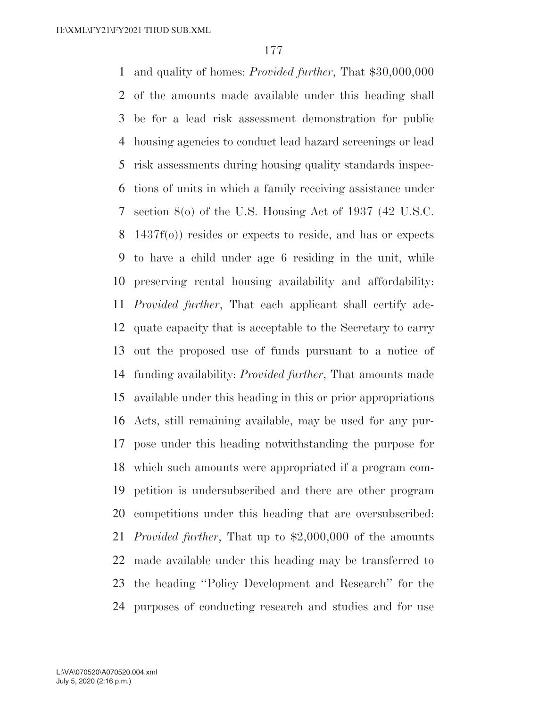and quality of homes: *Provided further*, That \$30,000,000 of the amounts made available under this heading shall be for a lead risk assessment demonstration for public housing agencies to conduct lead hazard screenings or lead risk assessments during housing quality standards inspec- tions of units in which a family receiving assistance under section 8(o) of the U.S. Housing Act of 1937 (42 U.S.C. 1437f(o)) resides or expects to reside, and has or expects to have a child under age 6 residing in the unit, while preserving rental housing availability and affordability: *Provided further*, That each applicant shall certify ade- quate capacity that is acceptable to the Secretary to carry out the proposed use of funds pursuant to a notice of funding availability: *Provided further*, That amounts made available under this heading in this or prior appropriations Acts, still remaining available, may be used for any pur- pose under this heading notwithstanding the purpose for which such amounts were appropriated if a program com- petition is undersubscribed and there are other program competitions under this heading that are oversubscribed: *Provided further*, That up to \$2,000,000 of the amounts made available under this heading may be transferred to the heading ''Policy Development and Research'' for the purposes of conducting research and studies and for use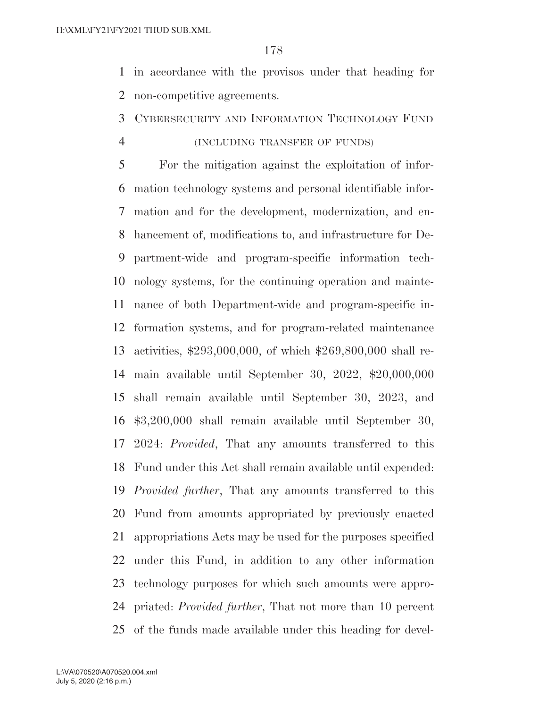in accordance with the provisos under that heading for non-competitive agreements.

# CYBERSECURITY AND INFORMATION TECHNOLOGY FUND

## (INCLUDING TRANSFER OF FUNDS)

 For the mitigation against the exploitation of infor- mation technology systems and personal identifiable infor- mation and for the development, modernization, and en- hancement of, modifications to, and infrastructure for De- partment-wide and program-specific information tech- nology systems, for the continuing operation and mainte- nance of both Department-wide and program-specific in- formation systems, and for program-related maintenance activities, \$293,000,000, of which \$269,800,000 shall re- main available until September 30, 2022, \$20,000,000 shall remain available until September 30, 2023, and \$3,200,000 shall remain available until September 30, 2024: *Provided*, That any amounts transferred to this Fund under this Act shall remain available until expended: *Provided further*, That any amounts transferred to this Fund from amounts appropriated by previously enacted appropriations Acts may be used for the purposes specified under this Fund, in addition to any other information technology purposes for which such amounts were appro- priated: *Provided further*, That not more than 10 percent of the funds made available under this heading for devel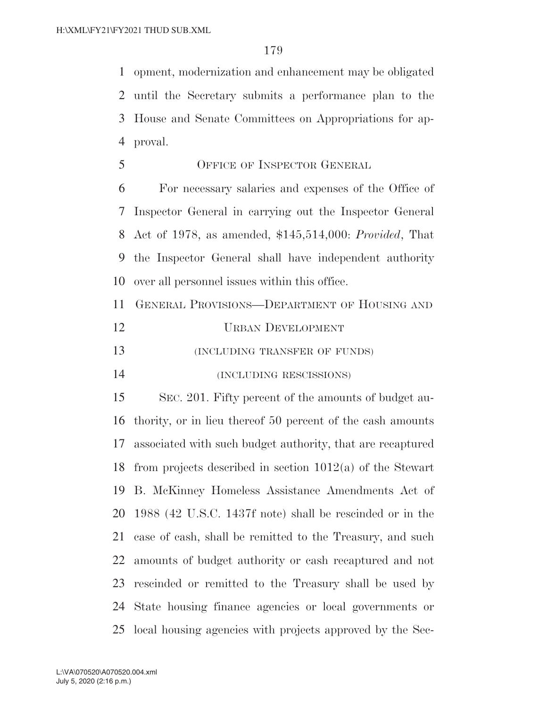opment, modernization and enhancement may be obligated until the Secretary submits a performance plan to the House and Senate Committees on Appropriations for ap-proval.

OFFICE OF INSPECTOR GENERAL

 For necessary salaries and expenses of the Office of Inspector General in carrying out the Inspector General Act of 1978, as amended, \$145,514,000: *Provided*, That the Inspector General shall have independent authority over all personnel issues within this office.

 GENERAL PROVISIONS—DEPARTMENT OF HOUSING AND URBAN DEVELOPMENT **(INCLUDING TRANSFER OF FUNDS)** 

(INCLUDING RESCISSIONS)

 SEC. 201. Fifty percent of the amounts of budget au- thority, or in lieu thereof 50 percent of the cash amounts associated with such budget authority, that are recaptured from projects described in section 1012(a) of the Stewart B. McKinney Homeless Assistance Amendments Act of 1988 (42 U.S.C. 1437f note) shall be rescinded or in the case of cash, shall be remitted to the Treasury, and such amounts of budget authority or cash recaptured and not rescinded or remitted to the Treasury shall be used by State housing finance agencies or local governments or local housing agencies with projects approved by the Sec-

July 5, 2020 (2:16 p.m.) L:\VA\070520\A070520.004.xml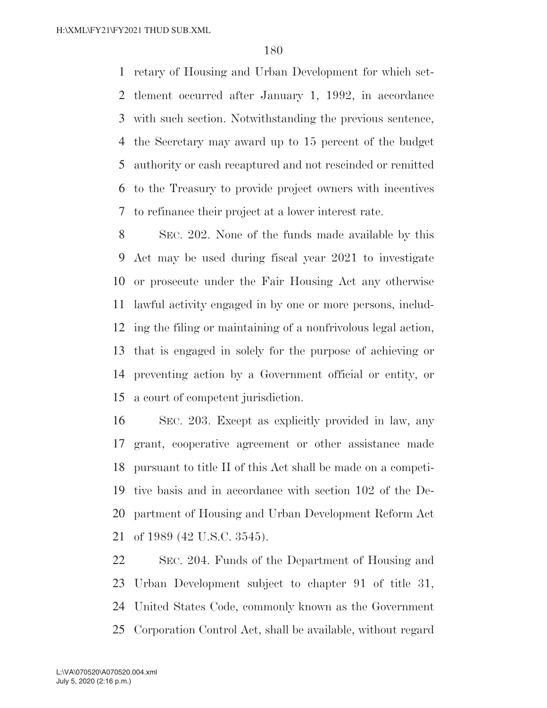retary of Housing and Urban Development for which set- tlement occurred after January 1, 1992, in accordance with such section. Notwithstanding the previous sentence, the Secretary may award up to 15 percent of the budget authority or cash recaptured and not rescinded or remitted to the Treasury to provide project owners with incentives to refinance their project at a lower interest rate.

 SEC. 202. None of the funds made available by this Act may be used during fiscal year 2021 to investigate or prosecute under the Fair Housing Act any otherwise lawful activity engaged in by one or more persons, includ- ing the filing or maintaining of a nonfrivolous legal action, that is engaged in solely for the purpose of achieving or preventing action by a Government official or entity, or a court of competent jurisdiction.

 SEC. 203. Except as explicitly provided in law, any grant, cooperative agreement or other assistance made pursuant to title II of this Act shall be made on a competi- tive basis and in accordance with section 102 of the De- partment of Housing and Urban Development Reform Act of 1989 (42 U.S.C. 3545).

 SEC. 204. Funds of the Department of Housing and Urban Development subject to chapter 91 of title 31, United States Code, commonly known as the Government Corporation Control Act, shall be available, without regard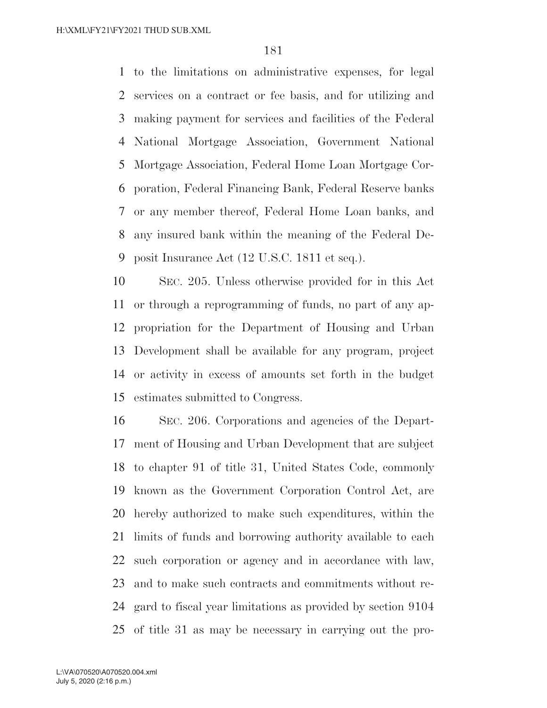to the limitations on administrative expenses, for legal services on a contract or fee basis, and for utilizing and making payment for services and facilities of the Federal National Mortgage Association, Government National Mortgage Association, Federal Home Loan Mortgage Cor- poration, Federal Financing Bank, Federal Reserve banks or any member thereof, Federal Home Loan banks, and any insured bank within the meaning of the Federal De-posit Insurance Act (12 U.S.C. 1811 et seq.).

 SEC. 205. Unless otherwise provided for in this Act or through a reprogramming of funds, no part of any ap- propriation for the Department of Housing and Urban Development shall be available for any program, project or activity in excess of amounts set forth in the budget estimates submitted to Congress.

 SEC. 206. Corporations and agencies of the Depart- ment of Housing and Urban Development that are subject to chapter 91 of title 31, United States Code, commonly known as the Government Corporation Control Act, are hereby authorized to make such expenditures, within the limits of funds and borrowing authority available to each such corporation or agency and in accordance with law, and to make such contracts and commitments without re- gard to fiscal year limitations as provided by section 9104 of title 31 as may be necessary in carrying out the pro-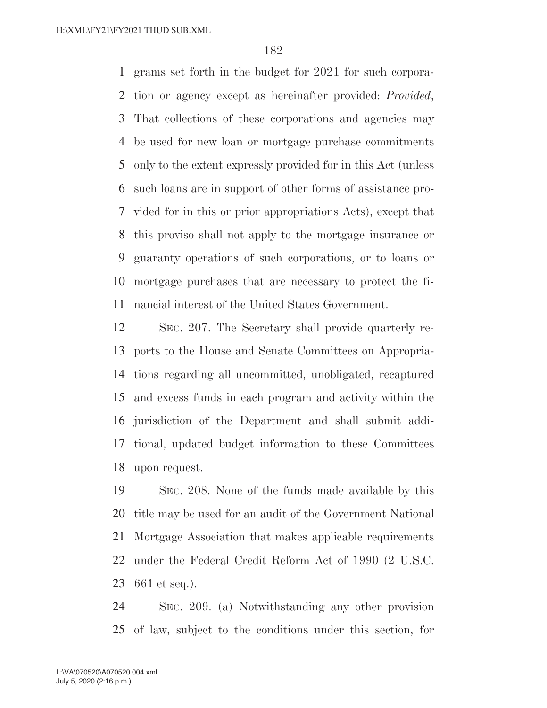grams set forth in the budget for 2021 for such corpora- tion or agency except as hereinafter provided: *Provided*, That collections of these corporations and agencies may be used for new loan or mortgage purchase commitments only to the extent expressly provided for in this Act (unless such loans are in support of other forms of assistance pro- vided for in this or prior appropriations Acts), except that this proviso shall not apply to the mortgage insurance or guaranty operations of such corporations, or to loans or mortgage purchases that are necessary to protect the fi-nancial interest of the United States Government.

 SEC. 207. The Secretary shall provide quarterly re- ports to the House and Senate Committees on Appropria- tions regarding all uncommitted, unobligated, recaptured and excess funds in each program and activity within the jurisdiction of the Department and shall submit addi- tional, updated budget information to these Committees upon request.

 SEC. 208. None of the funds made available by this title may be used for an audit of the Government National Mortgage Association that makes applicable requirements under the Federal Credit Reform Act of 1990 (2 U.S.C. 661 et seq.).

 SEC. 209. (a) Notwithstanding any other provision of law, subject to the conditions under this section, for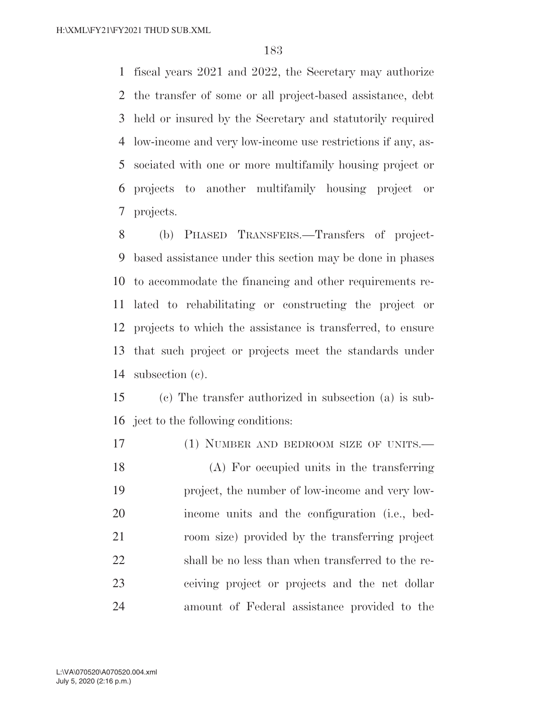fiscal years 2021 and 2022, the Secretary may authorize the transfer of some or all project-based assistance, debt held or insured by the Secretary and statutorily required low-income and very low-income use restrictions if any, as- sociated with one or more multifamily housing project or projects to another multifamily housing project or projects.

 (b) PHASED TRANSFERS.—Transfers of project- based assistance under this section may be done in phases to accommodate the financing and other requirements re- lated to rehabilitating or constructing the project or projects to which the assistance is transferred, to ensure that such project or projects meet the standards under subsection (c).

 (c) The transfer authorized in subsection (a) is sub-ject to the following conditions:

17 (1) NUMBER AND BEDROOM SIZE OF UNITS.—

 (A) For occupied units in the transferring project, the number of low-income and very low- income units and the configuration (i.e., bed- room size) provided by the transferring project shall be no less than when transferred to the re- ceiving project or projects and the net dollar amount of Federal assistance provided to the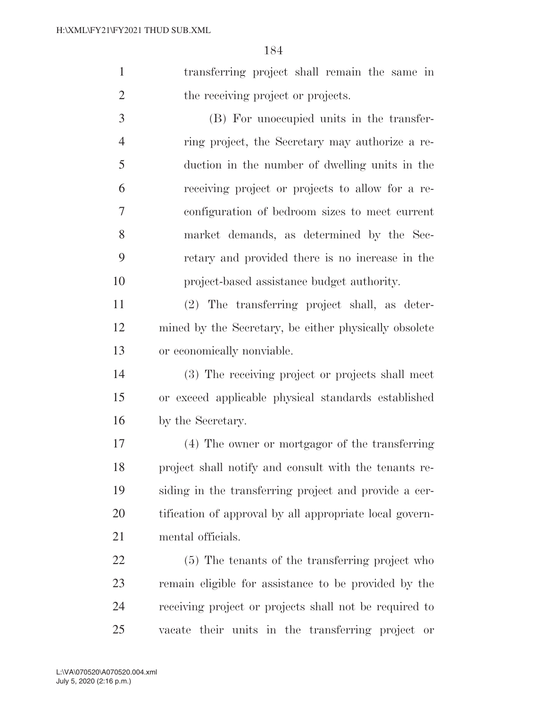transferring project shall remain the same in 2 the receiving project or projects.

 (B) For unoccupied units in the transfer- ring project, the Secretary may authorize a re- duction in the number of dwelling units in the receiving project or projects to allow for a re- configuration of bedroom sizes to meet current market demands, as determined by the Sec- retary and provided there is no increase in the project-based assistance budget authority.

 (2) The transferring project shall, as deter- mined by the Secretary, be either physically obsolete or economically nonviable.

 (3) The receiving project or projects shall meet or exceed applicable physical standards established by the Secretary.

 (4) The owner or mortgagor of the transferring project shall notify and consult with the tenants re- siding in the transferring project and provide a cer- tification of approval by all appropriate local govern-mental officials.

 (5) The tenants of the transferring project who remain eligible for assistance to be provided by the receiving project or projects shall not be required to vacate their units in the transferring project or

July 5, 2020 (2:16 p.m.) L:\VA\070520\A070520.004.xml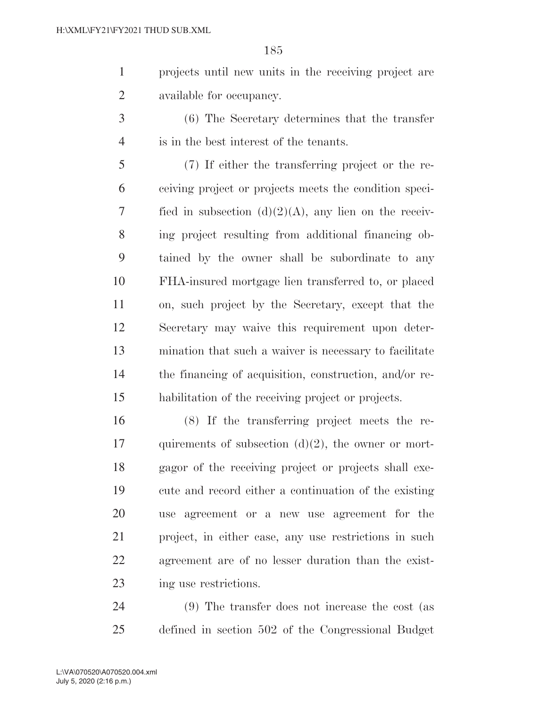projects until new units in the receiving project are available for occupancy.

 (6) The Secretary determines that the transfer is in the best interest of the tenants.

 (7) If either the transferring project or the re- ceiving project or projects meets the condition speci-7 fied in subsection  $(d)(2)(A)$ , any lien on the receiv- ing project resulting from additional financing ob- tained by the owner shall be subordinate to any FHA-insured mortgage lien transferred to, or placed on, such project by the Secretary, except that the Secretary may waive this requirement upon deter- mination that such a waiver is necessary to facilitate the financing of acquisition, construction, and/or re-habilitation of the receiving project or projects.

 (8) If the transferring project meets the re-17 quirements of subsection  $(d)(2)$ , the owner or mort- gagor of the receiving project or projects shall exe- cute and record either a continuation of the existing use agreement or a new use agreement for the project, in either case, any use restrictions in such agreement are of no lesser duration than the exist-ing use restrictions.

 (9) The transfer does not increase the cost (as defined in section 502 of the Congressional Budget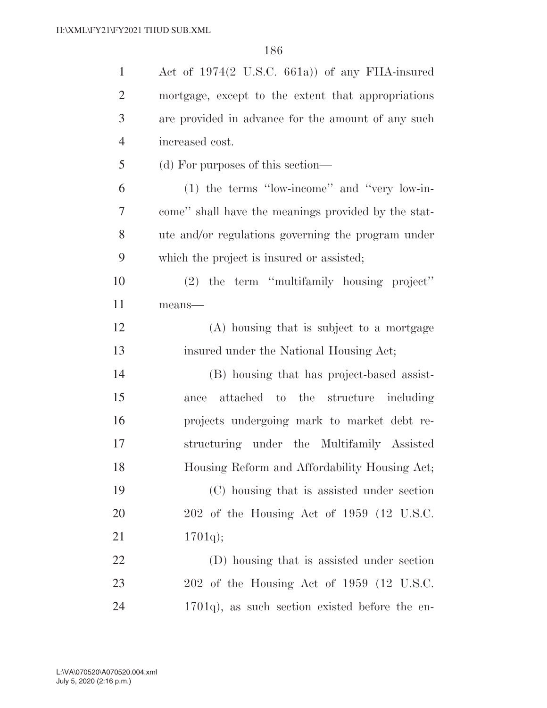| $\mathbf{1}$   | Act of $1974(2 \text{ U.S.C. } 661a)$ of any FHA-insured |
|----------------|----------------------------------------------------------|
| $\overline{2}$ | mortgage, except to the extent that appropriations       |
| 3              | are provided in advance for the amount of any such       |
| $\overline{4}$ | increased cost.                                          |
| 5              | (d) For purposes of this section—                        |
| 6              | $(1)$ the terms "low-income" and "very low-in-           |
| 7              | come" shall have the meanings provided by the stat-      |
| 8              | ute and/or regulations governing the program under       |
| 9              | which the project is insured or assisted;                |
| 10             | (2) the term "multifamily housing project"               |
| 11             | means-                                                   |
| 12             | (A) housing that is subject to a mortgage                |
| 13             | insured under the National Housing Act;                  |
| 14             | (B) housing that has project-based assist-               |
| 15             | attached to the structure including<br>ance              |
| 16             | projects undergoing mark to market debt re-              |
| 17             | structuring under the Multifamily Assisted               |
| 18             | Housing Reform and Affordability Housing Act;            |
| 19             | (C) housing that is assisted under section               |
| 20             | $202$ of the Housing Act of 1959 (12 U.S.C.              |
| 21             | $1701q$ ;                                                |
| 22             | (D) housing that is assisted under section               |
| 23             | $202$ of the Housing Act of 1959 (12 U.S.C.              |
| 24             | $1701q$ , as such section existed before the en-         |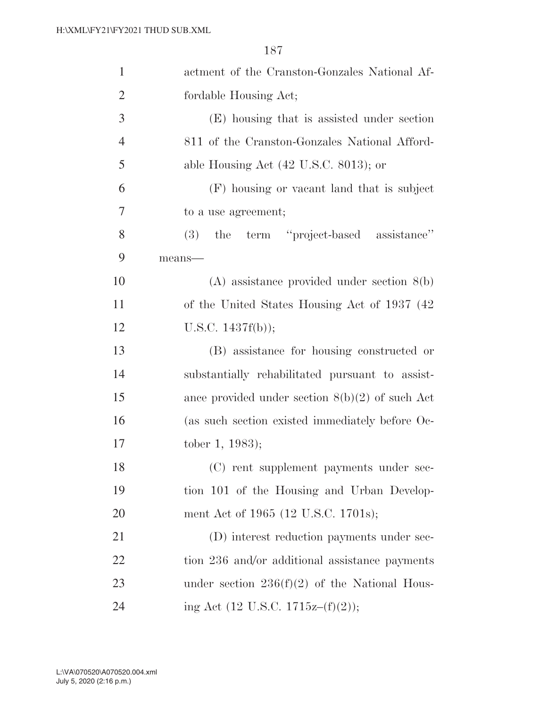| $\mathbf{1}$   | actment of the Cranston-Gonzales National Af-     |
|----------------|---------------------------------------------------|
| $\overline{2}$ | fordable Housing Act;                             |
| 3              | (E) housing that is assisted under section        |
| $\overline{4}$ | 811 of the Cranston-Gonzales National Afford-     |
| 5              | able Housing Act $(42 \text{ U.S.C. } 8013)$ ; or |
| 6              | (F) housing or vacant land that is subject        |
| 7              | to a use agreement;                               |
| 8              | the term "project-based assistance"<br>(3)        |
| 9              | means-                                            |
| 10             | $(A)$ assistance provided under section $8(b)$    |
| 11             | of the United States Housing Act of 1937 (42)     |
| 12             | U.S.C. $1437f(b)$ ;                               |
| 13             | (B) assistance for housing constructed or         |
| 14             | substantially rehabilitated pursuant to assist-   |
| 15             | ance provided under section $8(b)(2)$ of such Act |
| 16             | (as such section existed immediately before Oc-   |
| 17             | tober 1, 1983);                                   |
| 18             | (C) rent supplement payments under sec-           |
| 19             | tion 101 of the Housing and Urban Develop-        |
| 20             | ment Act of 1965 (12 U.S.C. 1701s);               |
| 21             | (D) interest reduction payments under sec-        |
| 22             | tion 236 and/or additional assistance payments    |
| 23             | under section $236(f)(2)$ of the National Hous-   |
| 24             | ing Act $(12 \text{ U.S.C. } 1715z-(f)(2));$      |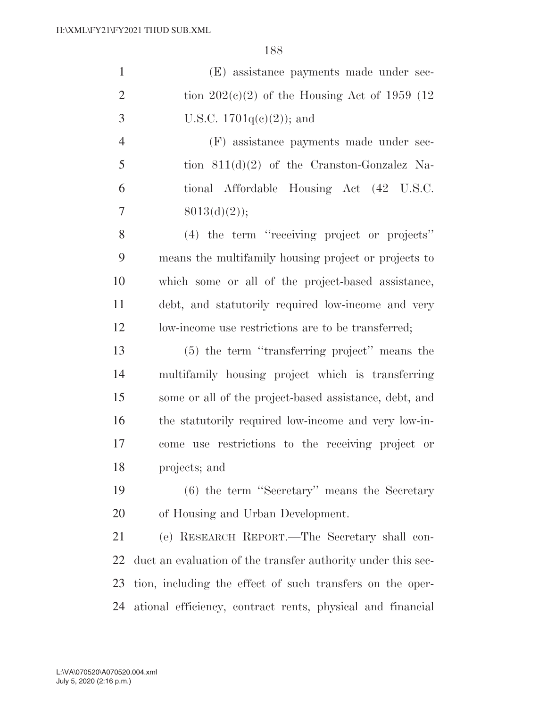| $\mathbf{1}$   | (E) assistance payments made under sec-                      |
|----------------|--------------------------------------------------------------|
| $\mathbf{2}$   | tion $202(c)(2)$ of the Housing Act of 1959 (12)             |
| 3              | U.S.C. $1701q(e)(2)$ ; and                                   |
| $\overline{4}$ | (F) assistance payments made under sec-                      |
| 5              | tion $811(d)(2)$ of the Cranston-Gonzalez Na-                |
| 6              | tional Affordable Housing Act (42 U.S.C.                     |
| 7              | 8013(d)(2));                                                 |
| 8              | (4) the term "receiving project or projects"                 |
| 9              | means the multifamily housing project or projects to         |
| 10             | which some or all of the project-based assistance,           |
| 11             | debt, and statutorily required low-income and very           |
| 12             | low-income use restrictions are to be transferred;           |
| 13             | (5) the term "transferring project" means the                |
| 14             | multifamily housing project which is transferring            |
| 15             | some or all of the project-based assistance, debt, and       |
| 16             | the statutorily required low-income and very low-in-         |
| 17             | come use restrictions to the receiving project or            |
| 18             | projects; and                                                |
| 19             | $(6)$ the term "Secretary" means the Secretary               |
| 20             | of Housing and Urban Development.                            |
| 21             | (e) RESEARCH REPORT.—The Secretary shall con-                |
| 22             | duct an evaluation of the transfer authority under this sec- |
| 23             | tion, including the effect of such transfers on the oper-    |
| 24             | ational efficiency, contract rents, physical and financial   |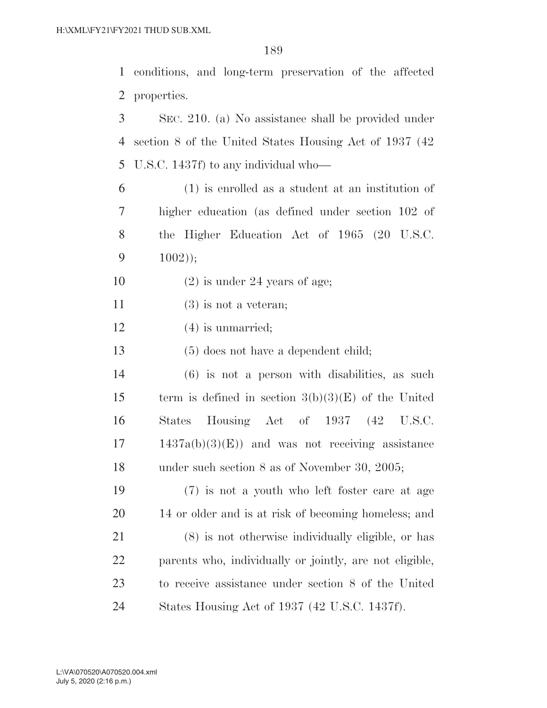conditions, and long-term preservation of the affected properties.

 SEC. 210. (a) No assistance shall be provided under section 8 of the United States Housing Act of 1937 (42 U.S.C. 1437f) to any individual who—

 (1) is enrolled as a student at an institution of higher education (as defined under section 102 of the Higher Education Act of 1965 (20 U.S.C. 9 );

(2) is under 24 years of age;

(3) is not a veteran;

(4) is unmarried;

(5) does not have a dependent child;

 (6) is not a person with disabilities, as such 15 term is defined in section  $3(b)(3)(E)$  of the United States Housing Act of 1937 (42 U.S.C.  $17 \qquad 1437a(b)(3)(E)$  and was not receiving assistance under such section 8 as of November 30, 2005;

 (7) is not a youth who left foster care at age 14 or older and is at risk of becoming homeless; and (8) is not otherwise individually eligible, or has

 parents who, individually or jointly, are not eligible, to receive assistance under section 8 of the United States Housing Act of 1937 (42 U.S.C. 1437f).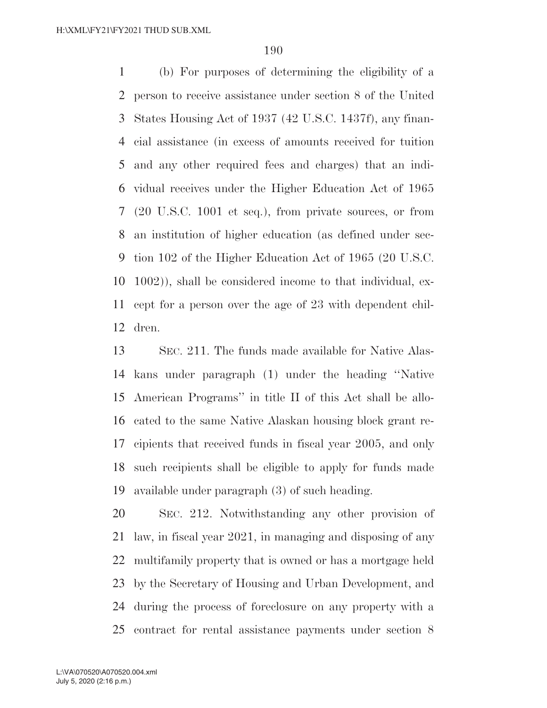(b) For purposes of determining the eligibility of a person to receive assistance under section 8 of the United States Housing Act of 1937 (42 U.S.C. 1437f), any finan- cial assistance (in excess of amounts received for tuition and any other required fees and charges) that an indi- vidual receives under the Higher Education Act of 1965 (20 U.S.C. 1001 et seq.), from private sources, or from an institution of higher education (as defined under sec- tion 102 of the Higher Education Act of 1965 (20 U.S.C. 1002)), shall be considered income to that individual, ex- cept for a person over the age of 23 with dependent chil-dren.

 SEC. 211. The funds made available for Native Alas- kans under paragraph (1) under the heading ''Native American Programs'' in title II of this Act shall be allo- cated to the same Native Alaskan housing block grant re- cipients that received funds in fiscal year 2005, and only such recipients shall be eligible to apply for funds made available under paragraph (3) of such heading.

 SEC. 212. Notwithstanding any other provision of law, in fiscal year 2021, in managing and disposing of any multifamily property that is owned or has a mortgage held by the Secretary of Housing and Urban Development, and during the process of foreclosure on any property with a contract for rental assistance payments under section 8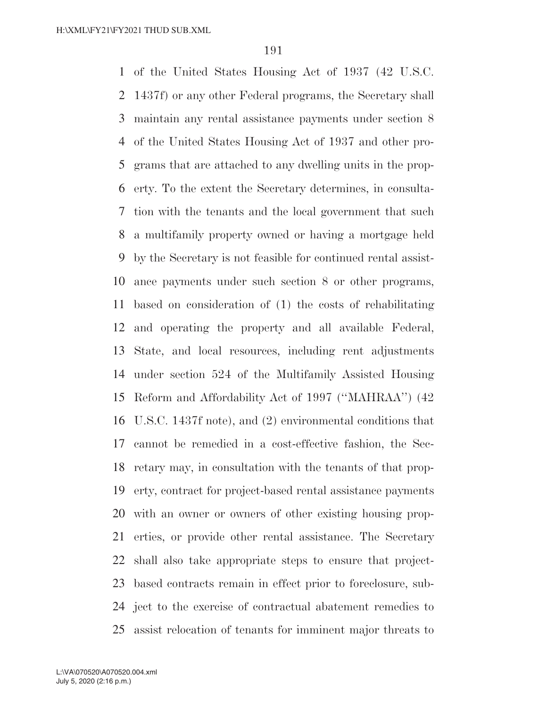of the United States Housing Act of 1937 (42 U.S.C. 1437f) or any other Federal programs, the Secretary shall maintain any rental assistance payments under section 8 of the United States Housing Act of 1937 and other pro- grams that are attached to any dwelling units in the prop- erty. To the extent the Secretary determines, in consulta- tion with the tenants and the local government that such a multifamily property owned or having a mortgage held by the Secretary is not feasible for continued rental assist- ance payments under such section 8 or other programs, based on consideration of (1) the costs of rehabilitating and operating the property and all available Federal, State, and local resources, including rent adjustments under section 524 of the Multifamily Assisted Housing Reform and Affordability Act of 1997 (''MAHRAA'') (42 U.S.C. 1437f note), and (2) environmental conditions that cannot be remedied in a cost-effective fashion, the Sec- retary may, in consultation with the tenants of that prop- erty, contract for project-based rental assistance payments with an owner or owners of other existing housing prop- erties, or provide other rental assistance. The Secretary shall also take appropriate steps to ensure that project- based contracts remain in effect prior to foreclosure, sub- ject to the exercise of contractual abatement remedies to assist relocation of tenants for imminent major threats to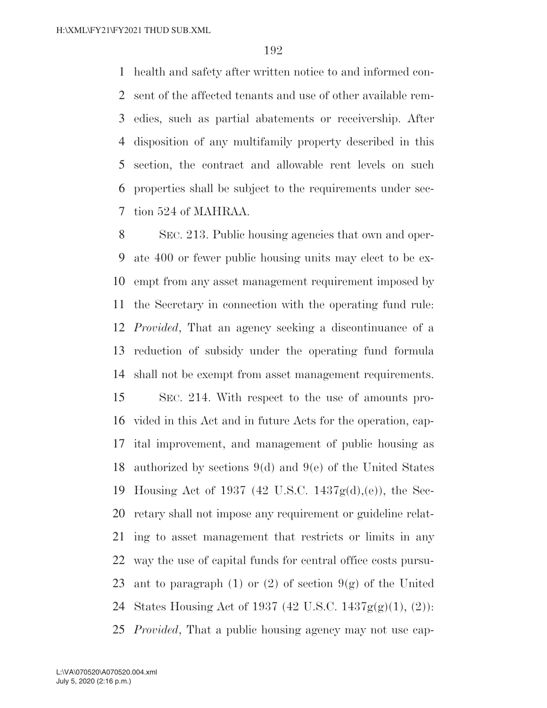health and safety after written notice to and informed con- sent of the affected tenants and use of other available rem- edies, such as partial abatements or receivership. After disposition of any multifamily property described in this section, the contract and allowable rent levels on such properties shall be subject to the requirements under sec-tion 524 of MAHRAA.

 SEC. 213. Public housing agencies that own and oper- ate 400 or fewer public housing units may elect to be ex- empt from any asset management requirement imposed by the Secretary in connection with the operating fund rule: *Provided*, That an agency seeking a discontinuance of a reduction of subsidy under the operating fund formula shall not be exempt from asset management requirements. SEC. 214. With respect to the use of amounts pro- vided in this Act and in future Acts for the operation, cap- ital improvement, and management of public housing as authorized by sections 9(d) and 9(e) of the United States Housing Act of 1937 (42 U.S.C. 1437g(d),(e)), the Sec- retary shall not impose any requirement or guideline relat- ing to asset management that restricts or limits in any way the use of capital funds for central office costs pursu-23 ant to paragraph (1) or (2) of section  $9(g)$  of the United 24 States Housing Act of 1937 (42 U.S.C.  $1437g(g)(1)$ , (2)): *Provided*, That a public housing agency may not use cap-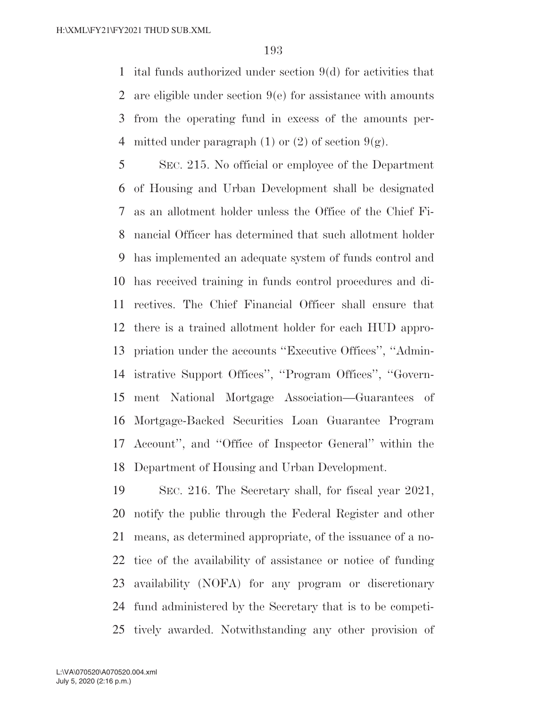ital funds authorized under section 9(d) for activities that are eligible under section 9(e) for assistance with amounts from the operating fund in excess of the amounts per-4 mitted under paragraph (1) or (2) of section  $9(g)$ .

 SEC. 215. No official or employee of the Department of Housing and Urban Development shall be designated as an allotment holder unless the Office of the Chief Fi- nancial Officer has determined that such allotment holder has implemented an adequate system of funds control and has received training in funds control procedures and di- rectives. The Chief Financial Officer shall ensure that there is a trained allotment holder for each HUD appro- priation under the accounts ''Executive Offices'', ''Admin- istrative Support Offices'', ''Program Offices'', ''Govern- ment National Mortgage Association—Guarantees of Mortgage-Backed Securities Loan Guarantee Program Account'', and ''Office of Inspector General'' within the Department of Housing and Urban Development.

 SEC. 216. The Secretary shall, for fiscal year 2021, notify the public through the Federal Register and other means, as determined appropriate, of the issuance of a no- tice of the availability of assistance or notice of funding availability (NOFA) for any program or discretionary fund administered by the Secretary that is to be competi-tively awarded. Notwithstanding any other provision of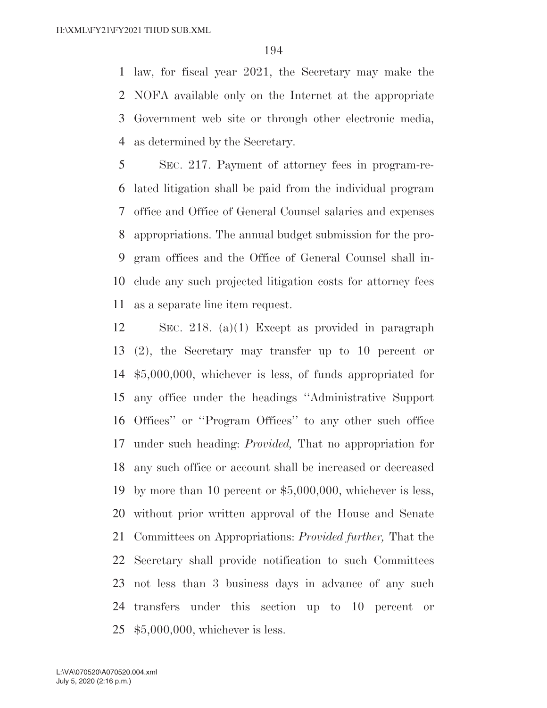law, for fiscal year 2021, the Secretary may make the NOFA available only on the Internet at the appropriate Government web site or through other electronic media, as determined by the Secretary.

 SEC. 217. Payment of attorney fees in program-re- lated litigation shall be paid from the individual program office and Office of General Counsel salaries and expenses appropriations. The annual budget submission for the pro- gram offices and the Office of General Counsel shall in- clude any such projected litigation costs for attorney fees as a separate line item request.

 SEC. 218. (a)(1) Except as provided in paragraph (2), the Secretary may transfer up to 10 percent or \$5,000,000, whichever is less, of funds appropriated for any office under the headings ''Administrative Support Offices'' or ''Program Offices'' to any other such office under such heading: *Provided,* That no appropriation for any such office or account shall be increased or decreased by more than 10 percent or \$5,000,000, whichever is less, without prior written approval of the House and Senate Committees on Appropriations: *Provided further,* That the Secretary shall provide notification to such Committees not less than 3 business days in advance of any such transfers under this section up to 10 percent or \$5,000,000, whichever is less.

July 5, 2020 (2:16 p.m.) L:\VA\070520\A070520.004.xml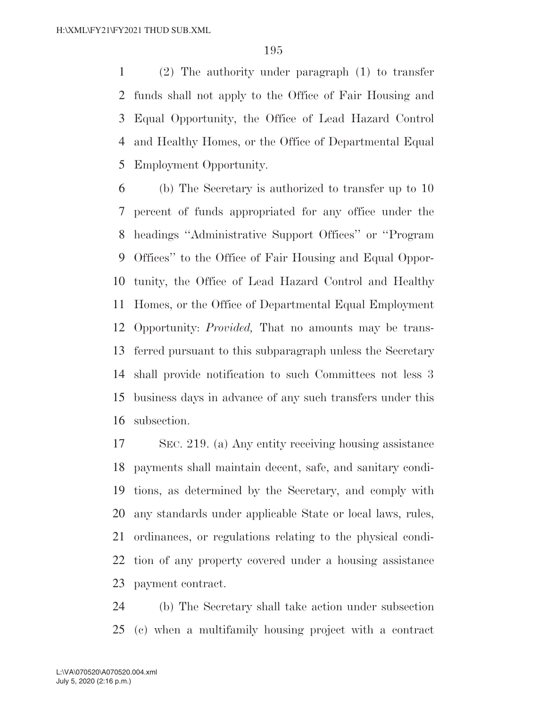(2) The authority under paragraph (1) to transfer funds shall not apply to the Office of Fair Housing and Equal Opportunity, the Office of Lead Hazard Control and Healthy Homes, or the Office of Departmental Equal Employment Opportunity.

 (b) The Secretary is authorized to transfer up to 10 percent of funds appropriated for any office under the headings ''Administrative Support Offices'' or ''Program Offices'' to the Office of Fair Housing and Equal Oppor- tunity, the Office of Lead Hazard Control and Healthy Homes, or the Office of Departmental Equal Employment Opportunity: *Provided,* That no amounts may be trans- ferred pursuant to this subparagraph unless the Secretary shall provide notification to such Committees not less 3 business days in advance of any such transfers under this subsection.

 SEC. 219. (a) Any entity receiving housing assistance payments shall maintain decent, safe, and sanitary condi- tions, as determined by the Secretary, and comply with any standards under applicable State or local laws, rules, ordinances, or regulations relating to the physical condi- tion of any property covered under a housing assistance payment contract.

 (b) The Secretary shall take action under subsection (c) when a multifamily housing project with a contract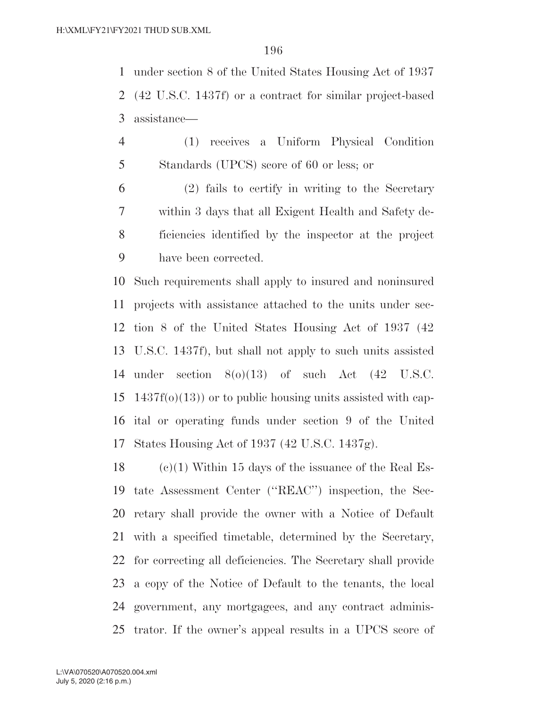under section 8 of the United States Housing Act of 1937 (42 U.S.C. 1437f) or a contract for similar project-based assistance—

 (1) receives a Uniform Physical Condition Standards (UPCS) score of 60 or less; or

 (2) fails to certify in writing to the Secretary within 3 days that all Exigent Health and Safety de- ficiencies identified by the inspector at the project have been corrected.

 Such requirements shall apply to insured and noninsured projects with assistance attached to the units under sec- tion 8 of the United States Housing Act of 1937 (42 U.S.C. 1437f), but shall not apply to such units assisted under section 8(o)(13) of such Act (42 U.S.C. 15 1437f( $o(13)$ ) or to public housing units assisted with cap- ital or operating funds under section 9 of the United States Housing Act of 1937 (42 U.S.C. 1437g).

 (c)(1) Within 15 days of the issuance of the Real Es- tate Assessment Center (''REAC'') inspection, the Sec- retary shall provide the owner with a Notice of Default with a specified timetable, determined by the Secretary, for correcting all deficiencies. The Secretary shall provide a copy of the Notice of Default to the tenants, the local government, any mortgagees, and any contract adminis-trator. If the owner's appeal results in a UPCS score of

July 5, 2020 (2:16 p.m.) L:\VA\070520\A070520.004.xml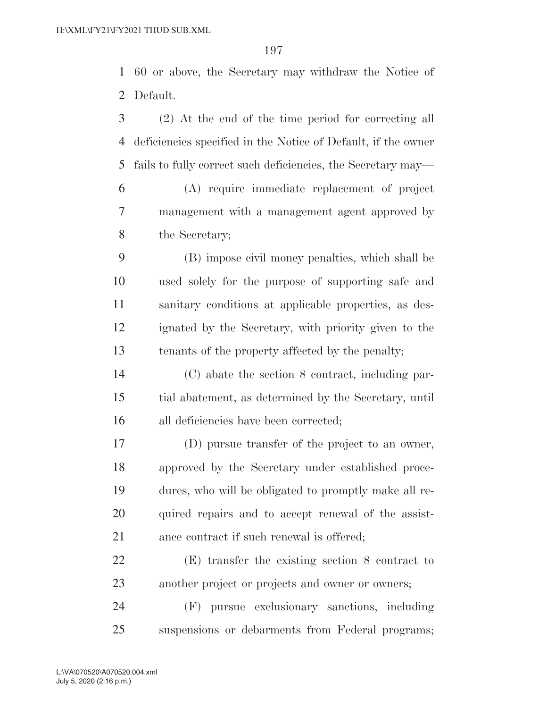60 or above, the Secretary may withdraw the Notice of Default.

 (2) At the end of the time period for correcting all deficiencies specified in the Notice of Default, if the owner fails to fully correct such deficiencies, the Secretary may— (A) require immediate replacement of project management with a management agent approved by the Secretary; (B) impose civil money penalties, which shall be used solely for the purpose of supporting safe and sanitary conditions at applicable properties, as des- ignated by the Secretary, with priority given to the tenants of the property affected by the penalty; (C) abate the section 8 contract, including par- tial abatement, as determined by the Secretary, until all deficiencies have been corrected; (D) pursue transfer of the project to an owner, approved by the Secretary under established proce- dures, who will be obligated to promptly make all re-quired repairs and to accept renewal of the assist-

ance contract if such renewal is offered;

 (E) transfer the existing section 8 contract to another project or projects and owner or owners;

 (F) pursue exclusionary sanctions, including suspensions or debarments from Federal programs;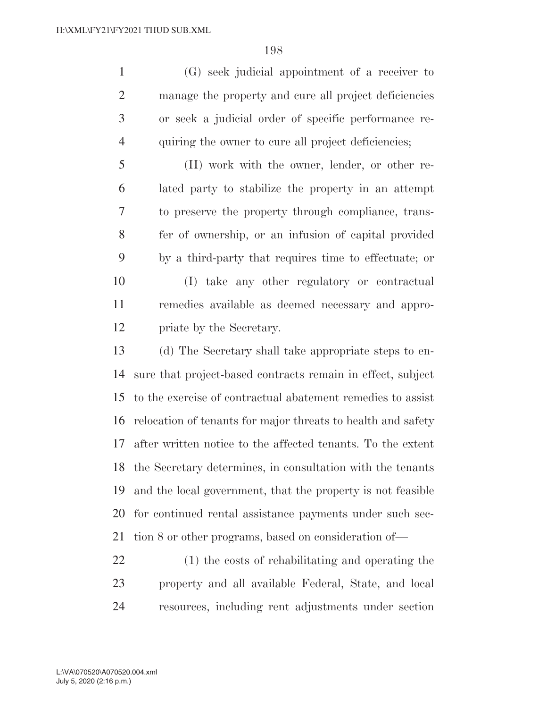(G) seek judicial appointment of a receiver to manage the property and cure all project deficiencies or seek a judicial order of specific performance re-quiring the owner to cure all project deficiencies;

 (H) work with the owner, lender, or other re- lated party to stabilize the property in an attempt to preserve the property through compliance, trans- fer of ownership, or an infusion of capital provided by a third-party that requires time to effectuate; or

 (I) take any other regulatory or contractual remedies available as deemed necessary and appro-priate by the Secretary.

 (d) The Secretary shall take appropriate steps to en- sure that project-based contracts remain in effect, subject to the exercise of contractual abatement remedies to assist relocation of tenants for major threats to health and safety after written notice to the affected tenants. To the extent the Secretary determines, in consultation with the tenants and the local government, that the property is not feasible for continued rental assistance payments under such sec-tion 8 or other programs, based on consideration of—

 (1) the costs of rehabilitating and operating the property and all available Federal, State, and local resources, including rent adjustments under section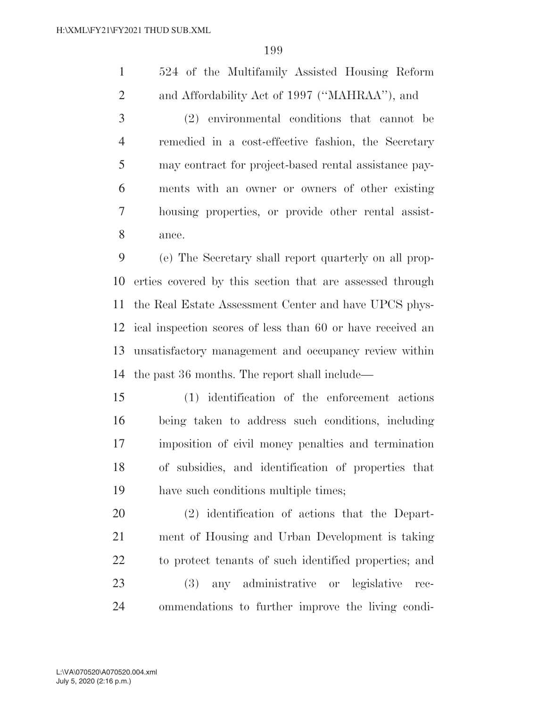524 of the Multifamily Assisted Housing Reform and Affordability Act of 1997 (''MAHRAA''), and

 (2) environmental conditions that cannot be remedied in a cost-effective fashion, the Secretary may contract for project-based rental assistance pay- ments with an owner or owners of other existing housing properties, or provide other rental assist-ance.

 (e) The Secretary shall report quarterly on all prop- erties covered by this section that are assessed through the Real Estate Assessment Center and have UPCS phys- ical inspection scores of less than 60 or have received an unsatisfactory management and occupancy review within the past 36 months. The report shall include—

 (1) identification of the enforcement actions being taken to address such conditions, including imposition of civil money penalties and termination of subsidies, and identification of properties that have such conditions multiple times;

 (2) identification of actions that the Depart- ment of Housing and Urban Development is taking to protect tenants of such identified properties; and (3) any administrative or legislative rec-ommendations to further improve the living condi-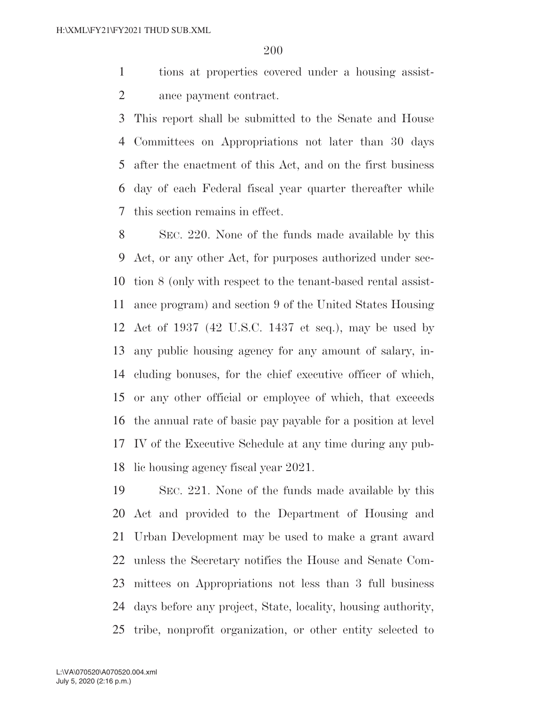tions at properties covered under a housing assist-ance payment contract.

 This report shall be submitted to the Senate and House Committees on Appropriations not later than 30 days after the enactment of this Act, and on the first business day of each Federal fiscal year quarter thereafter while this section remains in effect.

 SEC. 220. None of the funds made available by this Act, or any other Act, for purposes authorized under sec- tion 8 (only with respect to the tenant-based rental assist- ance program) and section 9 of the United States Housing Act of 1937 (42 U.S.C. 1437 et seq.), may be used by any public housing agency for any amount of salary, in- cluding bonuses, for the chief executive officer of which, or any other official or employee of which, that exceeds the annual rate of basic pay payable for a position at level IV of the Executive Schedule at any time during any pub-lic housing agency fiscal year 2021.

 SEC. 221. None of the funds made available by this Act and provided to the Department of Housing and Urban Development may be used to make a grant award unless the Secretary notifies the House and Senate Com- mittees on Appropriations not less than 3 full business days before any project, State, locality, housing authority, tribe, nonprofit organization, or other entity selected to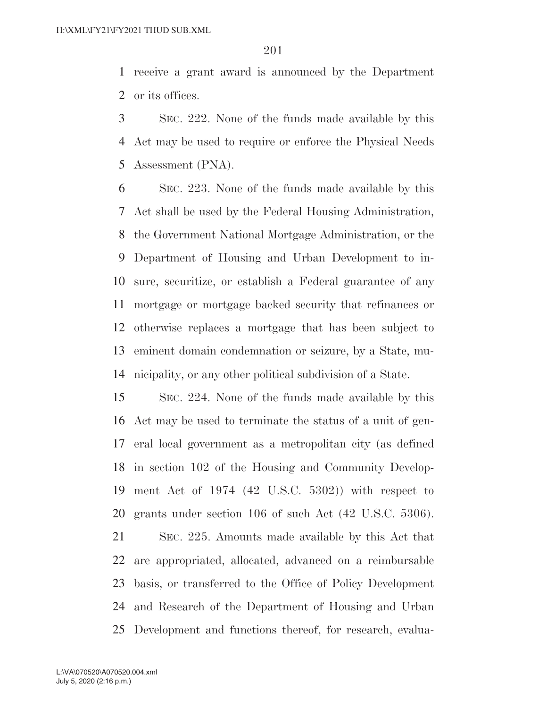receive a grant award is announced by the Department or its offices.

 SEC. 222. None of the funds made available by this Act may be used to require or enforce the Physical Needs Assessment (PNA).

 SEC. 223. None of the funds made available by this Act shall be used by the Federal Housing Administration, the Government National Mortgage Administration, or the Department of Housing and Urban Development to in- sure, securitize, or establish a Federal guarantee of any mortgage or mortgage backed security that refinances or otherwise replaces a mortgage that has been subject to eminent domain condemnation or seizure, by a State, mu-nicipality, or any other political subdivision of a State.

 SEC. 224. None of the funds made available by this Act may be used to terminate the status of a unit of gen- eral local government as a metropolitan city (as defined in section 102 of the Housing and Community Develop- ment Act of 1974 (42 U.S.C. 5302)) with respect to grants under section 106 of such Act (42 U.S.C. 5306).

 SEC. 225. Amounts made available by this Act that are appropriated, allocated, advanced on a reimbursable basis, or transferred to the Office of Policy Development and Research of the Department of Housing and Urban Development and functions thereof, for research, evalua-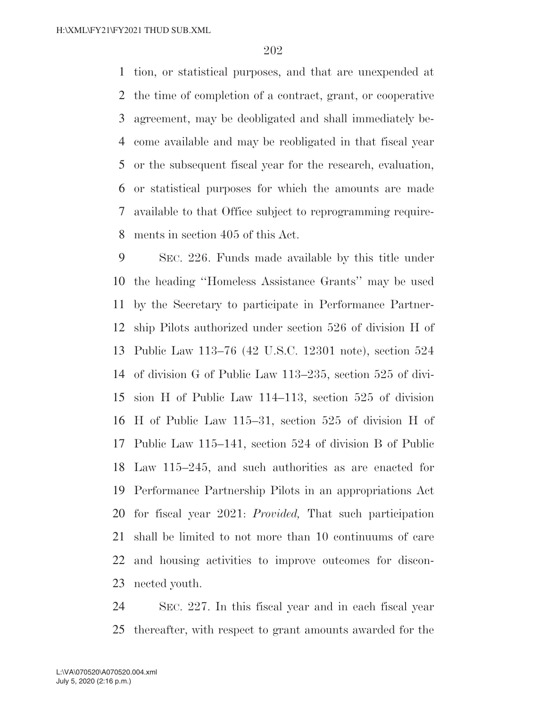tion, or statistical purposes, and that are unexpended at the time of completion of a contract, grant, or cooperative agreement, may be deobligated and shall immediately be- come available and may be reobligated in that fiscal year or the subsequent fiscal year for the research, evaluation, or statistical purposes for which the amounts are made available to that Office subject to reprogramming require-ments in section 405 of this Act.

 SEC. 226. Funds made available by this title under the heading ''Homeless Assistance Grants'' may be used by the Secretary to participate in Performance Partner- ship Pilots authorized under section 526 of division H of Public Law 113–76 (42 U.S.C. 12301 note), section 524 of division G of Public Law 113–235, section 525 of divi- sion H of Public Law 114–113, section 525 of division H of Public Law 115–31, section 525 of division H of Public Law 115–141, section 524 of division B of Public Law 115–245, and such authorities as are enacted for Performance Partnership Pilots in an appropriations Act for fiscal year 2021: *Provided,* That such participation shall be limited to not more than 10 continuums of care and housing activities to improve outcomes for discon-nected youth.

 SEC. 227. In this fiscal year and in each fiscal year thereafter, with respect to grant amounts awarded for the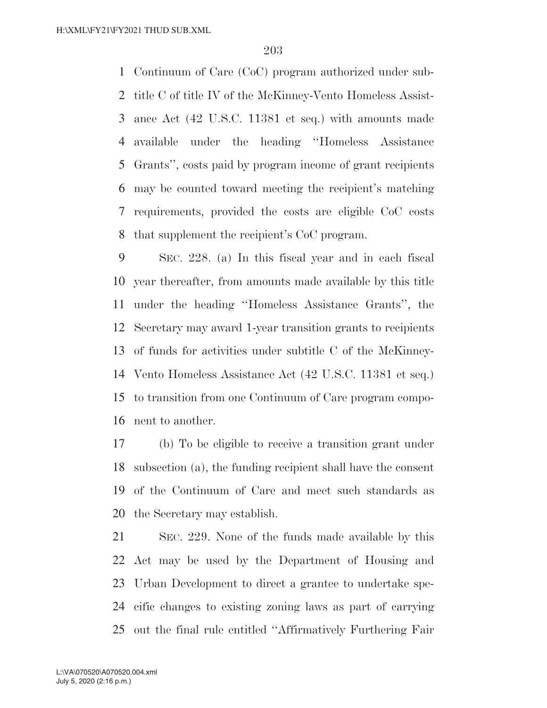Continuum of Care (CoC) program authorized under sub- title C of title IV of the McKinney-Vento Homeless Assist- ance Act (42 U.S.C. 11381 et seq.) with amounts made available under the heading ''Homeless Assistance Grants'', costs paid by program income of grant recipients may be counted toward meeting the recipient's matching requirements, provided the costs are eligible CoC costs that supplement the recipient's CoC program.

 SEC. 228. (a) In this fiscal year and in each fiscal year thereafter, from amounts made available by this title under the heading ''Homeless Assistance Grants'', the Secretary may award 1-year transition grants to recipients of funds for activities under subtitle C of the McKinney- Vento Homeless Assistance Act (42 U.S.C. 11381 et seq.) to transition from one Continuum of Care program compo-nent to another.

 (b) To be eligible to receive a transition grant under subsection (a), the funding recipient shall have the consent of the Continuum of Care and meet such standards as the Secretary may establish.

 SEC. 229. None of the funds made available by this Act may be used by the Department of Housing and Urban Development to direct a grantee to undertake spe- cific changes to existing zoning laws as part of carrying out the final rule entitled ''Affirmatively Furthering Fair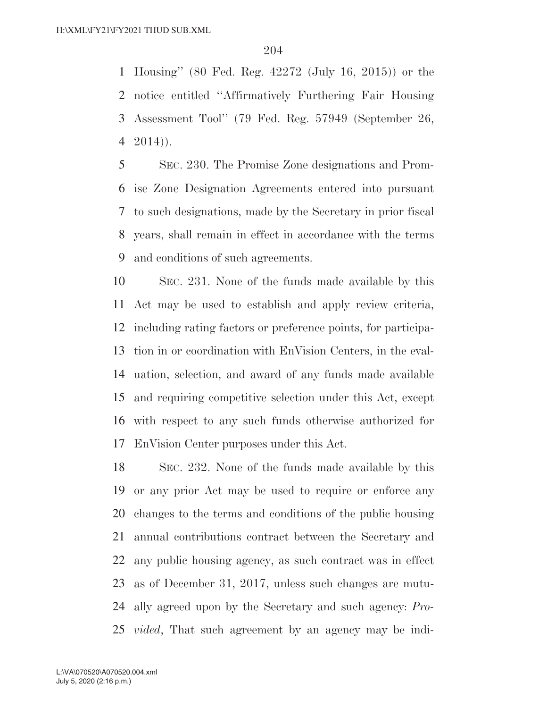Housing'' (80 Fed. Reg. 42272 (July 16, 2015)) or the notice entitled ''Affirmatively Furthering Fair Housing Assessment Tool'' (79 Fed. Reg. 57949 (September 26, 2014)).

 SEC. 230. The Promise Zone designations and Prom- ise Zone Designation Agreements entered into pursuant to such designations, made by the Secretary in prior fiscal years, shall remain in effect in accordance with the terms and conditions of such agreements.

 SEC. 231. None of the funds made available by this Act may be used to establish and apply review criteria, including rating factors or preference points, for participa- tion in or coordination with EnVision Centers, in the eval- uation, selection, and award of any funds made available and requiring competitive selection under this Act, except with respect to any such funds otherwise authorized for EnVision Center purposes under this Act.

 SEC. 232. None of the funds made available by this or any prior Act may be used to require or enforce any changes to the terms and conditions of the public housing annual contributions contract between the Secretary and any public housing agency, as such contract was in effect as of December 31, 2017, unless such changes are mutu- ally agreed upon by the Secretary and such agency: *Pro-vided*, That such agreement by an agency may be indi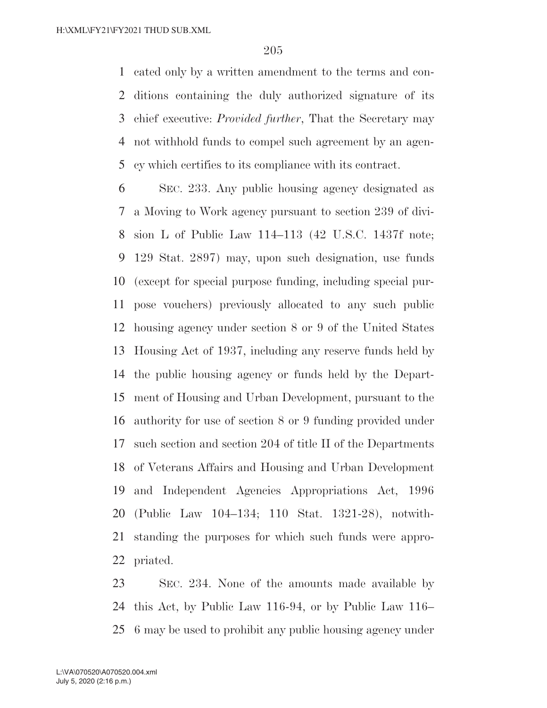cated only by a written amendment to the terms and con- ditions containing the duly authorized signature of its chief executive: *Provided further*, That the Secretary may not withhold funds to compel such agreement by an agen-cy which certifies to its compliance with its contract.

 SEC. 233. Any public housing agency designated as a Moving to Work agency pursuant to section 239 of divi- sion L of Public Law 114–113 (42 U.S.C. 1437f note; 129 Stat. 2897) may, upon such designation, use funds (except for special purpose funding, including special pur- pose vouchers) previously allocated to any such public housing agency under section 8 or 9 of the United States Housing Act of 1937, including any reserve funds held by the public housing agency or funds held by the Depart- ment of Housing and Urban Development, pursuant to the authority for use of section 8 or 9 funding provided under such section and section 204 of title II of the Departments of Veterans Affairs and Housing and Urban Development and Independent Agencies Appropriations Act, 1996 (Public Law 104–134; 110 Stat. 1321-28), notwith- standing the purposes for which such funds were appro-priated.

 SEC. 234. None of the amounts made available by this Act, by Public Law 116-94, or by Public Law 116– 6 may be used to prohibit any public housing agency under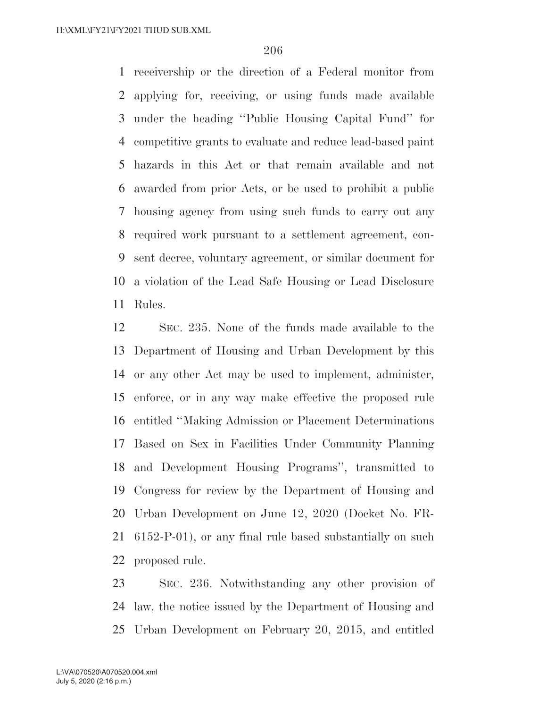receivership or the direction of a Federal monitor from applying for, receiving, or using funds made available under the heading ''Public Housing Capital Fund'' for competitive grants to evaluate and reduce lead-based paint hazards in this Act or that remain available and not awarded from prior Acts, or be used to prohibit a public housing agency from using such funds to carry out any required work pursuant to a settlement agreement, con- sent decree, voluntary agreement, or similar document for a violation of the Lead Safe Housing or Lead Disclosure Rules.

 SEC. 235. None of the funds made available to the Department of Housing and Urban Development by this or any other Act may be used to implement, administer, enforce, or in any way make effective the proposed rule entitled ''Making Admission or Placement Determinations Based on Sex in Facilities Under Community Planning and Development Housing Programs'', transmitted to Congress for review by the Department of Housing and Urban Development on June 12, 2020 (Docket No. FR- 6152-P-01), or any final rule based substantially on such proposed rule.

 SEC. 236. Notwithstanding any other provision of law, the notice issued by the Department of Housing and Urban Development on February 20, 2015, and entitled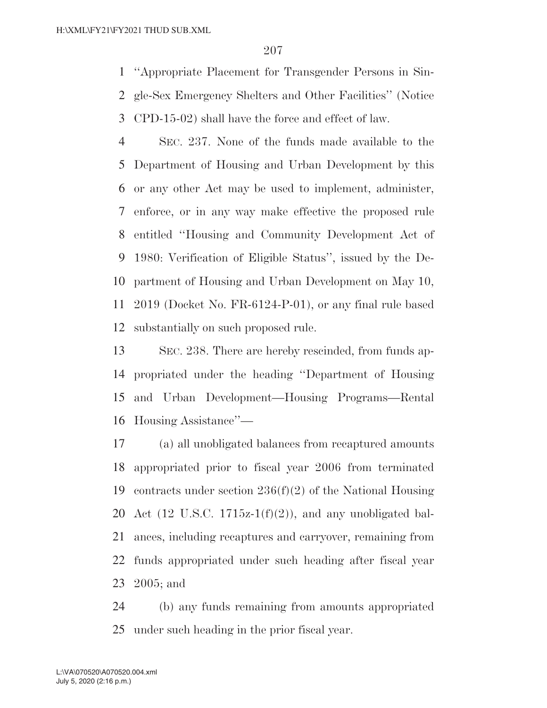''Appropriate Placement for Transgender Persons in Sin- gle-Sex Emergency Shelters and Other Facilities'' (Notice CPD-15-02) shall have the force and effect of law.

 SEC. 237. None of the funds made available to the Department of Housing and Urban Development by this or any other Act may be used to implement, administer, enforce, or in any way make effective the proposed rule entitled ''Housing and Community Development Act of 1980: Verification of Eligible Status'', issued by the De- partment of Housing and Urban Development on May 10, 2019 (Docket No. FR-6124-P-01), or any final rule based substantially on such proposed rule.

 SEC. 238. There are hereby rescinded, from funds ap- propriated under the heading ''Department of Housing and Urban Development—Housing Programs—Rental Housing Assistance''—

 (a) all unobligated balances from recaptured amounts appropriated prior to fiscal year 2006 from terminated contracts under section 236(f)(2) of the National Housing 20 Act (12 U.S.C. 1715 $z$ -1(f)(2)), and any unobligated bal- ances, including recaptures and carryover, remaining from funds appropriated under such heading after fiscal year 2005; and

 (b) any funds remaining from amounts appropriated under such heading in the prior fiscal year.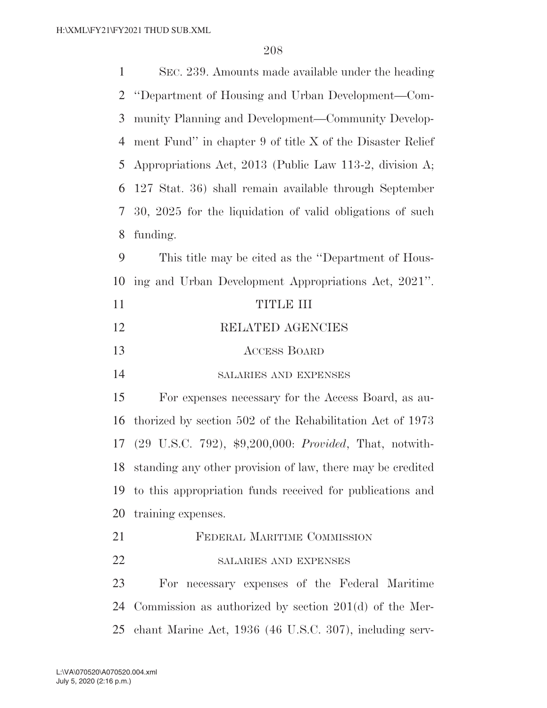| $\mathbf{1}$   | SEC. 239. Amounts made available under the heading                |
|----------------|-------------------------------------------------------------------|
| $\overline{2}$ | "Department of Housing and Urban Development—Com-                 |
| 3              | munity Planning and Development—Community Develop-                |
| 4              | ment Fund" in chapter 9 of title X of the Disaster Relief         |
| 5              | Appropriations Act, 2013 (Public Law 113-2, division A;           |
| 6              | 127 Stat. 36) shall remain available through September            |
| 7              | 30, 2025 for the liquidation of valid obligations of such         |
| 8              | funding.                                                          |
| 9              | This title may be cited as the "Department of Hous-               |
| 10             | ing and Urban Development Appropriations Act, 2021".              |
| 11             | TITLE III                                                         |
| 12             | RELATED AGENCIES                                                  |
| 13             | <b>ACCESS BOARD</b>                                               |
| 14             | SALARIES AND EXPENSES                                             |
| 15             | For expenses necessary for the Access Board, as au-               |
| 16             | thorized by section 502 of the Rehabilitation Act of 1973         |
| 17             | $(29 \text{ U.S.C. } 792), $9,200,000: Provided, That, not with-$ |
| 18             | standing any other provision of law, there may be credited        |
| 19             | to this appropriation funds received for publications and         |
| 20             | training expenses.                                                |
| 21             | FEDERAL MARITIME COMMISSION                                       |
| 22             | SALARIES AND EXPENSES                                             |
| 23             | For necessary expenses of the Federal Maritime                    |
| 24             | Commission as authorized by section $201(d)$ of the Mer-          |
| 25             | chant Marine Act, 1936 (46 U.S.C. 307), including serv-           |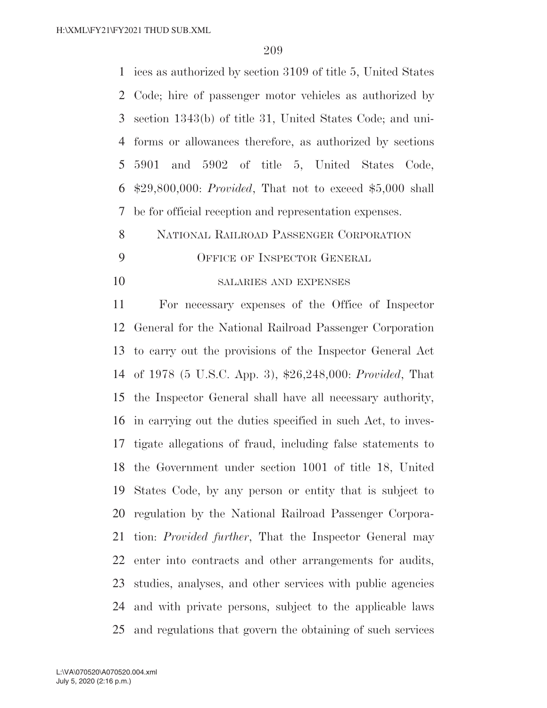ices as authorized by section 3109 of title 5, United States Code; hire of passenger motor vehicles as authorized by section 1343(b) of title 31, United States Code; and uni- forms or allowances therefore, as authorized by sections 5901 and 5902 of title 5, United States Code, \$29,800,000: *Provided*, That not to exceed \$5,000 shall be for official reception and representation expenses.

- NATIONAL RAILROAD PASSENGER CORPORATION
- OFFICE OF INSPECTOR GENERAL
- SALARIES AND EXPENSES

 For necessary expenses of the Office of Inspector General for the National Railroad Passenger Corporation to carry out the provisions of the Inspector General Act of 1978 (5 U.S.C. App. 3), \$26,248,000: *Provided*, That the Inspector General shall have all necessary authority, in carrying out the duties specified in such Act, to inves- tigate allegations of fraud, including false statements to the Government under section 1001 of title 18, United States Code, by any person or entity that is subject to regulation by the National Railroad Passenger Corpora- tion: *Provided further*, That the Inspector General may enter into contracts and other arrangements for audits, studies, analyses, and other services with public agencies and with private persons, subject to the applicable laws and regulations that govern the obtaining of such services

July 5, 2020 (2:16 p.m.) L:\VA\070520\A070520.004.xml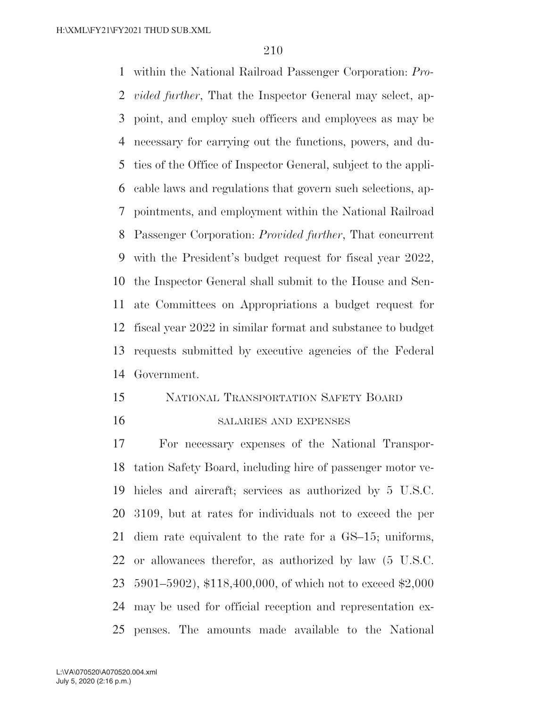within the National Railroad Passenger Corporation: *Pro- vided further*, That the Inspector General may select, ap- point, and employ such officers and employees as may be necessary for carrying out the functions, powers, and du- ties of the Office of Inspector General, subject to the appli- cable laws and regulations that govern such selections, ap- pointments, and employment within the National Railroad Passenger Corporation: *Provided further*, That concurrent with the President's budget request for fiscal year 2022, the Inspector General shall submit to the House and Sen- ate Committees on Appropriations a budget request for fiscal year 2022 in similar format and substance to budget requests submitted by executive agencies of the Federal Government.

# NATIONAL TRANSPORTATION SAFETY BOARD

#### SALARIES AND EXPENSES

 For necessary expenses of the National Transpor- tation Safety Board, including hire of passenger motor ve- hicles and aircraft; services as authorized by 5 U.S.C. 3109, but at rates for individuals not to exceed the per diem rate equivalent to the rate for a GS–15; uniforms, or allowances therefor, as authorized by law (5 U.S.C. 5901–5902), \$118,400,000, of which not to exceed \$2,000 may be used for official reception and representation ex-penses. The amounts made available to the National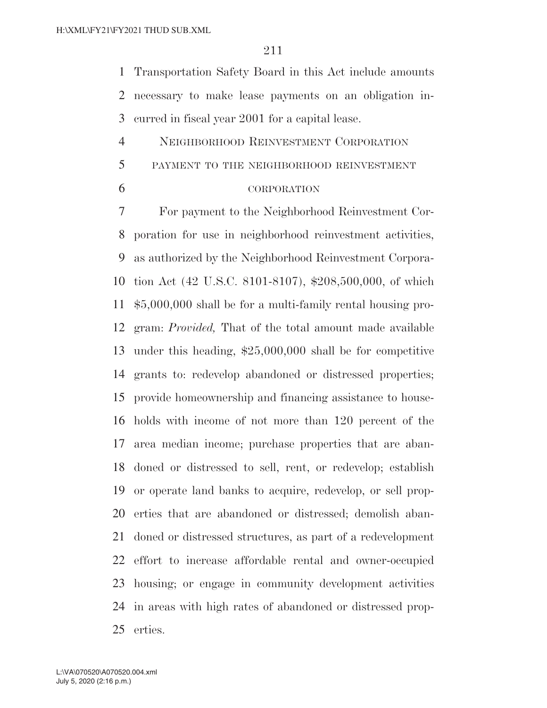Transportation Safety Board in this Act include amounts necessary to make lease payments on an obligation in-curred in fiscal year 2001 for a capital lease.

 NEIGHBORHOOD REINVESTMENT CORPORATION PAYMENT TO THE NEIGHBORHOOD REINVESTMENT

### CORPORATION

 For payment to the Neighborhood Reinvestment Cor- poration for use in neighborhood reinvestment activities, as authorized by the Neighborhood Reinvestment Corpora- tion Act (42 U.S.C. 8101-8107), \$208,500,000, of which \$5,000,000 shall be for a multi-family rental housing pro- gram: *Provided,* That of the total amount made available under this heading, \$25,000,000 shall be for competitive grants to: redevelop abandoned or distressed properties; provide homeownership and financing assistance to house- holds with income of not more than 120 percent of the area median income; purchase properties that are aban- doned or distressed to sell, rent, or redevelop; establish or operate land banks to acquire, redevelop, or sell prop- erties that are abandoned or distressed; demolish aban- doned or distressed structures, as part of a redevelopment effort to increase affordable rental and owner-occupied housing; or engage in community development activities in areas with high rates of abandoned or distressed prop-erties.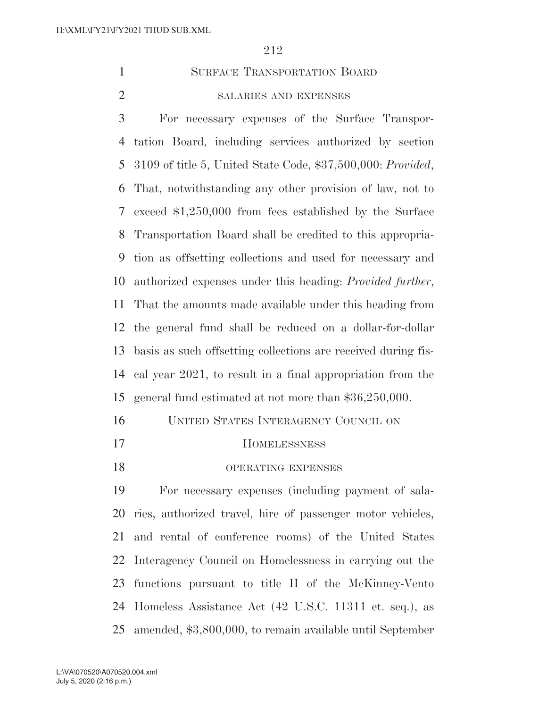## SURFACE TRANSPORTATION BOARD

# SALARIES AND EXPENSES

 For necessary expenses of the Surface Transpor- tation Board, including services authorized by section 3109 of title 5, United State Code, \$37,500,000: *Provided*, That, notwithstanding any other provision of law, not to exceed \$1,250,000 from fees established by the Surface Transportation Board shall be credited to this appropria- tion as offsetting collections and used for necessary and authorized expenses under this heading: *Provided further*, That the amounts made available under this heading from the general fund shall be reduced on a dollar-for-dollar basis as such offsetting collections are received during fis- cal year 2021, to result in a final appropriation from the general fund estimated at not more than \$36,250,000.

- UNITED STATES INTERAGENCY COUNCIL ON
- HOMELESSNESS
- 18 OPERATING EXPENSES

 For necessary expenses (including payment of sala- ries, authorized travel, hire of passenger motor vehicles, and rental of conference rooms) of the United States Interagency Council on Homelessness in carrying out the functions pursuant to title II of the McKinney-Vento Homeless Assistance Act (42 U.S.C. 11311 et. seq.), as amended, \$3,800,000, to remain available until September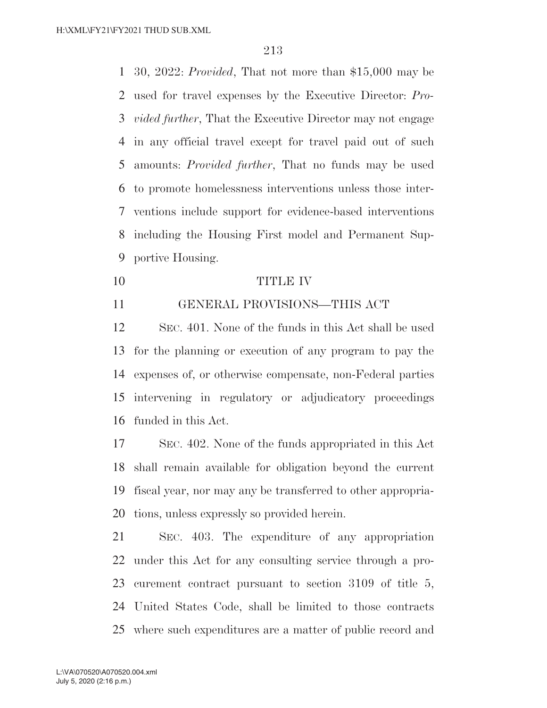30, 2022: *Provided*, That not more than \$15,000 may be used for travel expenses by the Executive Director: *Pro- vided further*, That the Executive Director may not engage in any official travel except for travel paid out of such amounts: *Provided further*, That no funds may be used to promote homelessness interventions unless those inter- ventions include support for evidence-based interventions including the Housing First model and Permanent Sup-portive Housing.

#### TITLE IV

GENERAL PROVISIONS—THIS ACT

 SEC. 401. None of the funds in this Act shall be used for the planning or execution of any program to pay the expenses of, or otherwise compensate, non-Federal parties intervening in regulatory or adjudicatory proceedings funded in this Act.

 SEC. 402. None of the funds appropriated in this Act shall remain available for obligation beyond the current fiscal year, nor may any be transferred to other appropria-tions, unless expressly so provided herein.

 SEC. 403. The expenditure of any appropriation under this Act for any consulting service through a pro- curement contract pursuant to section 3109 of title 5, United States Code, shall be limited to those contracts where such expenditures are a matter of public record and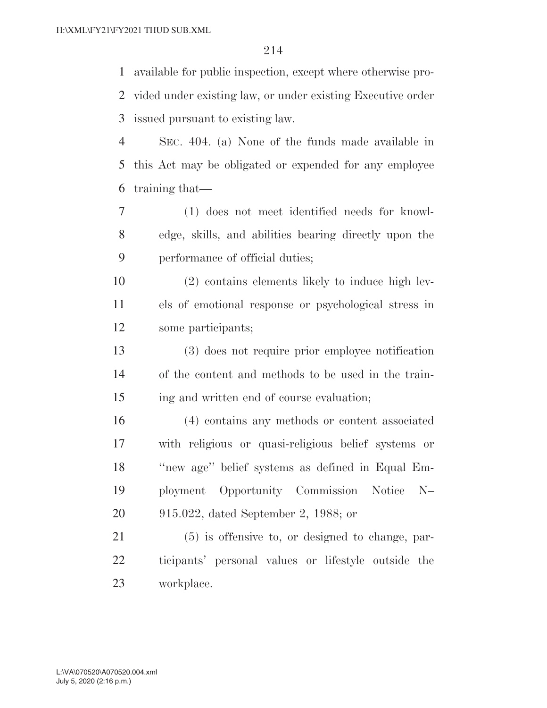available for public inspection, except where otherwise pro- vided under existing law, or under existing Executive order issued pursuant to existing law.

 SEC. 404. (a) None of the funds made available in this Act may be obligated or expended for any employee training that—

 (1) does not meet identified needs for knowl- edge, skills, and abilities bearing directly upon the performance of official duties;

 (2) contains elements likely to induce high lev- els of emotional response or psychological stress in some participants;

 (3) does not require prior employee notification of the content and methods to be used in the train-ing and written end of course evaluation;

 (4) contains any methods or content associated with religious or quasi-religious belief systems or ''new age'' belief systems as defined in Equal Em- ployment Opportunity Commission Notice N– 915.022, dated September 2, 1988; or

 (5) is offensive to, or designed to change, par- ticipants' personal values or lifestyle outside the workplace.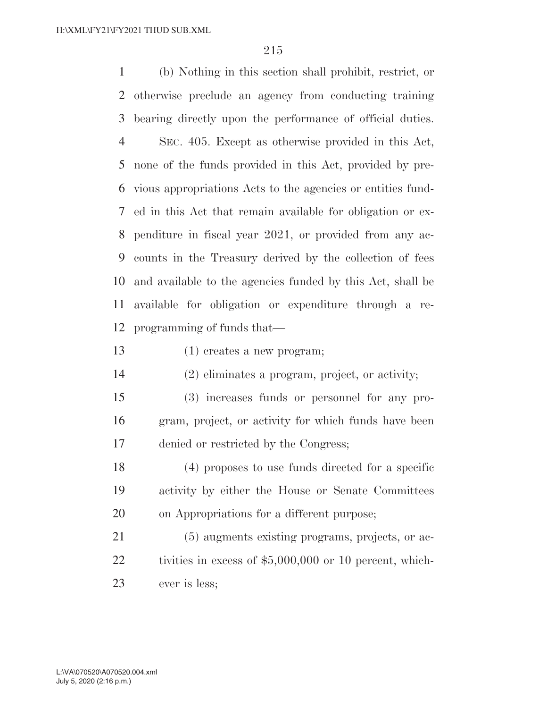(b) Nothing in this section shall prohibit, restrict, or otherwise preclude an agency from conducting training bearing directly upon the performance of official duties. SEC. 405. Except as otherwise provided in this Act, none of the funds provided in this Act, provided by pre- vious appropriations Acts to the agencies or entities fund- ed in this Act that remain available for obligation or ex- penditure in fiscal year 2021, or provided from any ac- counts in the Treasury derived by the collection of fees and available to the agencies funded by this Act, shall be available for obligation or expenditure through a re-programming of funds that—

(1) creates a new program;

(2) eliminates a program, project, or activity;

 (3) increases funds or personnel for any pro- gram, project, or activity for which funds have been denied or restricted by the Congress;

 (4) proposes to use funds directed for a specific activity by either the House or Senate Committees on Appropriations for a different purpose;

 (5) augments existing programs, projects, or ac-22 tivities in excess of \$5,000,000 or 10 percent, which-ever is less;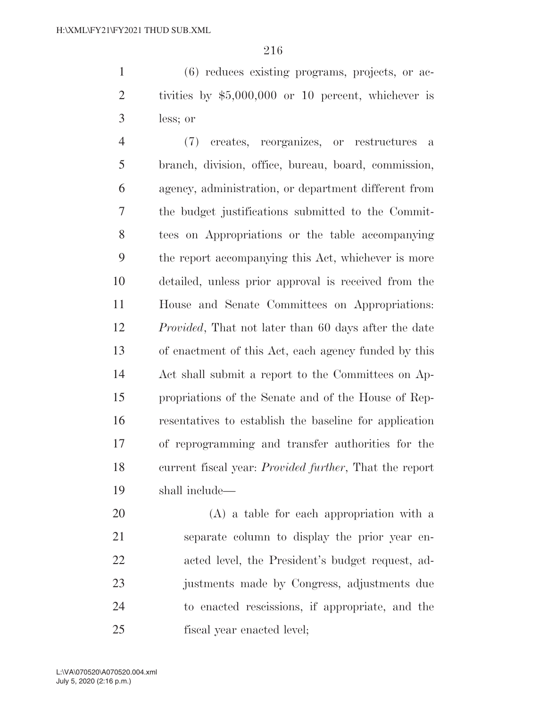(6) reduces existing programs, projects, or ac- tivities by \$5,000,000 or 10 percent, whichever is less; or

 (7) creates, reorganizes, or restructures a branch, division, office, bureau, board, commission, agency, administration, or department different from the budget justifications submitted to the Commit- tees on Appropriations or the table accompanying the report accompanying this Act, whichever is more detailed, unless prior approval is received from the House and Senate Committees on Appropriations: *Provided*, That not later than 60 days after the date of enactment of this Act, each agency funded by this Act shall submit a report to the Committees on Ap- propriations of the Senate and of the House of Rep- resentatives to establish the baseline for application of reprogramming and transfer authorities for the current fiscal year: *Provided further*, That the report shall include—

 (A) a table for each appropriation with a separate column to display the prior year en- acted level, the President's budget request, ad- justments made by Congress, adjustments due to enacted rescissions, if appropriate, and the fiscal year enacted level;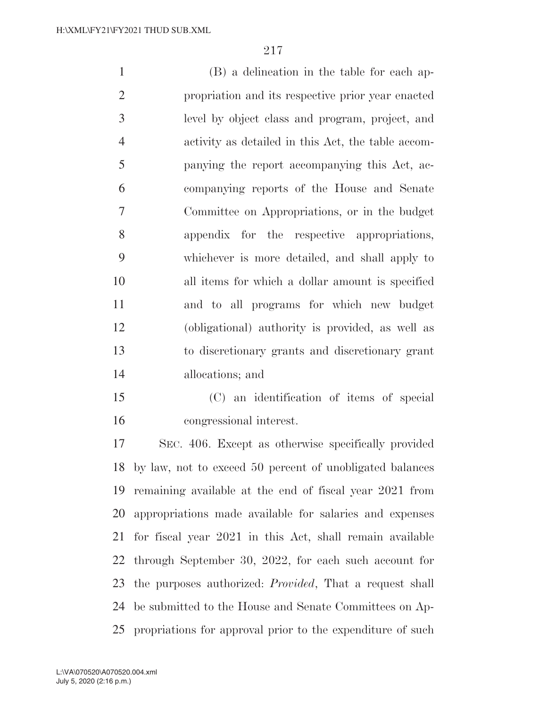(B) a delineation in the table for each ap- propriation and its respective prior year enacted level by object class and program, project, and activity as detailed in this Act, the table accom- panying the report accompanying this Act, ac- companying reports of the House and Senate Committee on Appropriations, or in the budget appendix for the respective appropriations, whichever is more detailed, and shall apply to all items for which a dollar amount is specified and to all programs for which new budget (obligational) authority is provided, as well as to discretionary grants and discretionary grant allocations; and

 (C) an identification of items of special congressional interest.

 SEC. 406. Except as otherwise specifically provided by law, not to exceed 50 percent of unobligated balances remaining available at the end of fiscal year 2021 from appropriations made available for salaries and expenses for fiscal year 2021 in this Act, shall remain available through September 30, 2022, for each such account for the purposes authorized: *Provided*, That a request shall be submitted to the House and Senate Committees on Ap-propriations for approval prior to the expenditure of such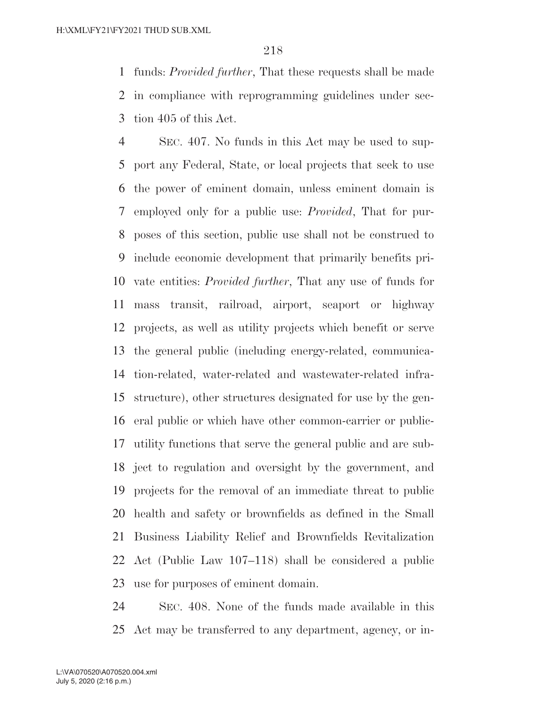funds: *Provided further*, That these requests shall be made in compliance with reprogramming guidelines under sec-tion 405 of this Act.

 SEC. 407. No funds in this Act may be used to sup- port any Federal, State, or local projects that seek to use the power of eminent domain, unless eminent domain is employed only for a public use: *Provided*, That for pur- poses of this section, public use shall not be construed to include economic development that primarily benefits pri- vate entities: *Provided further*, That any use of funds for mass transit, railroad, airport, seaport or highway projects, as well as utility projects which benefit or serve the general public (including energy-related, communica- tion-related, water-related and wastewater-related infra- structure), other structures designated for use by the gen- eral public or which have other common-carrier or public- utility functions that serve the general public and are sub- ject to regulation and oversight by the government, and projects for the removal of an immediate threat to public health and safety or brownfields as defined in the Small Business Liability Relief and Brownfields Revitalization Act (Public Law 107–118) shall be considered a public use for purposes of eminent domain.

 SEC. 408. None of the funds made available in this Act may be transferred to any department, agency, or in-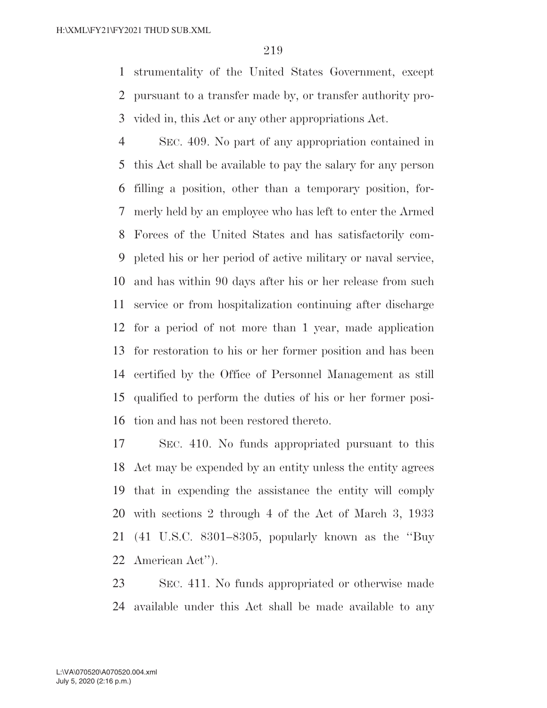strumentality of the United States Government, except pursuant to a transfer made by, or transfer authority pro-vided in, this Act or any other appropriations Act.

 SEC. 409. No part of any appropriation contained in this Act shall be available to pay the salary for any person filling a position, other than a temporary position, for- merly held by an employee who has left to enter the Armed Forces of the United States and has satisfactorily com- pleted his or her period of active military or naval service, and has within 90 days after his or her release from such service or from hospitalization continuing after discharge for a period of not more than 1 year, made application for restoration to his or her former position and has been certified by the Office of Personnel Management as still qualified to perform the duties of his or her former posi-tion and has not been restored thereto.

 SEC. 410. No funds appropriated pursuant to this Act may be expended by an entity unless the entity agrees that in expending the assistance the entity will comply with sections 2 through 4 of the Act of March 3, 1933 (41 U.S.C. 8301–8305, popularly known as the ''Buy American Act'').

 SEC. 411. No funds appropriated or otherwise made available under this Act shall be made available to any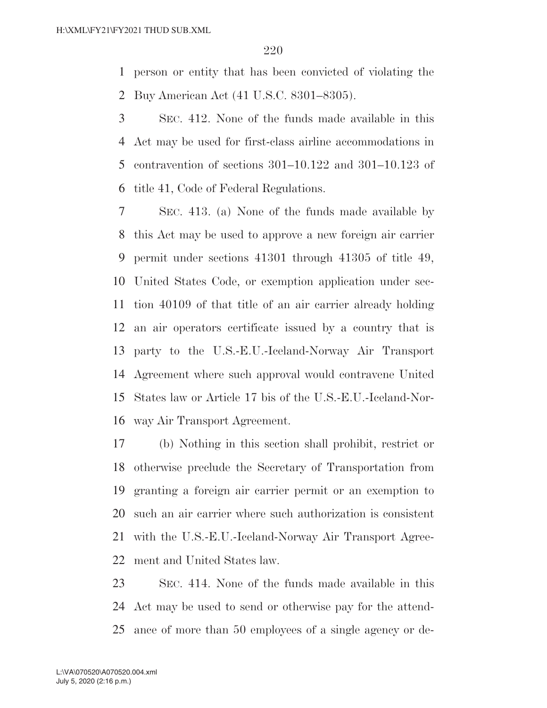person or entity that has been convicted of violating the Buy American Act (41 U.S.C. 8301–8305).

 SEC. 412. None of the funds made available in this Act may be used for first-class airline accommodations in contravention of sections 301–10.122 and 301–10.123 of title 41, Code of Federal Regulations.

 SEC. 413. (a) None of the funds made available by this Act may be used to approve a new foreign air carrier permit under sections 41301 through 41305 of title 49, United States Code, or exemption application under sec- tion 40109 of that title of an air carrier already holding an air operators certificate issued by a country that is party to the U.S.-E.U.-Iceland-Norway Air Transport Agreement where such approval would contravene United States law or Article 17 bis of the U.S.-E.U.-Iceland-Nor-way Air Transport Agreement.

 (b) Nothing in this section shall prohibit, restrict or otherwise preclude the Secretary of Transportation from granting a foreign air carrier permit or an exemption to such an air carrier where such authorization is consistent with the U.S.-E.U.-Iceland-Norway Air Transport Agree-ment and United States law.

 SEC. 414. None of the funds made available in this Act may be used to send or otherwise pay for the attend-ance of more than 50 employees of a single agency or de-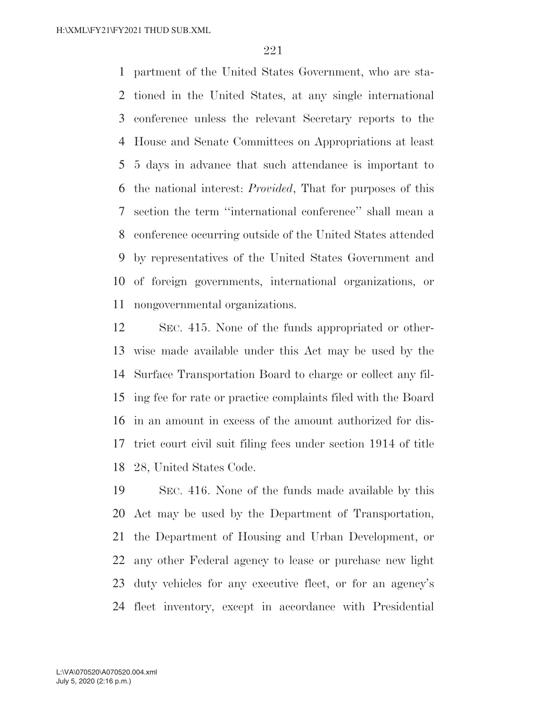partment of the United States Government, who are sta- tioned in the United States, at any single international conference unless the relevant Secretary reports to the House and Senate Committees on Appropriations at least 5 days in advance that such attendance is important to the national interest: *Provided*, That for purposes of this section the term ''international conference'' shall mean a conference occurring outside of the United States attended by representatives of the United States Government and of foreign governments, international organizations, or nongovernmental organizations.

 SEC. 415. None of the funds appropriated or other- wise made available under this Act may be used by the Surface Transportation Board to charge or collect any fil- ing fee for rate or practice complaints filed with the Board in an amount in excess of the amount authorized for dis- trict court civil suit filing fees under section 1914 of title 28, United States Code.

 SEC. 416. None of the funds made available by this Act may be used by the Department of Transportation, the Department of Housing and Urban Development, or any other Federal agency to lease or purchase new light duty vehicles for any executive fleet, or for an agency's fleet inventory, except in accordance with Presidential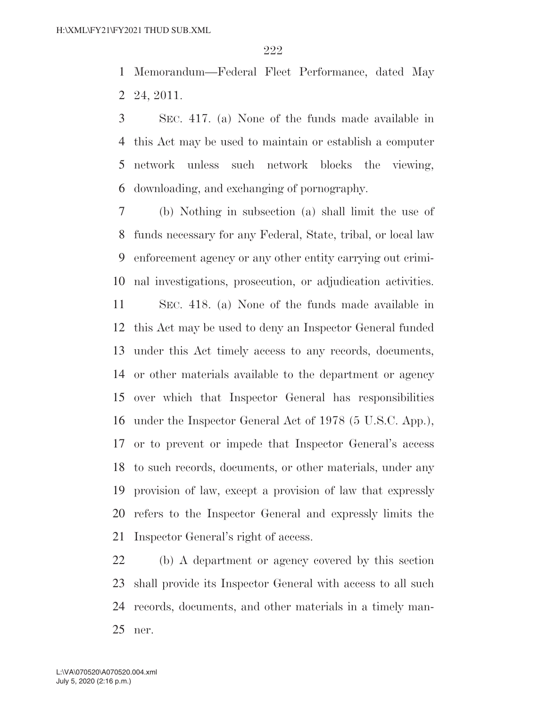Memorandum—Federal Fleet Performance, dated May 24, 2011.

 SEC. 417. (a) None of the funds made available in this Act may be used to maintain or establish a computer network unless such network blocks the viewing, downloading, and exchanging of pornography.

 (b) Nothing in subsection (a) shall limit the use of funds necessary for any Federal, State, tribal, or local law enforcement agency or any other entity carrying out crimi-nal investigations, prosecution, or adjudication activities.

 SEC. 418. (a) None of the funds made available in this Act may be used to deny an Inspector General funded under this Act timely access to any records, documents, or other materials available to the department or agency over which that Inspector General has responsibilities under the Inspector General Act of 1978 (5 U.S.C. App.), or to prevent or impede that Inspector General's access to such records, documents, or other materials, under any provision of law, except a provision of law that expressly refers to the Inspector General and expressly limits the Inspector General's right of access.

 (b) A department or agency covered by this section shall provide its Inspector General with access to all such records, documents, and other materials in a timely man-ner.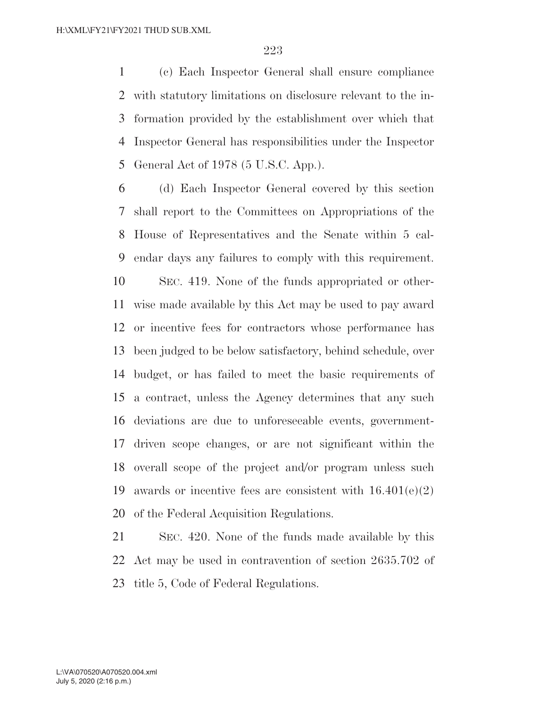(c) Each Inspector General shall ensure compliance with statutory limitations on disclosure relevant to the in- formation provided by the establishment over which that Inspector General has responsibilities under the Inspector General Act of 1978 (5 U.S.C. App.).

 (d) Each Inspector General covered by this section shall report to the Committees on Appropriations of the House of Representatives and the Senate within 5 cal- endar days any failures to comply with this requirement. SEC. 419. None of the funds appropriated or other- wise made available by this Act may be used to pay award or incentive fees for contractors whose performance has been judged to be below satisfactory, behind schedule, over budget, or has failed to meet the basic requirements of a contract, unless the Agency determines that any such deviations are due to unforeseeable events, government- driven scope changes, or are not significant within the overall scope of the project and/or program unless such 19 awards or incentive fees are consistent with  $16.401(e)(2)$ of the Federal Acquisition Regulations.

 SEC. 420. None of the funds made available by this Act may be used in contravention of section 2635.702 of title 5, Code of Federal Regulations.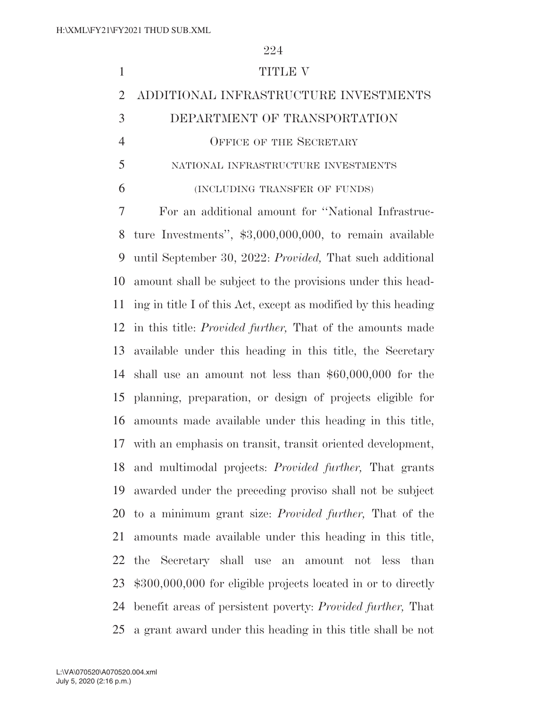# 1 TITLE V

# ADDITIONAL INFRASTRUCTURE INVESTMENTS DEPARTMENT OF TRANSPORTATION

## 4 OFFICE OF THE SECRETARY

#### NATIONAL INFRASTRUCTURE INVESTMENTS

(INCLUDING TRANSFER OF FUNDS)

 For an additional amount for ''National Infrastruc- ture Investments'', \$3,000,000,000, to remain available until September 30, 2022: *Provided,* That such additional amount shall be subject to the provisions under this head- ing in title I of this Act, except as modified by this heading in this title: *Provided further,* That of the amounts made available under this heading in this title, the Secretary shall use an amount not less than \$60,000,000 for the planning, preparation, or design of projects eligible for amounts made available under this heading in this title, with an emphasis on transit, transit oriented development, and multimodal projects: *Provided further,* That grants awarded under the preceding proviso shall not be subject to a minimum grant size: *Provided further,* That of the amounts made available under this heading in this title, the Secretary shall use an amount not less than \$300,000,000 for eligible projects located in or to directly benefit areas of persistent poverty: *Provided further,* That a grant award under this heading in this title shall be not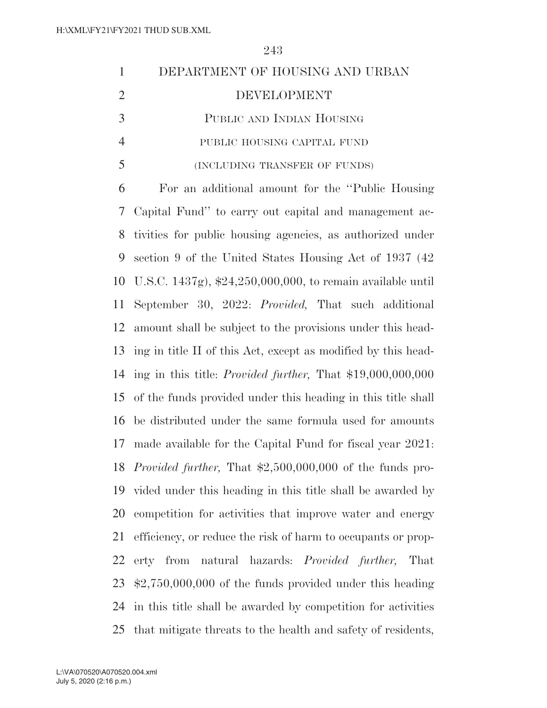# DEPARTMENT OF HOUSING AND URBAN DEVELOPMENT PUBLIC AND INDIAN HOUSING PUBLIC HOUSING CAPITAL FUND (INCLUDING TRANSFER OF FUNDS)

 For an additional amount for the ''Public Housing Capital Fund'' to carry out capital and management ac- tivities for public housing agencies, as authorized under section 9 of the United States Housing Act of 1937 (42 U.S.C. 1437g), \$24,250,000,000, to remain available until September 30, 2022: *Provided,* That such additional amount shall be subject to the provisions under this head- ing in title II of this Act, except as modified by this head- ing in this title: *Provided further,* That \$19,000,000,000 of the funds provided under this heading in this title shall be distributed under the same formula used for amounts made available for the Capital Fund for fiscal year 2021: *Provided further,* That \$2,500,000,000 of the funds pro- vided under this heading in this title shall be awarded by competition for activities that improve water and energy efficiency, or reduce the risk of harm to occupants or prop- erty from natural hazards: *Provided further,* That \$2,750,000,000 of the funds provided under this heading in this title shall be awarded by competition for activities that mitigate threats to the health and safety of residents,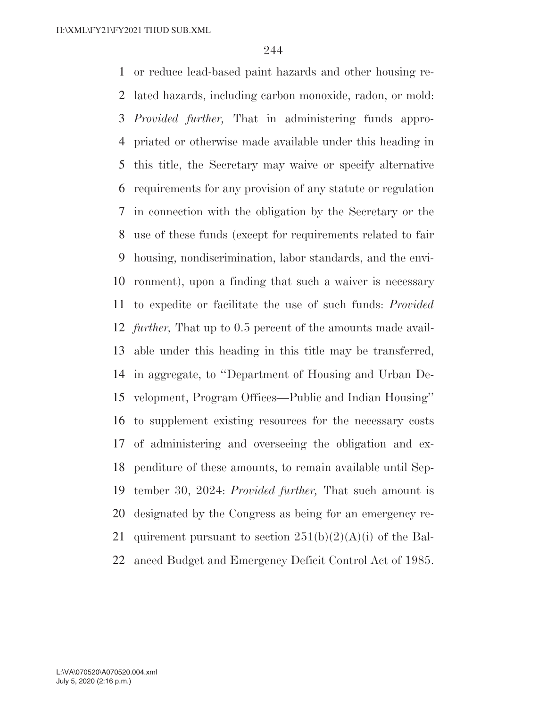or reduce lead-based paint hazards and other housing re- lated hazards, including carbon monoxide, radon, or mold: *Provided further,* That in administering funds appro- priated or otherwise made available under this heading in this title, the Secretary may waive or specify alternative requirements for any provision of any statute or regulation in connection with the obligation by the Secretary or the use of these funds (except for requirements related to fair housing, nondiscrimination, labor standards, and the envi- ronment), upon a finding that such a waiver is necessary to expedite or facilitate the use of such funds: *Provided further,* That up to 0.5 percent of the amounts made avail- able under this heading in this title may be transferred, in aggregate, to ''Department of Housing and Urban De- velopment, Program Offices—Public and Indian Housing'' to supplement existing resources for the necessary costs of administering and overseeing the obligation and ex- penditure of these amounts, to remain available until Sep- tember 30, 2024: *Provided further,* That such amount is designated by the Congress as being for an emergency re-21 quirement pursuant to section  $251(b)(2)(A)(i)$  of the Bal-anced Budget and Emergency Deficit Control Act of 1985.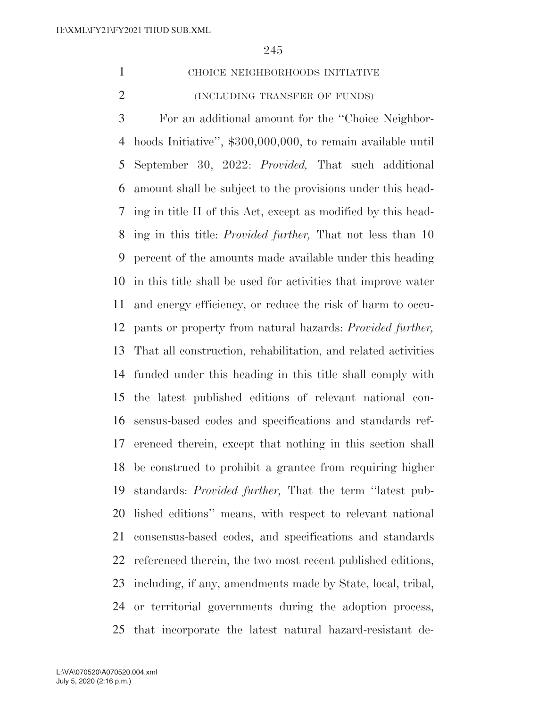CHOICE NEIGHBORHOODS INITIATIVE

(INCLUDING TRANSFER OF FUNDS)

 For an additional amount for the ''Choice Neighbor- hoods Initiative'', \$300,000,000, to remain available until September 30, 2022: *Provided,* That such additional amount shall be subject to the provisions under this head- ing in title II of this Act, except as modified by this head- ing in this title: *Provided further,* That not less than 10 percent of the amounts made available under this heading in this title shall be used for activities that improve water and energy efficiency, or reduce the risk of harm to occu- pants or property from natural hazards: *Provided further,*  That all construction, rehabilitation, and related activities funded under this heading in this title shall comply with the latest published editions of relevant national con- sensus-based codes and specifications and standards ref- erenced therein, except that nothing in this section shall be construed to prohibit a grantee from requiring higher standards: *Provided further,* That the term ''latest pub- lished editions'' means, with respect to relevant national consensus-based codes, and specifications and standards referenced therein, the two most recent published editions, including, if any, amendments made by State, local, tribal, or territorial governments during the adoption process, that incorporate the latest natural hazard-resistant de-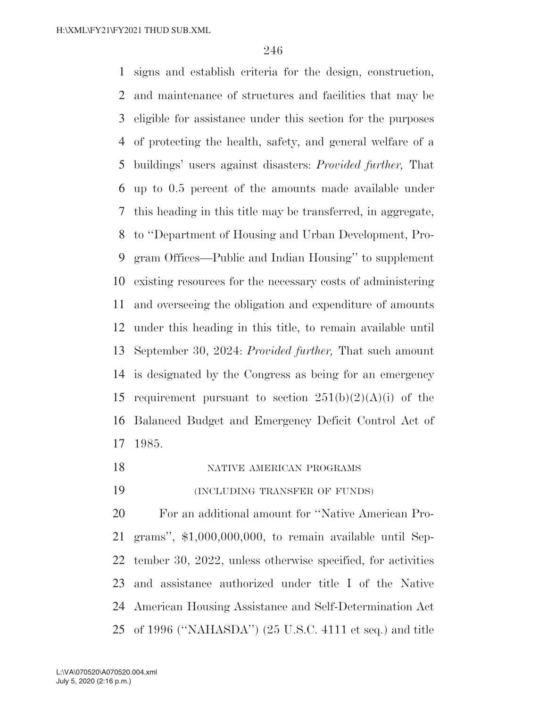signs and establish criteria for the design, construction, and maintenance of structures and facilities that may be eligible for assistance under this section for the purposes of protecting the health, safety, and general welfare of a buildings' users against disasters: *Provided further,* That up to 0.5 percent of the amounts made available under this heading in this title may be transferred, in aggregate, to ''Department of Housing and Urban Development, Pro- gram Offices—Public and Indian Housing'' to supplement existing resources for the necessary costs of administering and overseeing the obligation and expenditure of amounts under this heading in this title, to remain available until September 30, 2024: *Provided further,* That such amount is designated by the Congress as being for an emergency 15 requirement pursuant to section  $251(b)(2)(A)(i)$  of the Balanced Budget and Emergency Deficit Control Act of 1985.

- 18 NATIVE AMERICAN PROGRAMS
- (INCLUDING TRANSFER OF FUNDS)

 For an additional amount for ''Native American Pro- grams'', \$1,000,000,000, to remain available until Sep- tember 30, 2022, unless otherwise specified, for activities and assistance authorized under title I of the Native American Housing Assistance and Self-Determination Act of 1996 (''NAHASDA'') (25 U.S.C. 4111 et seq.) and title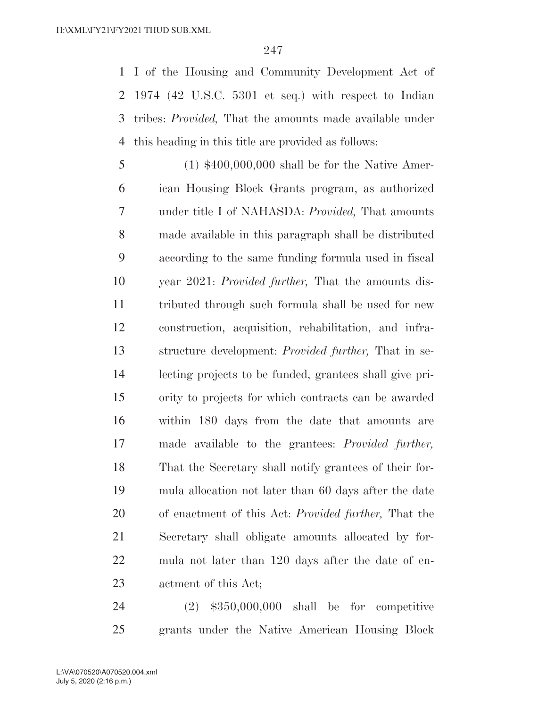I of the Housing and Community Development Act of 1974 (42 U.S.C. 5301 et seq.) with respect to Indian tribes: *Provided,* That the amounts made available under this heading in this title are provided as follows:

 (1) \$400,000,000 shall be for the Native Amer- ican Housing Block Grants program, as authorized under title I of NAHASDA: *Provided,* That amounts made available in this paragraph shall be distributed according to the same funding formula used in fiscal year 2021: *Provided further,* That the amounts dis- tributed through such formula shall be used for new construction, acquisition, rehabilitation, and infra- structure development: *Provided further,* That in se- lecting projects to be funded, grantees shall give pri- ority to projects for which contracts can be awarded within 180 days from the date that amounts are made available to the grantees: *Provided further,*  That the Secretary shall notify grantees of their for- mula allocation not later than 60 days after the date of enactment of this Act: *Provided further,* That the Secretary shall obligate amounts allocated by for- mula not later than 120 days after the date of en-actment of this Act;

 (2) \$350,000,000 shall be for competitive grants under the Native American Housing Block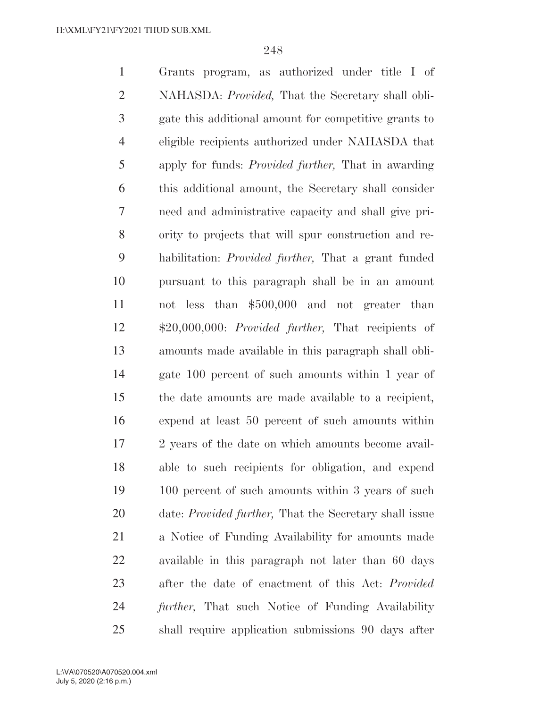Grants program, as authorized under title I of NAHASDA: *Provided,* That the Secretary shall obli- gate this additional amount for competitive grants to eligible recipients authorized under NAHASDA that apply for funds: *Provided further,* That in awarding this additional amount, the Secretary shall consider need and administrative capacity and shall give pri- ority to projects that will spur construction and re- habilitation: *Provided further,* That a grant funded pursuant to this paragraph shall be in an amount not less than \$500,000 and not greater than \$20,000,000: *Provided further,* That recipients of amounts made available in this paragraph shall obli- gate 100 percent of such amounts within 1 year of the date amounts are made available to a recipient, expend at least 50 percent of such amounts within 2 years of the date on which amounts become avail- able to such recipients for obligation, and expend 100 percent of such amounts within 3 years of such date: *Provided further,* That the Secretary shall issue a Notice of Funding Availability for amounts made available in this paragraph not later than 60 days after the date of enactment of this Act: *Provided further,* That such Notice of Funding Availability shall require application submissions 90 days after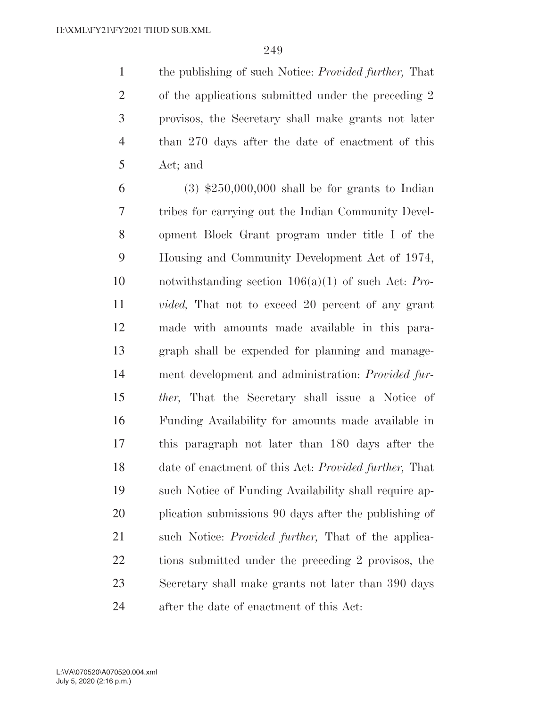the publishing of such Notice: *Provided further,* That of the applications submitted under the preceding 2 provisos, the Secretary shall make grants not later than 270 days after the date of enactment of this Act; and

 (3) \$250,000,000 shall be for grants to Indian tribes for carrying out the Indian Community Devel- opment Block Grant program under title I of the Housing and Community Development Act of 1974, notwithstanding section 106(a)(1) of such Act: *Pro- vided,* That not to exceed 20 percent of any grant made with amounts made available in this para- graph shall be expended for planning and manage- ment development and administration: *Provided fur- ther,* That the Secretary shall issue a Notice of Funding Availability for amounts made available in this paragraph not later than 180 days after the date of enactment of this Act: *Provided further,* That such Notice of Funding Availability shall require ap- plication submissions 90 days after the publishing of such Notice: *Provided further,* That of the applica- tions submitted under the preceding 2 provisos, the Secretary shall make grants not later than 390 days after the date of enactment of this Act: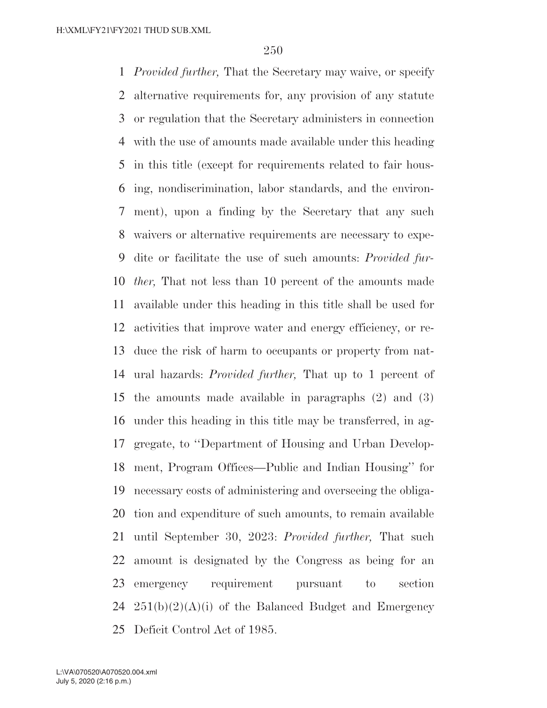*Provided further,* That the Secretary may waive, or specify alternative requirements for, any provision of any statute or regulation that the Secretary administers in connection with the use of amounts made available under this heading in this title (except for requirements related to fair hous- ing, nondiscrimination, labor standards, and the environ- ment), upon a finding by the Secretary that any such waivers or alternative requirements are necessary to expe- dite or facilitate the use of such amounts: *Provided fur- ther,* That not less than 10 percent of the amounts made available under this heading in this title shall be used for activities that improve water and energy efficiency, or re- duce the risk of harm to occupants or property from nat- ural hazards: *Provided further,* That up to 1 percent of the amounts made available in paragraphs (2) and (3) under this heading in this title may be transferred, in ag- gregate, to ''Department of Housing and Urban Develop- ment, Program Offices—Public and Indian Housing'' for necessary costs of administering and overseeing the obliga- tion and expenditure of such amounts, to remain available until September 30, 2023: *Provided further,* That such amount is designated by the Congress as being for an emergency requirement pursuant to section  $251(b)(2)(A)(i)$  of the Balanced Budget and Emergency Deficit Control Act of 1985.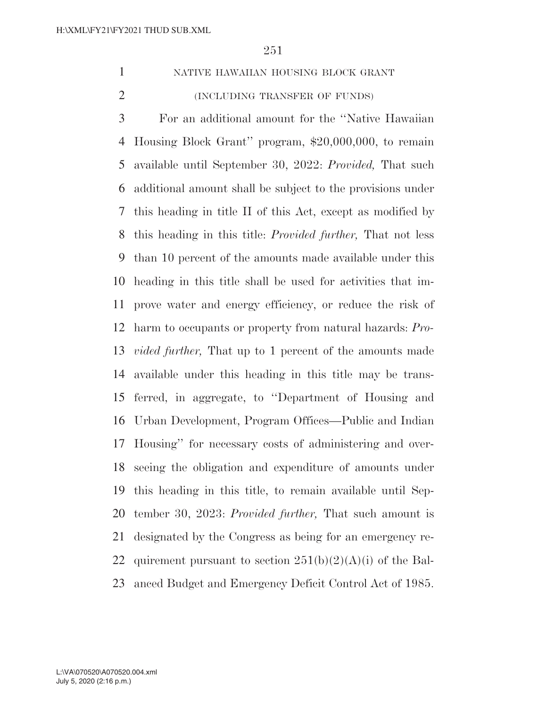# NATIVE HAWAIIAN HOUSING BLOCK GRANT

#### (INCLUDING TRANSFER OF FUNDS)

 For an additional amount for the ''Native Hawaiian Housing Block Grant'' program, \$20,000,000, to remain available until September 30, 2022: *Provided,* That such additional amount shall be subject to the provisions under this heading in title II of this Act, except as modified by this heading in this title: *Provided further,* That not less than 10 percent of the amounts made available under this heading in this title shall be used for activities that im- prove water and energy efficiency, or reduce the risk of harm to occupants or property from natural hazards: *Pro- vided further,* That up to 1 percent of the amounts made available under this heading in this title may be trans- ferred, in aggregate, to ''Department of Housing and Urban Development, Program Offices—Public and Indian Housing'' for necessary costs of administering and over- seeing the obligation and expenditure of amounts under this heading in this title, to remain available until Sep- tember 30, 2023: *Provided further,* That such amount is designated by the Congress as being for an emergency re-22 quirement pursuant to section  $251(b)(2)(A)(i)$  of the Bal-anced Budget and Emergency Deficit Control Act of 1985.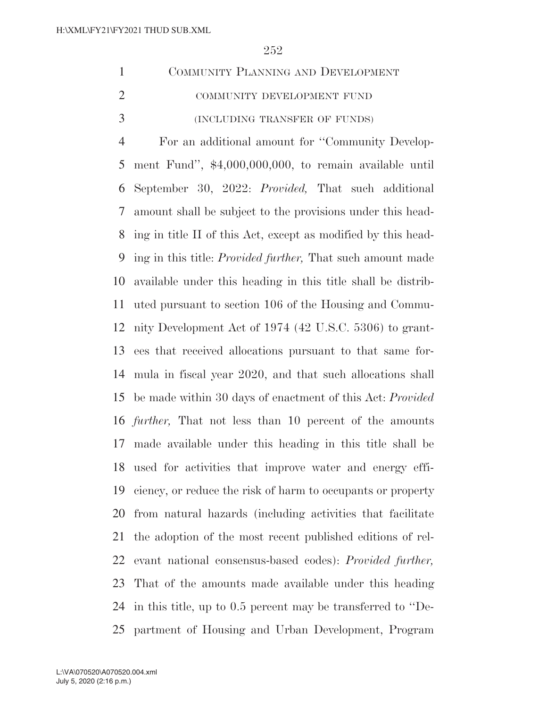| $\mathbf{1}$  | COMMUNITY PLANNING AND DEVELOPMENT |
|---------------|------------------------------------|
|               | COMMUNITY DEVELOPMENT FUND         |
| $\mathcal{R}$ | (INCLUDING TRANSFER OF FUNDS)      |

 For an additional amount for ''Community Develop- ment Fund'', \$4,000,000,000, to remain available until September 30, 2022: *Provided,* That such additional amount shall be subject to the provisions under this head- ing in title II of this Act, except as modified by this head- ing in this title: *Provided further,* That such amount made available under this heading in this title shall be distrib- uted pursuant to section 106 of the Housing and Commu- nity Development Act of 1974 (42 U.S.C. 5306) to grant- ees that received allocations pursuant to that same for- mula in fiscal year 2020, and that such allocations shall be made within 30 days of enactment of this Act: *Provided further,* That not less than 10 percent of the amounts made available under this heading in this title shall be used for activities that improve water and energy effi- ciency, or reduce the risk of harm to occupants or property from natural hazards (including activities that facilitate the adoption of the most recent published editions of rel- evant national consensus-based codes): *Provided further,*  That of the amounts made available under this heading in this title, up to 0.5 percent may be transferred to ''De-partment of Housing and Urban Development, Program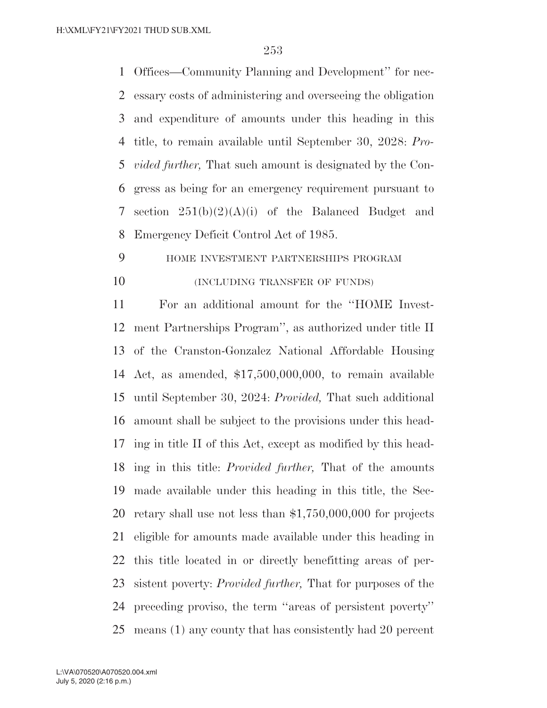Offices—Community Planning and Development'' for nec- essary costs of administering and overseeing the obligation and expenditure of amounts under this heading in this title, to remain available until September 30, 2028: *Pro- vided further,* That such amount is designated by the Con- gress as being for an emergency requirement pursuant to section 251(b)(2)(A)(i) of the Balanced Budget and Emergency Deficit Control Act of 1985.

### HOME INVESTMENT PARTNERSHIPS PROGRAM

#### **(INCLUDING TRANSFER OF FUNDS)**

 For an additional amount for the ''HOME Invest- ment Partnerships Program'', as authorized under title II of the Cranston-Gonzalez National Affordable Housing Act, as amended, \$17,500,000,000, to remain available until September 30, 2024: *Provided,* That such additional amount shall be subject to the provisions under this head- ing in title II of this Act, except as modified by this head- ing in this title: *Provided further,* That of the amounts made available under this heading in this title, the Sec- retary shall use not less than \$1,750,000,000 for projects eligible for amounts made available under this heading in this title located in or directly benefitting areas of per- sistent poverty: *Provided further,* That for purposes of the preceding proviso, the term ''areas of persistent poverty'' means (1) any county that has consistently had 20 percent

July 5, 2020 (2:16 p.m.) L:\VA\070520\A070520.004.xml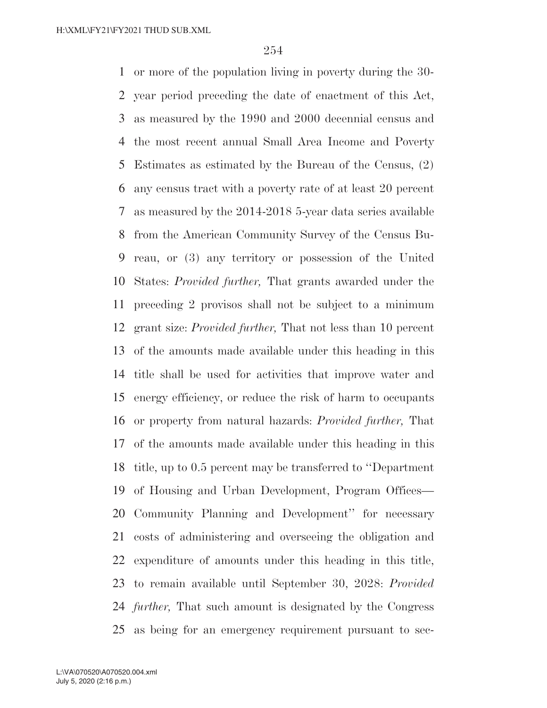or more of the population living in poverty during the 30- year period preceding the date of enactment of this Act, as measured by the 1990 and 2000 decennial census and the most recent annual Small Area Income and Poverty Estimates as estimated by the Bureau of the Census, (2) any census tract with a poverty rate of at least 20 percent as measured by the 2014-2018 5-year data series available from the American Community Survey of the Census Bu- reau, or (3) any territory or possession of the United States: *Provided further,* That grants awarded under the preceding 2 provisos shall not be subject to a minimum grant size: *Provided further,* That not less than 10 percent of the amounts made available under this heading in this title shall be used for activities that improve water and energy efficiency, or reduce the risk of harm to occupants or property from natural hazards: *Provided further,* That of the amounts made available under this heading in this title, up to 0.5 percent may be transferred to ''Department of Housing and Urban Development, Program Offices— Community Planning and Development'' for necessary costs of administering and overseeing the obligation and expenditure of amounts under this heading in this title, to remain available until September 30, 2028: *Provided further,* That such amount is designated by the Congress as being for an emergency requirement pursuant to sec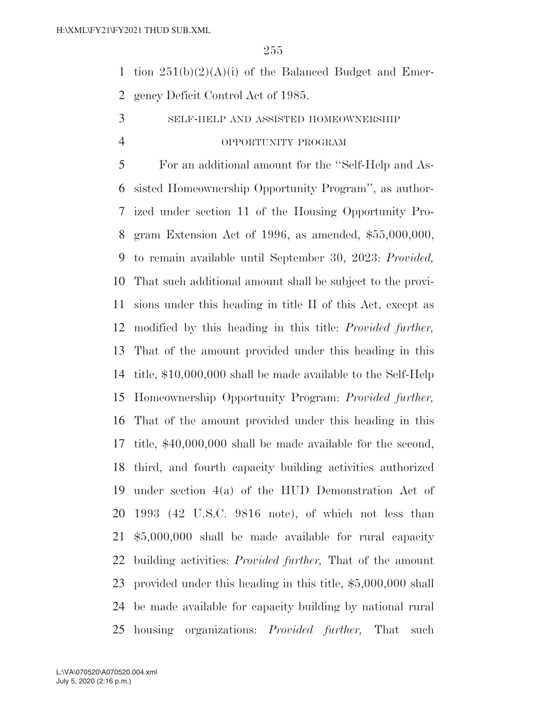1 tion  $251(b)(2)(A)(i)$  of the Balanced Budget and Emer-gency Deficit Control Act of 1985.

 SELF-HELP AND ASSISTED HOMEOWNERSHIP OPPORTUNITY PROGRAM

 For an additional amount for the ''Self-Help and As- sisted Homeownership Opportunity Program'', as author- ized under section 11 of the Housing Opportunity Pro- gram Extension Act of 1996, as amended, \$55,000,000, to remain available until September 30, 2023: *Provided,*  That such additional amount shall be subject to the provi- sions under this heading in title II of this Act, except as modified by this heading in this title: *Provided further,*  That of the amount provided under this heading in this title, \$10,000,000 shall be made available to the Self-Help Homeownership Opportunity Program: *Provided further,*  That of the amount provided under this heading in this title, \$40,000,000 shall be made available for the second, third, and fourth capacity building activities authorized under section 4(a) of the HUD Demonstration Act of 1993 (42 U.S.C. 9816 note), of which not less than \$5,000,000 shall be made available for rural capacity building activities: *Provided further,* That of the amount provided under this heading in this title, \$5,000,000 shall be made available for capacity building by national rural housing organizations: *Provided further,* That such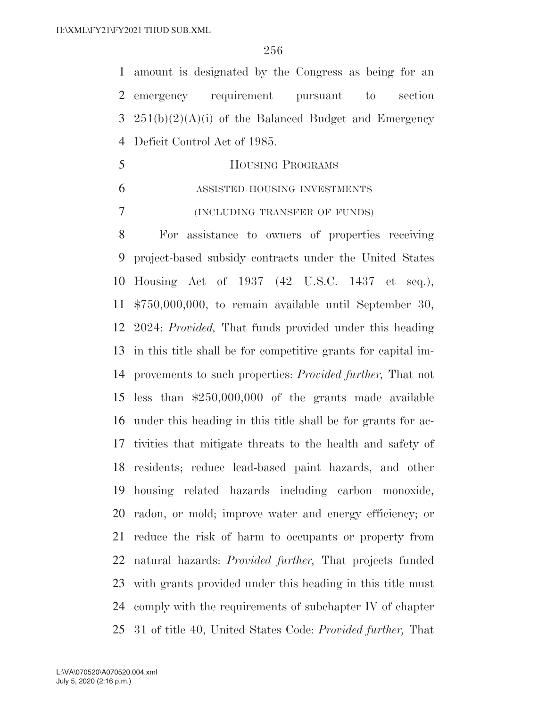amount is designated by the Congress as being for an emergency requirement pursuant to section  $251(b)(2)(A)(i)$  of the Balanced Budget and Emergency Deficit Control Act of 1985.

5 HOUSING PROGRAMS ASSISTED HOUSING INVESTMENTS (INCLUDING TRANSFER OF FUNDS)

 For assistance to owners of properties receiving project-based subsidy contracts under the United States Housing Act of 1937 (42 U.S.C. 1437 et seq.), \$750,000,000, to remain available until September 30, 2024: *Provided,* That funds provided under this heading in this title shall be for competitive grants for capital im- provements to such properties: *Provided further,* That not less than \$250,000,000 of the grants made available under this heading in this title shall be for grants for ac- tivities that mitigate threats to the health and safety of residents; reduce lead-based paint hazards, and other housing related hazards including carbon monoxide, radon, or mold; improve water and energy efficiency; or reduce the risk of harm to occupants or property from natural hazards: *Provided further,* That projects funded with grants provided under this heading in this title must comply with the requirements of subchapter IV of chapter 31 of title 40, United States Code: *Provided further,* That

July 5, 2020 (2:16 p.m.) L:\VA\070520\A070520.004.xml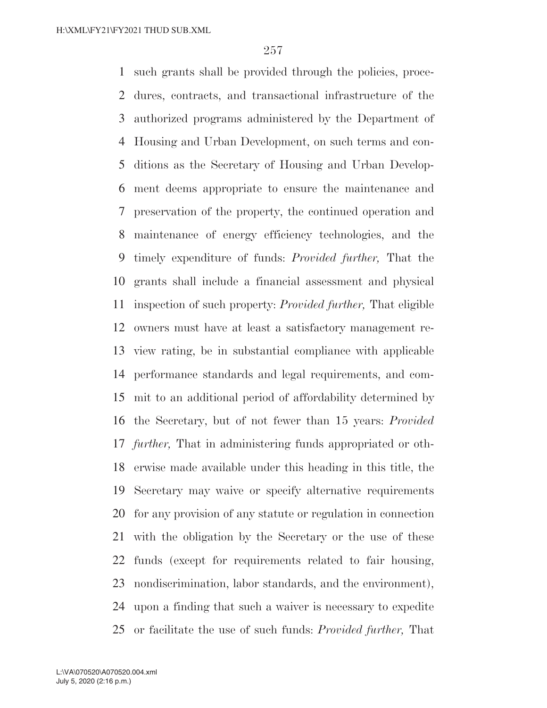such grants shall be provided through the policies, proce- dures, contracts, and transactional infrastructure of the authorized programs administered by the Department of Housing and Urban Development, on such terms and con- ditions as the Secretary of Housing and Urban Develop- ment deems appropriate to ensure the maintenance and preservation of the property, the continued operation and maintenance of energy efficiency technologies, and the timely expenditure of funds: *Provided further,* That the grants shall include a financial assessment and physical inspection of such property: *Provided further,* That eligible owners must have at least a satisfactory management re- view rating, be in substantial compliance with applicable performance standards and legal requirements, and com- mit to an additional period of affordability determined by the Secretary, but of not fewer than 15 years: *Provided further,* That in administering funds appropriated or oth- erwise made available under this heading in this title, the Secretary may waive or specify alternative requirements for any provision of any statute or regulation in connection with the obligation by the Secretary or the use of these funds (except for requirements related to fair housing, nondiscrimination, labor standards, and the environment), upon a finding that such a waiver is necessary to expedite or facilitate the use of such funds: *Provided further,* That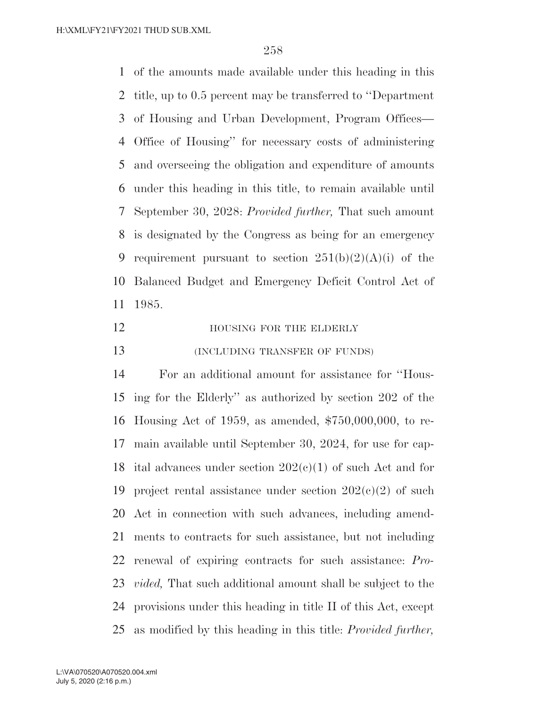of the amounts made available under this heading in this title, up to 0.5 percent may be transferred to ''Department of Housing and Urban Development, Program Offices— Office of Housing'' for necessary costs of administering and overseeing the obligation and expenditure of amounts under this heading in this title, to remain available until September 30, 2028: *Provided further,* That such amount is designated by the Congress as being for an emergency 9 requirement pursuant to section  $251(b)(2)(A)(i)$  of the Balanced Budget and Emergency Deficit Control Act of 1985.

- **HOUSING FOR THE ELDERLY**
- **(INCLUDING TRANSFER OF FUNDS)**

 For an additional amount for assistance for ''Hous- ing for the Elderly'' as authorized by section 202 of the Housing Act of 1959, as amended, \$750,000,000, to re- main available until September 30, 2024, for use for cap-18 ital advances under section  $202(c)(1)$  of such Act and for 19 project rental assistance under section  $202(c)(2)$  of such Act in connection with such advances, including amend- ments to contracts for such assistance, but not including renewal of expiring contracts for such assistance: *Pro- vided,* That such additional amount shall be subject to the provisions under this heading in title II of this Act, except as modified by this heading in this title: *Provided further,*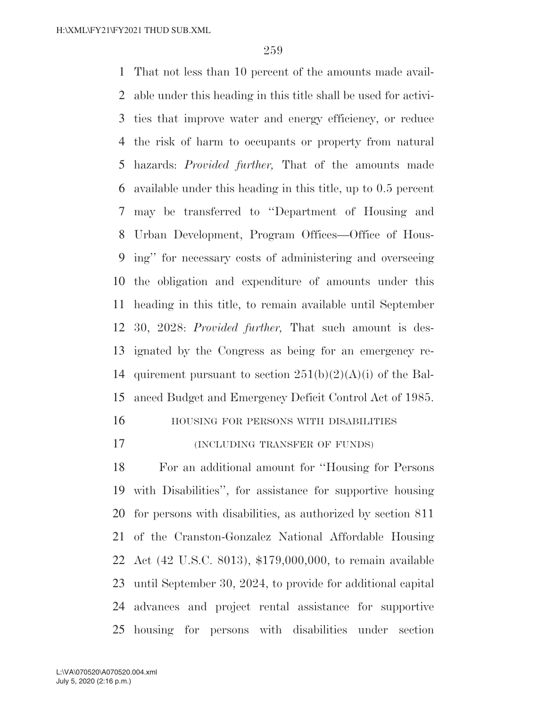That not less than 10 percent of the amounts made avail- able under this heading in this title shall be used for activi- ties that improve water and energy efficiency, or reduce the risk of harm to occupants or property from natural hazards: *Provided further,* That of the amounts made available under this heading in this title, up to 0.5 percent may be transferred to ''Department of Housing and Urban Development, Program Offices—Office of Hous- ing'' for necessary costs of administering and overseeing the obligation and expenditure of amounts under this heading in this title, to remain available until September 30, 2028: *Provided further,* That such amount is des- ignated by the Congress as being for an emergency re-14 quirement pursuant to section  $251(b)(2)(A)(i)$  of the Bal-anced Budget and Emergency Deficit Control Act of 1985.

HOUSING FOR PERSONS WITH DISABILITIES

(INCLUDING TRANSFER OF FUNDS)

 For an additional amount for ''Housing for Persons with Disabilities'', for assistance for supportive housing for persons with disabilities, as authorized by section 811 of the Cranston-Gonzalez National Affordable Housing Act (42 U.S.C. 8013), \$179,000,000, to remain available until September 30, 2024, to provide for additional capital advances and project rental assistance for supportive housing for persons with disabilities under section

July 5, 2020 (2:16 p.m.) L:\VA\070520\A070520.004.xml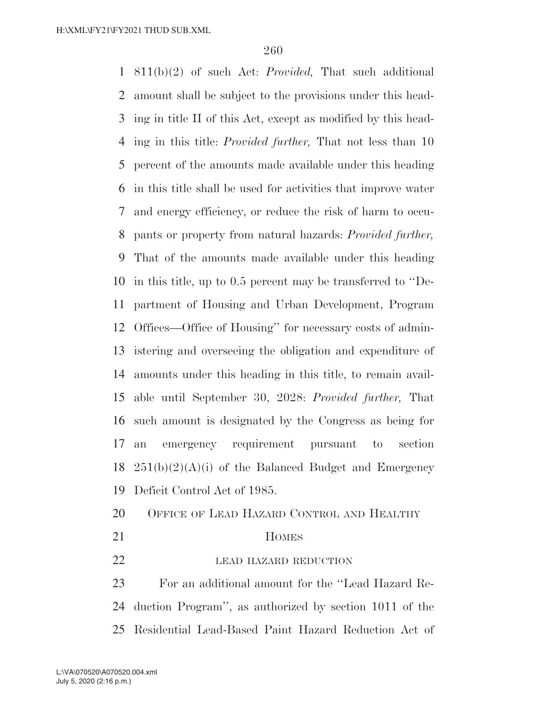811(b)(2) of such Act: *Provided,* That such additional amount shall be subject to the provisions under this head- ing in title II of this Act, except as modified by this head- ing in this title: *Provided further,* That not less than 10 percent of the amounts made available under this heading in this title shall be used for activities that improve water and energy efficiency, or reduce the risk of harm to occu- pants or property from natural hazards: *Provided further,*  That of the amounts made available under this heading in this title, up to 0.5 percent may be transferred to ''De- partment of Housing and Urban Development, Program Offices—Office of Housing'' for necessary costs of admin- istering and overseeing the obligation and expenditure of amounts under this heading in this title, to remain avail- able until September 30, 2028: *Provided further,* That such amount is designated by the Congress as being for an emergency requirement pursuant to section  $251(b)(2)(A)(i)$  of the Balanced Budget and Emergency Deficit Control Act of 1985.

- OFFICE OF LEAD HAZARD CONTROL AND HEALTHY
- 21 HOMES
- 22 LEAD HAZARD REDUCTION

 For an additional amount for the ''Lead Hazard Re- duction Program'', as authorized by section 1011 of the Residential Lead-Based Paint Hazard Reduction Act of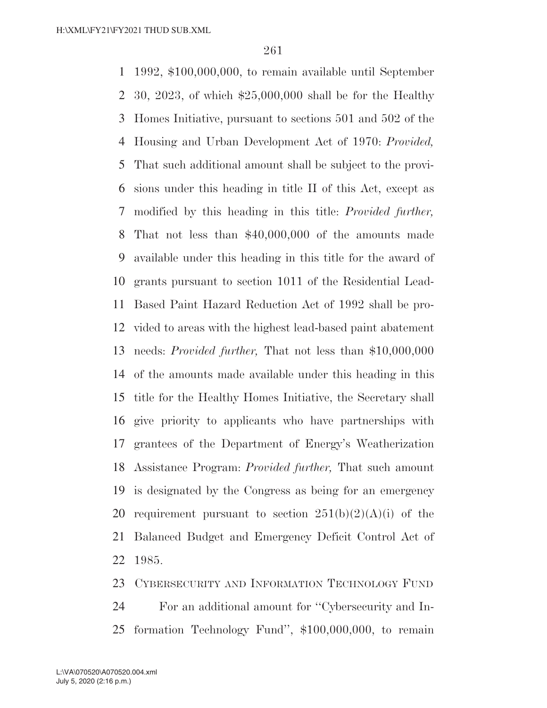1992, \$100,000,000, to remain available until September 30, 2023, of which \$25,000,000 shall be for the Healthy Homes Initiative, pursuant to sections 501 and 502 of the Housing and Urban Development Act of 1970: *Provided,*  That such additional amount shall be subject to the provi- sions under this heading in title II of this Act, except as modified by this heading in this title: *Provided further,*  That not less than \$40,000,000 of the amounts made available under this heading in this title for the award of grants pursuant to section 1011 of the Residential Lead- Based Paint Hazard Reduction Act of 1992 shall be pro- vided to areas with the highest lead-based paint abatement needs: *Provided further,* That not less than \$10,000,000 of the amounts made available under this heading in this title for the Healthy Homes Initiative, the Secretary shall give priority to applicants who have partnerships with grantees of the Department of Energy's Weatherization Assistance Program: *Provided further,* That such amount is designated by the Congress as being for an emergency 20 requirement pursuant to section  $251(b)(2)(A)(i)$  of the Balanced Budget and Emergency Deficit Control Act of 1985.

23 CYBERSECURITY AND INFORMATION TECHNOLOGY FUND

 For an additional amount for ''Cybersecurity and In-formation Technology Fund'', \$100,000,000, to remain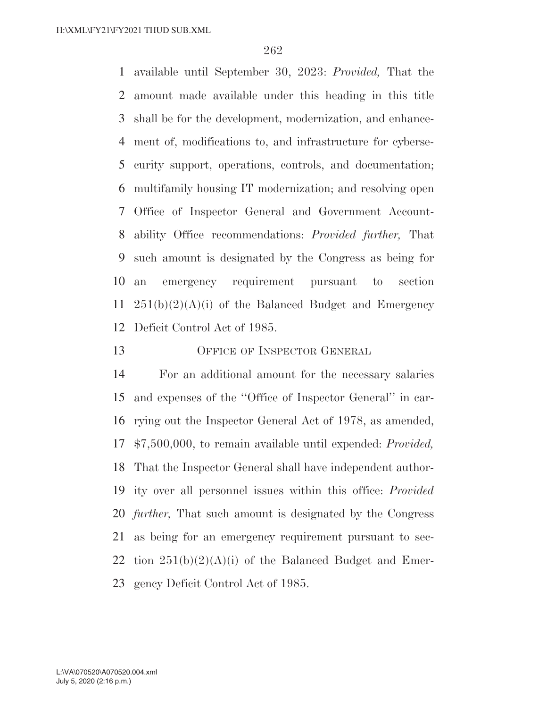available until September 30, 2023: *Provided,* That the amount made available under this heading in this title shall be for the development, modernization, and enhance- ment of, modifications to, and infrastructure for cyberse- curity support, operations, controls, and documentation; multifamily housing IT modernization; and resolving open Office of Inspector General and Government Account- ability Office recommendations: *Provided further,* That such amount is designated by the Congress as being for an emergency requirement pursuant to section  $251(b)(2)(A)(i)$  of the Balanced Budget and Emergency Deficit Control Act of 1985.

## 13 OFFICE OF INSPECTOR GENERAL

 For an additional amount for the necessary salaries and expenses of the ''Office of Inspector General'' in car- rying out the Inspector General Act of 1978, as amended, \$7,500,000, to remain available until expended: *Provided,*  That the Inspector General shall have independent author- ity over all personnel issues within this office: *Provided further,* That such amount is designated by the Congress as being for an emergency requirement pursuant to sec-22 tion  $251(b)(2)(A)(i)$  of the Balanced Budget and Emer-gency Deficit Control Act of 1985.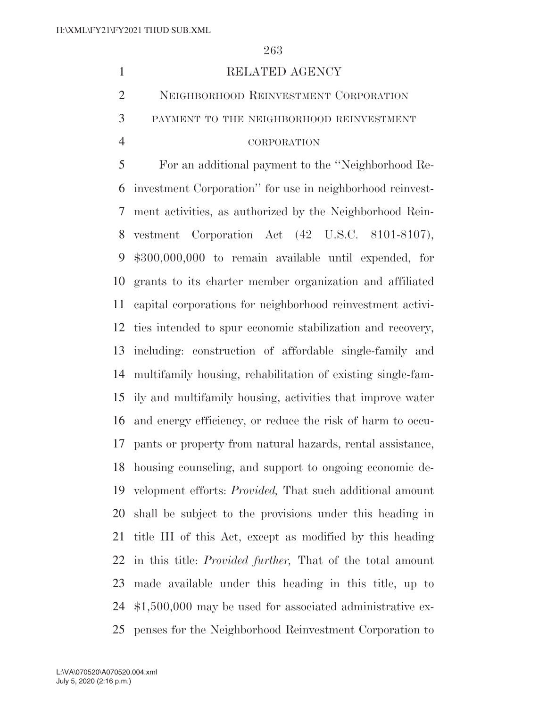## 1 RELATED AGENCY

NEIGHBORHOOD REINVESTMENT CORPORATION

PAYMENT TO THE NEIGHBORHOOD REINVESTMENT

#### CORPORATION

 For an additional payment to the ''Neighborhood Re- investment Corporation'' for use in neighborhood reinvest- ment activities, as authorized by the Neighborhood Rein- vestment Corporation Act (42 U.S.C. 8101-8107), \$300,000,000 to remain available until expended, for grants to its charter member organization and affiliated capital corporations for neighborhood reinvestment activi- ties intended to spur economic stabilization and recovery, including: construction of affordable single-family and multifamily housing, rehabilitation of existing single-fam- ily and multifamily housing, activities that improve water and energy efficiency, or reduce the risk of harm to occu- pants or property from natural hazards, rental assistance, housing counseling, and support to ongoing economic de- velopment efforts: *Provided,* That such additional amount shall be subject to the provisions under this heading in title III of this Act, except as modified by this heading in this title: *Provided further,* That of the total amount made available under this heading in this title, up to \$1,500,000 may be used for associated administrative ex-penses for the Neighborhood Reinvestment Corporation to

July 5, 2020 (2:16 p.m.) L:\VA\070520\A070520.004.xml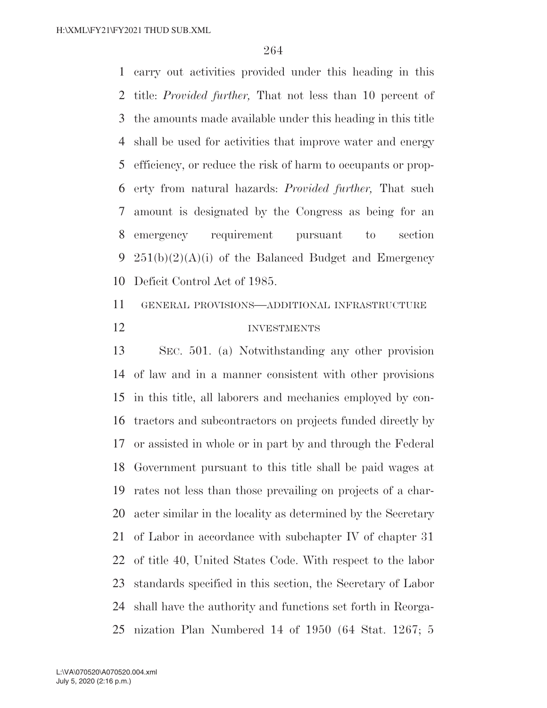carry out activities provided under this heading in this title: *Provided further,* That not less than 10 percent of the amounts made available under this heading in this title shall be used for activities that improve water and energy efficiency, or reduce the risk of harm to occupants or prop- erty from natural hazards: *Provided further,* That such amount is designated by the Congress as being for an emergency requirement pursuant to section  $251(b)(2)(A)(i)$  of the Balanced Budget and Emergency Deficit Control Act of 1985.

 GENERAL PROVISIONS—ADDITIONAL INFRASTRUCTURE INVESTMENTS

 SEC. 501. (a) Notwithstanding any other provision of law and in a manner consistent with other provisions in this title, all laborers and mechanics employed by con- tractors and subcontractors on projects funded directly by or assisted in whole or in part by and through the Federal Government pursuant to this title shall be paid wages at rates not less than those prevailing on projects of a char- acter similar in the locality as determined by the Secretary of Labor in accordance with subchapter IV of chapter 31 of title 40, United States Code. With respect to the labor standards specified in this section, the Secretary of Labor shall have the authority and functions set forth in Reorga-nization Plan Numbered 14 of 1950 (64 Stat. 1267; 5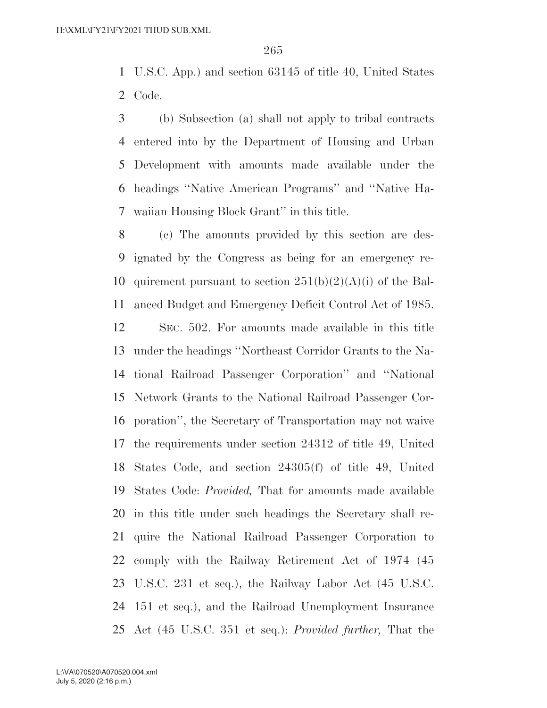U.S.C. App.) and section 63145 of title 40, United States Code.

 (b) Subsection (a) shall not apply to tribal contracts entered into by the Department of Housing and Urban Development with amounts made available under the headings ''Native American Programs'' and ''Native Ha-waiian Housing Block Grant'' in this title.

 (c) The amounts provided by this section are des- ignated by the Congress as being for an emergency re-10 quirement pursuant to section  $251(b)(2)(A)(i)$  of the Bal-anced Budget and Emergency Deficit Control Act of 1985.

 SEC. 502. For amounts made available in this title under the headings ''Northeast Corridor Grants to the Na- tional Railroad Passenger Corporation'' and ''National Network Grants to the National Railroad Passenger Cor- poration'', the Secretary of Transportation may not waive the requirements under section 24312 of title 49, United States Code, and section 24305(f) of title 49, United States Code: *Provided,* That for amounts made available in this title under such headings the Secretary shall re- quire the National Railroad Passenger Corporation to comply with the Railway Retirement Act of 1974 (45 U.S.C. 231 et seq.), the Railway Labor Act (45 U.S.C. 151 et seq.), and the Railroad Unemployment Insurance Act (45 U.S.C. 351 et seq.): *Provided further,* That the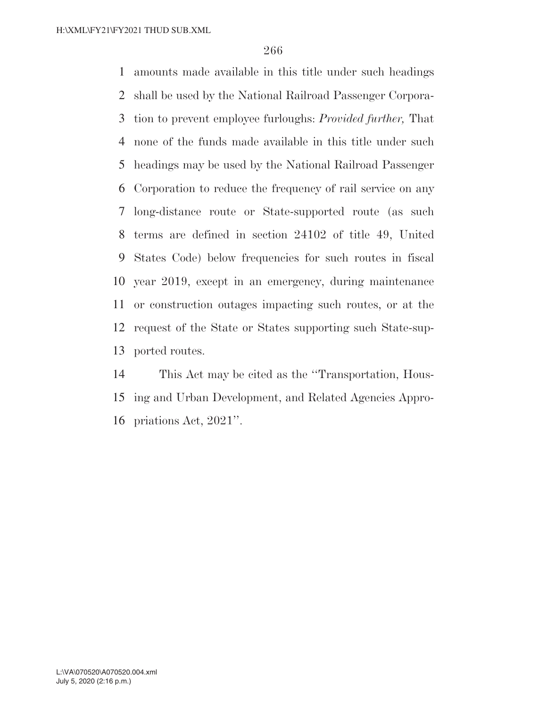amounts made available in this title under such headings shall be used by the National Railroad Passenger Corpora- tion to prevent employee furloughs: *Provided further,* That none of the funds made available in this title under such headings may be used by the National Railroad Passenger Corporation to reduce the frequency of rail service on any long-distance route or State-supported route (as such terms are defined in section 24102 of title 49, United States Code) below frequencies for such routes in fiscal year 2019, except in an emergency, during maintenance or construction outages impacting such routes, or at the request of the State or States supporting such State-sup-ported routes.

 This Act may be cited as the ''Transportation, Hous- ing and Urban Development, and Related Agencies Appro-priations Act, 2021''.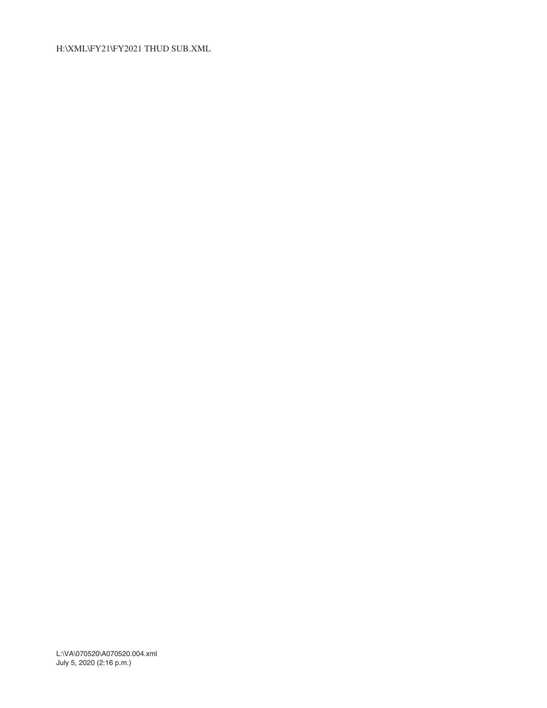## H:\XML\FY21\FY2021 THUD SUB.XML

July 5, 2020 (2:16 p.m.) L:\VA\070520\A070520.004.xml